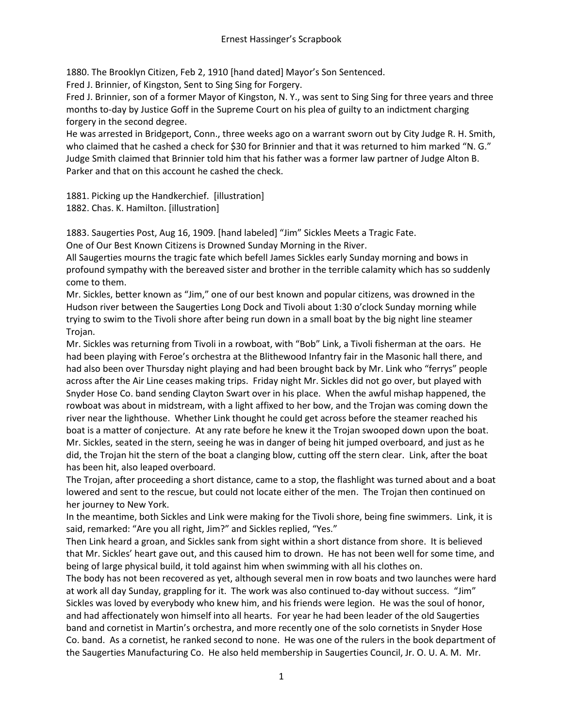1880. The Brooklyn Citizen, Feb 2, 1910 [hand dated] Mayor's Son Sentenced.

Fred J. Brinnier, of Kingston, Sent to Sing Sing for Forgery.

Fred J. Brinnier, son of a former Mayor of Kingston, N. Y., was sent to Sing Sing for three years and three months to-day by Justice Goff in the Supreme Court on his plea of guilty to an indictment charging forgery in the second degree.

He was arrested in Bridgeport, Conn., three weeks ago on a warrant sworn out by City Judge R. H. Smith, who claimed that he cashed a check for \$30 for Brinnier and that it was returned to him marked "N. G." Judge Smith claimed that Brinnier told him that his father was a former law partner of Judge Alton B. Parker and that on this account he cashed the check.

1881. Picking up the Handkerchief. [illustration]

1882. Chas. K. Hamilton. [illustration]

1883. Saugerties Post, Aug 16, 1909. [hand labeled] "Jim" Sickles Meets a Tragic Fate.

One of Our Best Known Citizens is Drowned Sunday Morning in the River.

All Saugerties mourns the tragic fate which befell James Sickles early Sunday morning and bows in profound sympathy with the bereaved sister and brother in the terrible calamity which has so suddenly come to them.

Mr. Sickles, better known as "Jim," one of our best known and popular citizens, was drowned in the Hudson river between the Saugerties Long Dock and Tivoli about 1:30 o'clock Sunday morning while trying to swim to the Tivoli shore after being run down in a small boat by the big night line steamer Trojan.

Mr. Sickles was returning from Tivoli in a rowboat, with "Bob" Link, a Tivoli fisherman at the oars. He had been playing with Feroe's orchestra at the Blithewood Infantry fair in the Masonic hall there, and had also been over Thursday night playing and had been brought back by Mr. Link who "ferrys" people across after the Air Line ceases making trips. Friday night Mr. Sickles did not go over, but played with Snyder Hose Co. band sending Clayton Swart over in his place. When the awful mishap happened, the rowboat was about in midstream, with a light affixed to her bow, and the Trojan was coming down the river near the lighthouse. Whether Link thought he could get across before the steamer reached his boat is a matter of conjecture. At any rate before he knew it the Trojan swooped down upon the boat. Mr. Sickles, seated in the stern, seeing he was in danger of being hit jumped overboard, and just as he did, the Trojan hit the stern of the boat a clanging blow, cutting off the stern clear. Link, after the boat has been hit, also leaped overboard.

The Trojan, after proceeding a short distance, came to a stop, the flashlight was turned about and a boat lowered and sent to the rescue, but could not locate either of the men. The Trojan then continued on her journey to New York.

In the meantime, both Sickles and Link were making for the Tivoli shore, being fine swimmers. Link, it is said, remarked: "Are you all right, Jim?" and Sickles replied, "Yes."

Then Link heard a groan, and Sickles sank from sight within a short distance from shore. It is believed that Mr. Sickles' heart gave out, and this caused him to drown. He has not been well for some time, and being of large physical build, it told against him when swimming with all his clothes on.

The body has not been recovered as yet, although several men in row boats and two launches were hard at work all day Sunday, grappling for it. The work was also continued to-day without success. "Jim" Sickles was loved by everybody who knew him, and his friends were legion. He was the soul of honor, and had affectionately won himself into all hearts. For year he had been leader of the old Saugerties band and cornetist in Martin's orchestra, and more recently one of the solo cornetists in Snyder Hose Co. band. As a cornetist, he ranked second to none. He was one of the rulers in the book department of the Saugerties Manufacturing Co. He also held membership in Saugerties Council, Jr. O. U. A. M. Mr.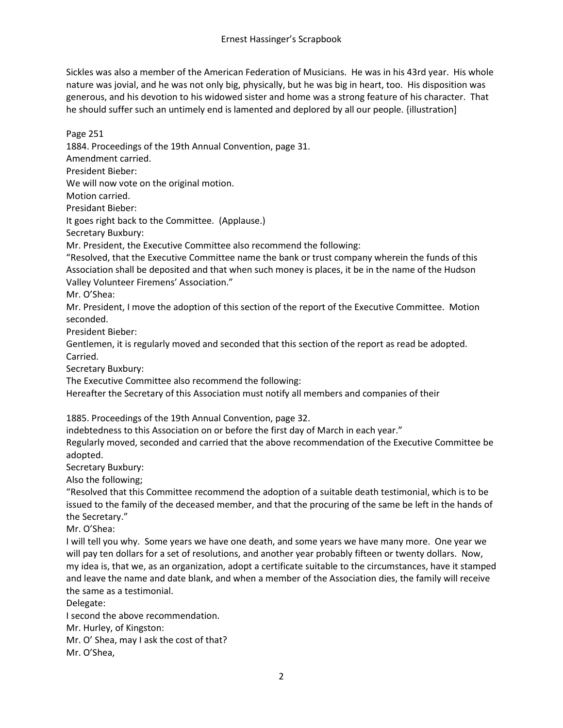Sickles was also a member of the American Federation of Musicians. He was in his 43rd year. His whole nature was jovial, and he was not only big, physically, but he was big in heart, too. His disposition was generous, and his devotion to his widowed sister and home was a strong feature of his character. That he should suffer such an untimely end is lamented and deplored by all our people. {illustration]

Page 251 1884. Proceedings of the 19th Annual Convention, page 31. Amendment carried. President Bieber: We will now vote on the original motion. Motion carried. Presidant Bieber: It goes right back to the Committee. (Applause.)

Secretary Buxbury:

Mr. President, the Executive Committee also recommend the following:

"Resolved, that the Executive Committee name the bank or trust company wherein the funds of this Association shall be deposited and that when such money is places, it be in the name of the Hudson Valley Volunteer Firemens' Association."

Mr. O'Shea:

Mr. President, I move the adoption of this section of the report of the Executive Committee. Motion seconded.

President Bieber:

Gentlemen, it is regularly moved and seconded that this section of the report as read be adopted. Carried.

Secretary Buxbury:

The Executive Committee also recommend the following:

Hereafter the Secretary of this Association must notify all members and companies of their

1885. Proceedings of the 19th Annual Convention, page 32.

indebtedness to this Association on or before the first day of March in each year."

Regularly moved, seconded and carried that the above recommendation of the Executive Committee be adopted.

Secretary Buxbury:

Also the following;

"Resolved that this Committee recommend the adoption of a suitable death testimonial, which is to be issued to the family of the deceased member, and that the procuring of the same be left in the hands of the Secretary."

Mr. O'Shea:

I will tell you why. Some years we have one death, and some years we have many more. One year we will pay ten dollars for a set of resolutions, and another year probably fifteen or twenty dollars. Now, my idea is, that we, as an organization, adopt a certificate suitable to the circumstances, have it stamped and leave the name and date blank, and when a member of the Association dies, the family will receive the same as a testimonial.

Delegate:

I second the above recommendation.

Mr. Hurley, of Kingston:

Mr. O' Shea, may I ask the cost of that?

Mr. O'Shea,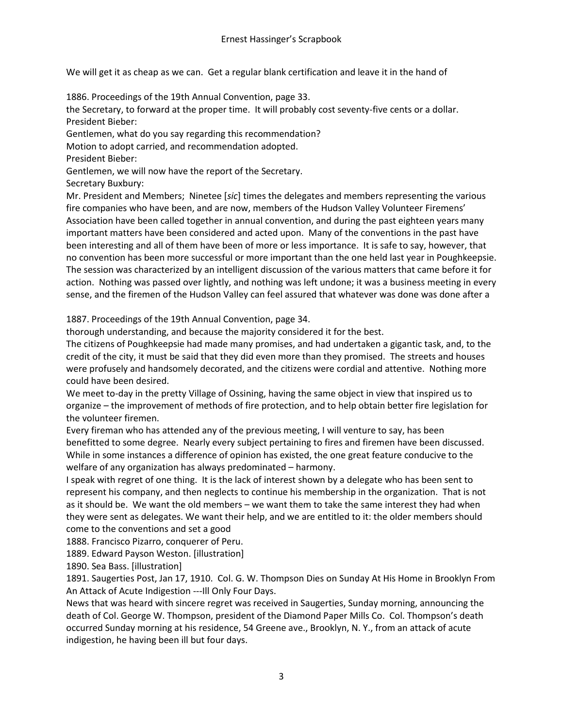We will get it as cheap as we can. Get a regular blank certification and leave it in the hand of

1886. Proceedings of the 19th Annual Convention, page 33.

the Secretary, to forward at the proper time. It will probably cost seventy-five cents or a dollar. President Bieber:

Gentlemen, what do you say regarding this recommendation?

Motion to adopt carried, and recommendation adopted.

President Bieber:

Gentlemen, we will now have the report of the Secretary.

Secretary Buxbury:

Mr. President and Members; Ninetee [*sic*] times the delegates and members representing the various fire companies who have been, and are now, members of the Hudson Valley Volunteer Firemens' Association have been called together in annual convention, and during the past eighteen years many important matters have been considered and acted upon. Many of the conventions in the past have been interesting and all of them have been of more or less importance. It is safe to say, however, that no convention has been more successful or more important than the one held last year in Poughkeepsie. The session was characterized by an intelligent discussion of the various matters that came before it for action. Nothing was passed over lightly, and nothing was left undone; it was a business meeting in every sense, and the firemen of the Hudson Valley can feel assured that whatever was done was done after a

1887. Proceedings of the 19th Annual Convention, page 34.

thorough understanding, and because the majority considered it for the best.

The citizens of Poughkeepsie had made many promises, and had undertaken a gigantic task, and, to the credit of the city, it must be said that they did even more than they promised. The streets and houses were profusely and handsomely decorated, and the citizens were cordial and attentive. Nothing more could have been desired.

We meet to-day in the pretty Village of Ossining, having the same object in view that inspired us to organize – the improvement of methods of fire protection, and to help obtain better fire legislation for the volunteer firemen.

Every fireman who has attended any of the previous meeting, I will venture to say, has been benefitted to some degree. Nearly every subject pertaining to fires and firemen have been discussed. While in some instances a difference of opinion has existed, the one great feature conducive to the welfare of any organization has always predominated – harmony.

I speak with regret of one thing. It is the lack of interest shown by a delegate who has been sent to represent his company, and then neglects to continue his membership in the organization. That is not as it should be. We want the old members – we want them to take the same interest they had when they were sent as delegates. We want their help, and we are entitled to it: the older members should come to the conventions and set a good

1888. Francisco Pizarro, conquerer of Peru.

1889. Edward Payson Weston. [illustration]

1890. Sea Bass. [illustration]

1891. Saugerties Post, Jan 17, 1910. Col. G. W. Thompson Dies on Sunday At His Home in Brooklyn From An Attack of Acute Indigestion ---Ill Only Four Days.

News that was heard with sincere regret was received in Saugerties, Sunday morning, announcing the death of Col. George W. Thompson, president of the Diamond Paper Mills Co. Col. Thompson's death occurred Sunday morning at his residence, 54 Greene ave., Brooklyn, N. Y., from an attack of acute indigestion, he having been ill but four days.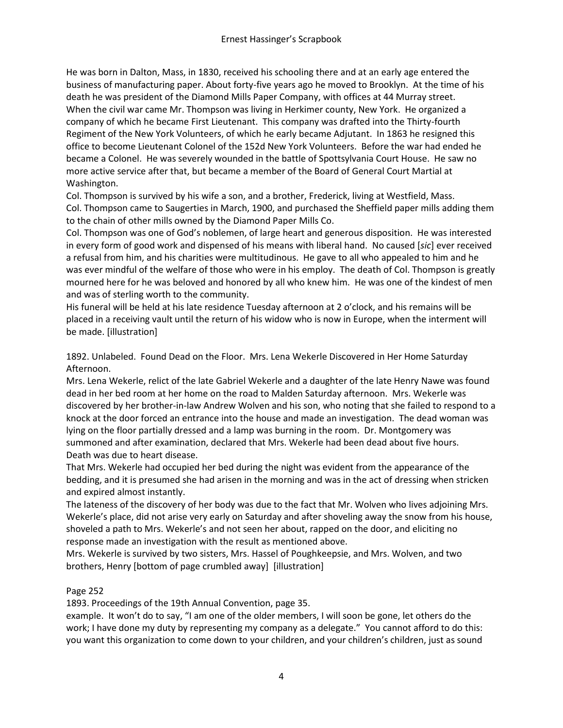He was born in Dalton, Mass, in 1830, received his schooling there and at an early age entered the business of manufacturing paper. About forty-five years ago he moved to Brooklyn. At the time of his death he was president of the Diamond Mills Paper Company, with offices at 44 Murray street. When the civil war came Mr. Thompson was living in Herkimer county, New York. He organized a company of which he became First Lieutenant. This company was drafted into the Thirty-fourth Regiment of the New York Volunteers, of which he early became Adjutant. In 1863 he resigned this office to become Lieutenant Colonel of the 152d New York Volunteers. Before the war had ended he became a Colonel. He was severely wounded in the battle of Spottsylvania Court House. He saw no more active service after that, but became a member of the Board of General Court Martial at Washington.

Col. Thompson is survived by his wife a son, and a brother, Frederick, living at Westfield, Mass. Col. Thompson came to Saugerties in March, 1900, and purchased the Sheffield paper mills adding them to the chain of other mills owned by the Diamond Paper Mills Co.

Col. Thompson was one of God's noblemen, of large heart and generous disposition. He was interested in every form of good work and dispensed of his means with liberal hand. No caused [*sic*] ever received a refusal from him, and his charities were multitudinous. He gave to all who appealed to him and he was ever mindful of the welfare of those who were in his employ. The death of Col. Thompson is greatly mourned here for he was beloved and honored by all who knew him. He was one of the kindest of men and was of sterling worth to the community.

His funeral will be held at his late residence Tuesday afternoon at 2 o'clock, and his remains will be placed in a receiving vault until the return of his widow who is now in Europe, when the interment will be made. [illustration]

1892. Unlabeled. Found Dead on the Floor. Mrs. Lena Wekerle Discovered in Her Home Saturday Afternoon.

Mrs. Lena Wekerle, relict of the late Gabriel Wekerle and a daughter of the late Henry Nawe was found dead in her bed room at her home on the road to Malden Saturday afternoon. Mrs. Wekerle was discovered by her brother-in-law Andrew Wolven and his son, who noting that she failed to respond to a knock at the door forced an entrance into the house and made an investigation. The dead woman was lying on the floor partially dressed and a lamp was burning in the room. Dr. Montgomery was summoned and after examination, declared that Mrs. Wekerle had been dead about five hours. Death was due to heart disease.

That Mrs. Wekerle had occupied her bed during the night was evident from the appearance of the bedding, and it is presumed she had arisen in the morning and was in the act of dressing when stricken and expired almost instantly.

The lateness of the discovery of her body was due to the fact that Mr. Wolven who lives adjoining Mrs. Wekerle's place, did not arise very early on Saturday and after shoveling away the snow from his house, shoveled a path to Mrs. Wekerle's and not seen her about, rapped on the door, and eliciting no response made an investigation with the result as mentioned above.

Mrs. Wekerle is survived by two sisters, Mrs. Hassel of Poughkeepsie, and Mrs. Wolven, and two brothers, Henry [bottom of page crumbled away] [illustration]

## Page 252

1893. Proceedings of the 19th Annual Convention, page 35.

example. It won't do to say, "I am one of the older members, I will soon be gone, let others do the work; I have done my duty by representing my company as a delegate." You cannot afford to do this: you want this organization to come down to your children, and your children's children, just as sound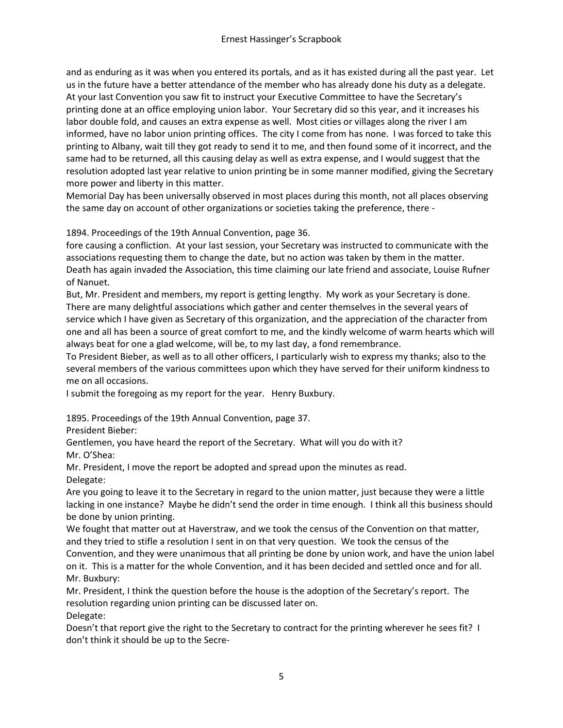and as enduring as it was when you entered its portals, and as it has existed during all the past year. Let us in the future have a better attendance of the member who has already done his duty as a delegate. At your last Convention you saw fit to instruct your Executive Committee to have the Secretary's printing done at an office employing union labor. Your Secretary did so this year, and it increases his labor double fold, and causes an extra expense as well. Most cities or villages along the river I am informed, have no labor union printing offices. The city I come from has none. I was forced to take this printing to Albany, wait till they got ready to send it to me, and then found some of it incorrect, and the same had to be returned, all this causing delay as well as extra expense, and I would suggest that the resolution adopted last year relative to union printing be in some manner modified, giving the Secretary more power and liberty in this matter.

Memorial Day has been universally observed in most places during this month, not all places observing the same day on account of other organizations or societies taking the preference, there -

1894. Proceedings of the 19th Annual Convention, page 36.

fore causing a confliction. At your last session, your Secretary was instructed to communicate with the associations requesting them to change the date, but no action was taken by them in the matter. Death has again invaded the Association, this time claiming our late friend and associate, Louise Rufner of Nanuet.

But, Mr. President and members, my report is getting lengthy. My work as your Secretary is done. There are many delightful associations which gather and center themselves in the several years of service which I have given as Secretary of this organization, and the appreciation of the character from one and all has been a source of great comfort to me, and the kindly welcome of warm hearts which will always beat for one a glad welcome, will be, to my last day, a fond remembrance.

To President Bieber, as well as to all other officers, I particularly wish to express my thanks; also to the several members of the various committees upon which they have served for their uniform kindness to me on all occasions.

I submit the foregoing as my report for the year. Henry Buxbury.

1895. Proceedings of the 19th Annual Convention, page 37.

President Bieber:

Gentlemen, you have heard the report of the Secretary. What will you do with it? Mr. O'Shea:

Mr. President, I move the report be adopted and spread upon the minutes as read. Delegate:

Are you going to leave it to the Secretary in regard to the union matter, just because they were a little lacking in one instance? Maybe he didn't send the order in time enough. I think all this business should be done by union printing.

We fought that matter out at Haverstraw, and we took the census of the Convention on that matter, and they tried to stifle a resolution I sent in on that very question. We took the census of the Convention, and they were unanimous that all printing be done by union work, and have the union label on it. This is a matter for the whole Convention, and it has been decided and settled once and for all. Mr. Buxbury:

Mr. President, I think the question before the house is the adoption of the Secretary's report. The resolution regarding union printing can be discussed later on. Delegate:

Doesn't that report give the right to the Secretary to contract for the printing wherever he sees fit? I don't think it should be up to the Secre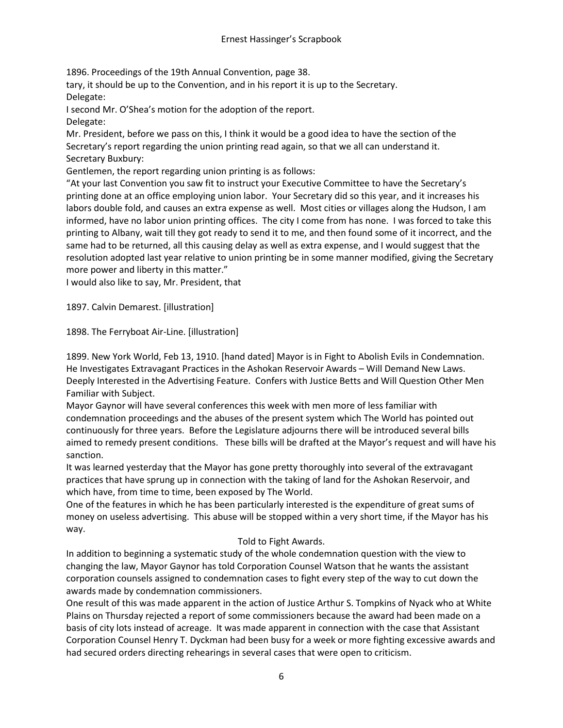1896. Proceedings of the 19th Annual Convention, page 38.

tary, it should be up to the Convention, and in his report it is up to the Secretary. Delegate:

I second Mr. O'Shea's motion for the adoption of the report.

Delegate:

Mr. President, before we pass on this, I think it would be a good idea to have the section of the Secretary's report regarding the union printing read again, so that we all can understand it. Secretary Buxbury:

Gentlemen, the report regarding union printing is as follows:

"At your last Convention you saw fit to instruct your Executive Committee to have the Secretary's printing done at an office employing union labor. Your Secretary did so this year, and it increases his labors double fold, and causes an extra expense as well. Most cities or villages along the Hudson, I am informed, have no labor union printing offices. The city I come from has none. I was forced to take this printing to Albany, wait till they got ready to send it to me, and then found some of it incorrect, and the same had to be returned, all this causing delay as well as extra expense, and I would suggest that the resolution adopted last year relative to union printing be in some manner modified, giving the Secretary more power and liberty in this matter."

I would also like to say, Mr. President, that

1897. Calvin Demarest. [illustration]

1898. The Ferryboat Air-Line. [illustration]

1899. New York World, Feb 13, 1910. [hand dated] Mayor is in Fight to Abolish Evils in Condemnation. He Investigates Extravagant Practices in the Ashokan Reservoir Awards – Will Demand New Laws. Deeply Interested in the Advertising Feature. Confers with Justice Betts and Will Question Other Men Familiar with Subject.

Mayor Gaynor will have several conferences this week with men more of less familiar with condemnation proceedings and the abuses of the present system which The World has pointed out continuously for three years. Before the Legislature adjourns there will be introduced several bills aimed to remedy present conditions. These bills will be drafted at the Mayor's request and will have his sanction.

It was learned yesterday that the Mayor has gone pretty thoroughly into several of the extravagant practices that have sprung up in connection with the taking of land for the Ashokan Reservoir, and which have, from time to time, been exposed by The World.

One of the features in which he has been particularly interested is the expenditure of great sums of money on useless advertising. This abuse will be stopped within a very short time, if the Mayor has his way.

## Told to Fight Awards.

In addition to beginning a systematic study of the whole condemnation question with the view to changing the law, Mayor Gaynor has told Corporation Counsel Watson that he wants the assistant corporation counsels assigned to condemnation cases to fight every step of the way to cut down the awards made by condemnation commissioners.

One result of this was made apparent in the action of Justice Arthur S. Tompkins of Nyack who at White Plains on Thursday rejected a report of some commissioners because the award had been made on a basis of city lots instead of acreage. It was made apparent in connection with the case that Assistant Corporation Counsel Henry T. Dyckman had been busy for a week or more fighting excessive awards and had secured orders directing rehearings in several cases that were open to criticism.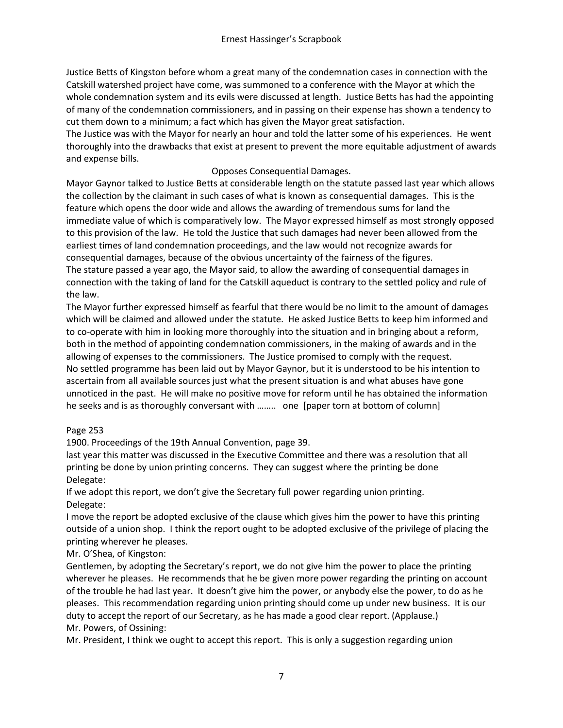Justice Betts of Kingston before whom a great many of the condemnation cases in connection with the Catskill watershed project have come, was summoned to a conference with the Mayor at which the whole condemnation system and its evils were discussed at length. Justice Betts has had the appointing of many of the condemnation commissioners, and in passing on their expense has shown a tendency to cut them down to a minimum; a fact which has given the Mayor great satisfaction.

The Justice was with the Mayor for nearly an hour and told the latter some of his experiences. He went thoroughly into the drawbacks that exist at present to prevent the more equitable adjustment of awards and expense bills.

# Opposes Consequential Damages.

Mayor Gaynor talked to Justice Betts at considerable length on the statute passed last year which allows the collection by the claimant in such cases of what is known as consequential damages. This is the feature which opens the door wide and allows the awarding of tremendous sums for land the immediate value of which is comparatively low. The Mayor expressed himself as most strongly opposed to this provision of the law. He told the Justice that such damages had never been allowed from the earliest times of land condemnation proceedings, and the law would not recognize awards for consequential damages, because of the obvious uncertainty of the fairness of the figures. The stature passed a year ago, the Mayor said, to allow the awarding of consequential damages in connection with the taking of land for the Catskill aqueduct is contrary to the settled policy and rule of the law.

The Mayor further expressed himself as fearful that there would be no limit to the amount of damages which will be claimed and allowed under the statute. He asked Justice Betts to keep him informed and to co-operate with him in looking more thoroughly into the situation and in bringing about a reform, both in the method of appointing condemnation commissioners, in the making of awards and in the allowing of expenses to the commissioners. The Justice promised to comply with the request. No settled programme has been laid out by Mayor Gaynor, but it is understood to be his intention to ascertain from all available sources just what the present situation is and what abuses have gone unnoticed in the past. He will make no positive move for reform until he has obtained the information he seeks and is as thoroughly conversant with …….. one [paper torn at bottom of column]

## Page 253

1900. Proceedings of the 19th Annual Convention, page 39.

last year this matter was discussed in the Executive Committee and there was a resolution that all printing be done by union printing concerns. They can suggest where the printing be done Delegate:

If we adopt this report, we don't give the Secretary full power regarding union printing. Delegate:

I move the report be adopted exclusive of the clause which gives him the power to have this printing outside of a union shop. I think the report ought to be adopted exclusive of the privilege of placing the printing wherever he pleases.

Mr. O'Shea, of Kingston:

Gentlemen, by adopting the Secretary's report, we do not give him the power to place the printing wherever he pleases. He recommends that he be given more power regarding the printing on account of the trouble he had last year. It doesn't give him the power, or anybody else the power, to do as he pleases. This recommendation regarding union printing should come up under new business. It is our duty to accept the report of our Secretary, as he has made a good clear report. (Applause.) Mr. Powers, of Ossining:

Mr. President, I think we ought to accept this report. This is only a suggestion regarding union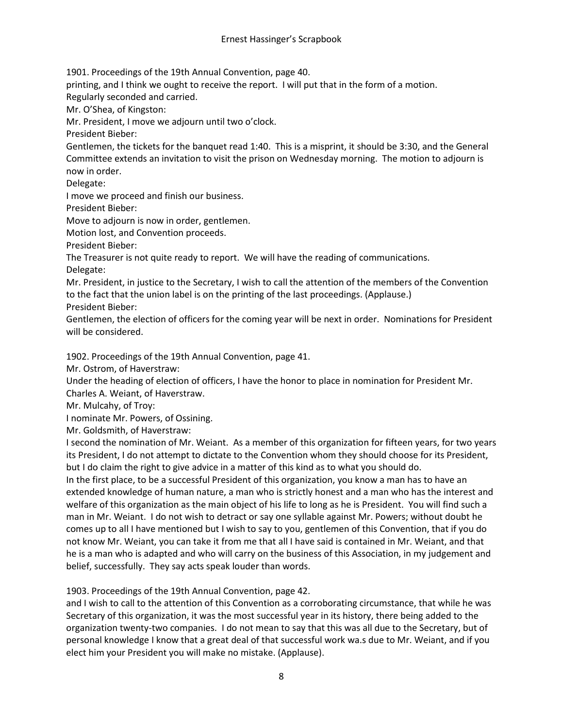1901. Proceedings of the 19th Annual Convention, page 40.

printing, and I think we ought to receive the report. I will put that in the form of a motion.

Regularly seconded and carried.

Mr. O'Shea, of Kingston:

Mr. President, I move we adjourn until two o'clock.

President Bieber:

Gentlemen, the tickets for the banquet read 1:40. This is a misprint, it should be 3:30, and the General Committee extends an invitation to visit the prison on Wednesday morning. The motion to adjourn is now in order.

Delegate:

I move we proceed and finish our business.

President Bieber:

Move to adjourn is now in order, gentlemen.

Motion lost, and Convention proceeds.

President Bieber:

The Treasurer is not quite ready to report. We will have the reading of communications. Delegate:

Mr. President, in justice to the Secretary, I wish to call the attention of the members of the Convention to the fact that the union label is on the printing of the last proceedings. (Applause.)

President Bieber:

Gentlemen, the election of officers for the coming year will be next in order. Nominations for President will be considered.

1902. Proceedings of the 19th Annual Convention, page 41.

Mr. Ostrom, of Haverstraw:

Under the heading of election of officers, I have the honor to place in nomination for President Mr.

Charles A. Weiant, of Haverstraw.

Mr. Mulcahy, of Troy:

I nominate Mr. Powers, of Ossining.

Mr. Goldsmith, of Haverstraw:

I second the nomination of Mr. Weiant. As a member of this organization for fifteen years, for two years its President, I do not attempt to dictate to the Convention whom they should choose for its President, but I do claim the right to give advice in a matter of this kind as to what you should do.

In the first place, to be a successful President of this organization, you know a man has to have an extended knowledge of human nature, a man who is strictly honest and a man who has the interest and welfare of this organization as the main object of his life to long as he is President. You will find such a man in Mr. Weiant. I do not wish to detract or say one syllable against Mr. Powers; without doubt he comes up to all I have mentioned but I wish to say to you, gentlemen of this Convention, that if you do not know Mr. Weiant, you can take it from me that all I have said is contained in Mr. Weiant, and that he is a man who is adapted and who will carry on the business of this Association, in my judgement and belief, successfully. They say acts speak louder than words.

1903. Proceedings of the 19th Annual Convention, page 42.

and I wish to call to the attention of this Convention as a corroborating circumstance, that while he was Secretary of this organization, it was the most successful year in its history, there being added to the organization twenty-two companies. I do not mean to say that this was all due to the Secretary, but of personal knowledge I know that a great deal of that successful work wa.s due to Mr. Weiant, and if you elect him your President you will make no mistake. (Applause).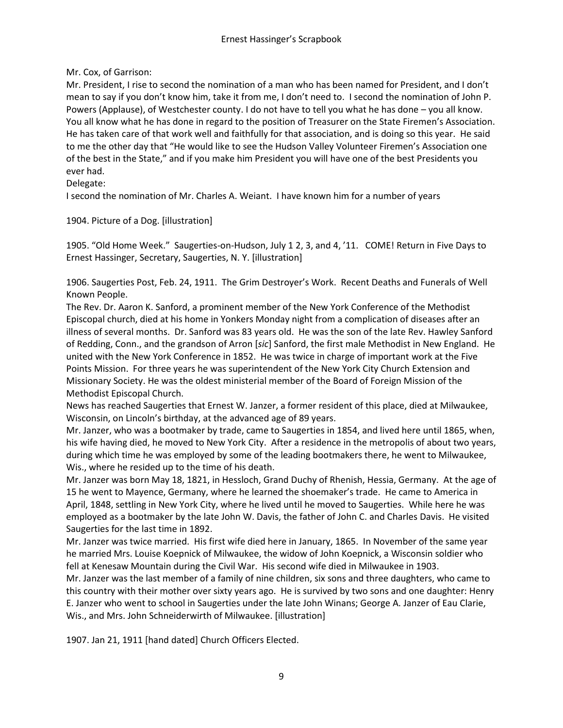## Mr. Cox, of Garrison:

Mr. President, I rise to second the nomination of a man who has been named for President, and I don't mean to say if you don't know him, take it from me, I don't need to. I second the nomination of John P. Powers (Applause), of Westchester county. I do not have to tell you what he has done – you all know. You all know what he has done in regard to the position of Treasurer on the State Firemen's Association. He has taken care of that work well and faithfully for that association, and is doing so this year. He said to me the other day that "He would like to see the Hudson Valley Volunteer Firemen's Association one of the best in the State," and if you make him President you will have one of the best Presidents you ever had.

## Delegate:

I second the nomination of Mr. Charles A. Weiant. I have known him for a number of years

## 1904. Picture of a Dog. [illustration]

1905. "Old Home Week." Saugerties-on-Hudson, July 1 2, 3, and 4, '11. COME! Return in Five Days to Ernest Hassinger, Secretary, Saugerties, N. Y. [illustration]

1906. Saugerties Post, Feb. 24, 1911. The Grim Destroyer's Work. Recent Deaths and Funerals of Well Known People.

The Rev. Dr. Aaron K. Sanford, a prominent member of the New York Conference of the Methodist Episcopal church, died at his home in Yonkers Monday night from a complication of diseases after an illness of several months. Dr. Sanford was 83 years old. He was the son of the late Rev. Hawley Sanford of Redding, Conn., and the grandson of Arron [*sic*] Sanford, the first male Methodist in New England. He united with the New York Conference in 1852. He was twice in charge of important work at the Five Points Mission. For three years he was superintendent of the New York City Church Extension and Missionary Society. He was the oldest ministerial member of the Board of Foreign Mission of the Methodist Episcopal Church.

News has reached Saugerties that Ernest W. Janzer, a former resident of this place, died at Milwaukee, Wisconsin, on Lincoln's birthday, at the advanced age of 89 years.

Mr. Janzer, who was a bootmaker by trade, came to Saugerties in 1854, and lived here until 1865, when, his wife having died, he moved to New York City. After a residence in the metropolis of about two years, during which time he was employed by some of the leading bootmakers there, he went to Milwaukee, Wis., where he resided up to the time of his death.

Mr. Janzer was born May 18, 1821, in Hessloch, Grand Duchy of Rhenish, Hessia, Germany. At the age of 15 he went to Mayence, Germany, where he learned the shoemaker's trade. He came to America in April, 1848, settling in New York City, where he lived until he moved to Saugerties. While here he was employed as a bootmaker by the late John W. Davis, the father of John C. and Charles Davis. He visited Saugerties for the last time in 1892.

Mr. Janzer was twice married. His first wife died here in January, 1865. In November of the same year he married Mrs. Louise Koepnick of Milwaukee, the widow of John Koepnick, a Wisconsin soldier who fell at Kenesaw Mountain during the Civil War. His second wife died in Milwaukee in 1903.

Mr. Janzer was the last member of a family of nine children, six sons and three daughters, who came to this country with their mother over sixty years ago. He is survived by two sons and one daughter: Henry E. Janzer who went to school in Saugerties under the late John Winans; George A. Janzer of Eau Clarie, Wis., and Mrs. John Schneiderwirth of Milwaukee. [illustration]

1907. Jan 21, 1911 [hand dated] Church Officers Elected.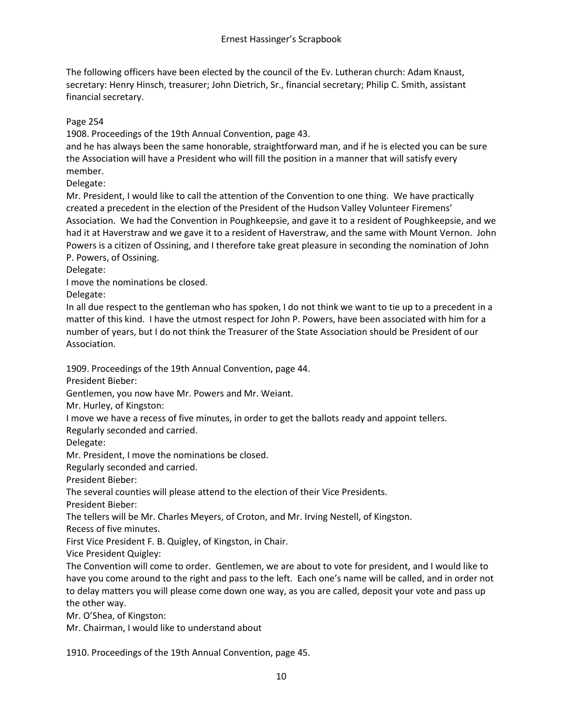The following officers have been elected by the council of the Ev. Lutheran church: Adam Knaust, secretary: Henry Hinsch, treasurer; John Dietrich, Sr., financial secretary; Philip C. Smith, assistant financial secretary.

Page 254

1908. Proceedings of the 19th Annual Convention, page 43.

and he has always been the same honorable, straightforward man, and if he is elected you can be sure the Association will have a President who will fill the position in a manner that will satisfy every member.

Delegate:

Mr. President, I would like to call the attention of the Convention to one thing. We have practically created a precedent in the election of the President of the Hudson Valley Volunteer Firemens' Association. We had the Convention in Poughkeepsie, and gave it to a resident of Poughkeepsie, and we had it at Haverstraw and we gave it to a resident of Haverstraw, and the same with Mount Vernon. John Powers is a citizen of Ossining, and I therefore take great pleasure in seconding the nomination of John P. Powers, of Ossining.

Delegate:

I move the nominations be closed.

Delegate:

In all due respect to the gentleman who has spoken, I do not think we want to tie up to a precedent in a matter of this kind. I have the utmost respect for John P. Powers, have been associated with him for a number of years, but I do not think the Treasurer of the State Association should be President of our Association.

1909. Proceedings of the 19th Annual Convention, page 44.

President Bieber:

Gentlemen, you now have Mr. Powers and Mr. Weiant.

Mr. Hurley, of Kingston:

I move we have a recess of five minutes, in order to get the ballots ready and appoint tellers.

Regularly seconded and carried.

Delegate:

Mr. President, I move the nominations be closed.

Regularly seconded and carried.

President Bieber:

The several counties will please attend to the election of their Vice Presidents.

President Bieber:

The tellers will be Mr. Charles Meyers, of Croton, and Mr. Irving Nestell, of Kingston.

Recess of five minutes.

First Vice President F. B. Quigley, of Kingston, in Chair.

Vice President Quigley:

The Convention will come to order. Gentlemen, we are about to vote for president, and I would like to have you come around to the right and pass to the left. Each one's name will be called, and in order not to delay matters you will please come down one way, as you are called, deposit your vote and pass up the other way.

Mr. O'Shea, of Kingston:

Mr. Chairman, I would like to understand about

1910. Proceedings of the 19th Annual Convention, page 45.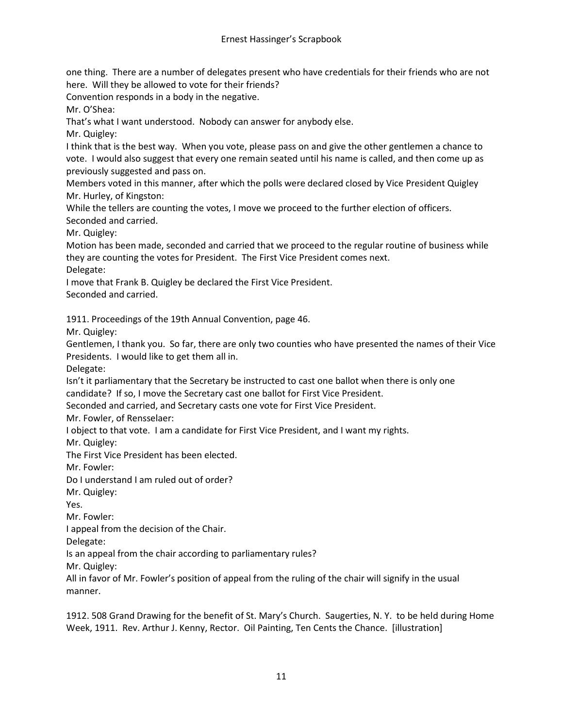one thing. There are a number of delegates present who have credentials for their friends who are not here. Will they be allowed to vote for their friends?

Convention responds in a body in the negative.

Mr. O'Shea:

That's what I want understood. Nobody can answer for anybody else.

Mr. Quigley:

I think that is the best way. When you vote, please pass on and give the other gentlemen a chance to vote. I would also suggest that every one remain seated until his name is called, and then come up as previously suggested and pass on.

Members voted in this manner, after which the polls were declared closed by Vice President Quigley Mr. Hurley, of Kingston:

While the tellers are counting the votes, I move we proceed to the further election of officers. Seconded and carried.

Mr. Quigley:

Motion has been made, seconded and carried that we proceed to the regular routine of business while they are counting the votes for President. The First Vice President comes next. Delegate:

I move that Frank B. Quigley be declared the First Vice President. Seconded and carried.

1911. Proceedings of the 19th Annual Convention, page 46.

Mr. Quigley:

Gentlemen, I thank you. So far, there are only two counties who have presented the names of their Vice Presidents. I would like to get them all in.

Delegate:

Isn't it parliamentary that the Secretary be instructed to cast one ballot when there is only one candidate? If so, I move the Secretary cast one ballot for First Vice President.

Seconded and carried, and Secretary casts one vote for First Vice President.

Mr. Fowler, of Rensselaer:

I object to that vote. I am a candidate for First Vice President, and I want my rights.

Mr. Quigley:

The First Vice President has been elected.

Mr. Fowler:

Do I understand I am ruled out of order?

Mr. Quigley:

Yes.

Mr. Fowler:

I appeal from the decision of the Chair.

Delegate:

Is an appeal from the chair according to parliamentary rules?

Mr. Quigley:

All in favor of Mr. Fowler's position of appeal from the ruling of the chair will signify in the usual manner.

1912. 508 Grand Drawing for the benefit of St. Mary's Church. Saugerties, N. Y. to be held during Home Week, 1911. Rev. Arthur J. Kenny, Rector. Oil Painting, Ten Cents the Chance. [illustration]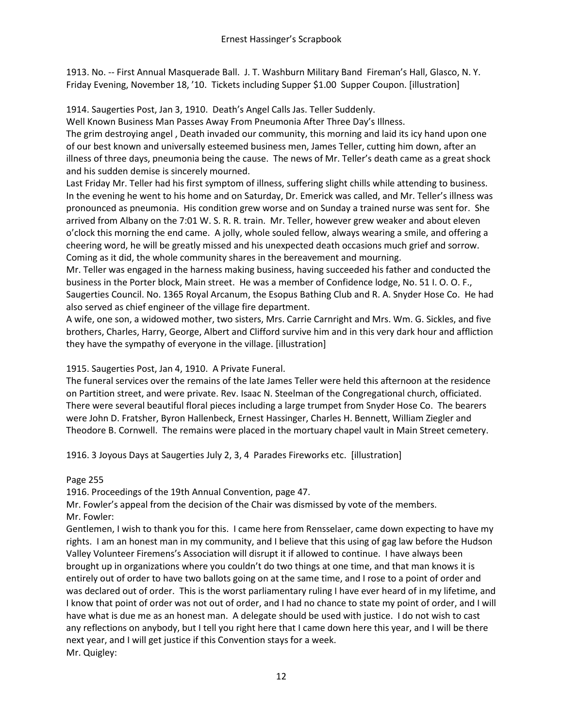1913. No. -- First Annual Masquerade Ball. J. T. Washburn Military Band Fireman's Hall, Glasco, N. Y. Friday Evening, November 18, '10. Tickets including Supper \$1.00 Supper Coupon. [illustration]

1914. Saugerties Post, Jan 3, 1910. Death's Angel Calls Jas. Teller Suddenly.

Well Known Business Man Passes Away From Pneumonia After Three Day's Illness.

The grim destroying angel , Death invaded our community, this morning and laid its icy hand upon one of our best known and universally esteemed business men, James Teller, cutting him down, after an illness of three days, pneumonia being the cause. The news of Mr. Teller's death came as a great shock and his sudden demise is sincerely mourned.

Last Friday Mr. Teller had his first symptom of illness, suffering slight chills while attending to business. In the evening he went to his home and on Saturday, Dr. Emerick was called, and Mr. Teller's illness was pronounced as pneumonia. His condition grew worse and on Sunday a trained nurse was sent for. She arrived from Albany on the 7:01 W. S. R. R. train. Mr. Teller, however grew weaker and about eleven o'clock this morning the end came. A jolly, whole souled fellow, always wearing a smile, and offering a cheering word, he will be greatly missed and his unexpected death occasions much grief and sorrow. Coming as it did, the whole community shares in the bereavement and mourning.

Mr. Teller was engaged in the harness making business, having succeeded his father and conducted the business in the Porter block, Main street. He was a member of Confidence lodge, No. 51 I. O. O. F., Saugerties Council. No. 1365 Royal Arcanum, the Esopus Bathing Club and R. A. Snyder Hose Co. He had also served as chief engineer of the village fire department.

A wife, one son, a widowed mother, two sisters, Mrs. Carrie Carnright and Mrs. Wm. G. Sickles, and five brothers, Charles, Harry, George, Albert and Clifford survive him and in this very dark hour and affliction they have the sympathy of everyone in the village. [illustration]

# 1915. Saugerties Post, Jan 4, 1910. A Private Funeral.

The funeral services over the remains of the late James Teller were held this afternoon at the residence on Partition street, and were private. Rev. Isaac N. Steelman of the Congregational church, officiated. There were several beautiful floral pieces including a large trumpet from Snyder Hose Co. The bearers were John D. Fratsher, Byron Hallenbeck, Ernest Hassinger, Charles H. Bennett, William Ziegler and Theodore B. Cornwell. The remains were placed in the mortuary chapel vault in Main Street cemetery.

1916. 3 Joyous Days at Saugerties July 2, 3, 4 Parades Fireworks etc. [illustration]

## Page 255

1916. Proceedings of the 19th Annual Convention, page 47.

Mr. Fowler's appeal from the decision of the Chair was dismissed by vote of the members. Mr. Fowler:

Gentlemen, I wish to thank you for this. I came here from Rensselaer, came down expecting to have my rights. I am an honest man in my community, and I believe that this using of gag law before the Hudson Valley Volunteer Firemens's Association will disrupt it if allowed to continue. I have always been brought up in organizations where you couldn't do two things at one time, and that man knows it is entirely out of order to have two ballots going on at the same time, and I rose to a point of order and was declared out of order. This is the worst parliamentary ruling I have ever heard of in my lifetime, and I know that point of order was not out of order, and I had no chance to state my point of order, and I will have what is due me as an honest man. A delegate should be used with justice. I do not wish to cast any reflections on anybody, but I tell you right here that I came down here this year, and I will be there next year, and I will get justice if this Convention stays for a week. Mr. Quigley: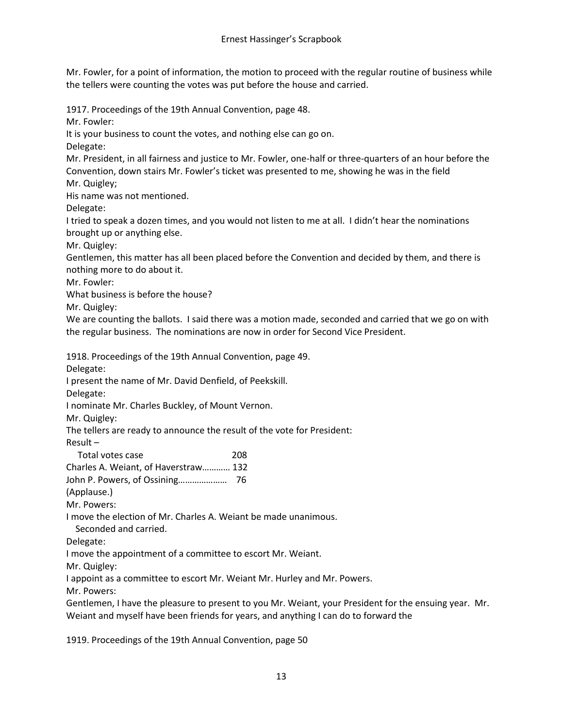Mr. Fowler, for a point of information, the motion to proceed with the regular routine of business while the tellers were counting the votes was put before the house and carried.

1917. Proceedings of the 19th Annual Convention, page 48.

Mr. Fowler:

It is your business to count the votes, and nothing else can go on.

Delegate:

Mr. President, in all fairness and justice to Mr. Fowler, one-half or three-quarters of an hour before the Convention, down stairs Mr. Fowler's ticket was presented to me, showing he was in the field Mr. Quigley;

His name was not mentioned.

Delegate:

I tried to speak a dozen times, and you would not listen to me at all. I didn't hear the nominations brought up or anything else.

Mr. Quigley:

Gentlemen, this matter has all been placed before the Convention and decided by them, and there is nothing more to do about it.

Mr. Fowler:

What business is before the house?

Mr. Quigley:

We are counting the ballots. I said there was a motion made, seconded and carried that we go on with the regular business. The nominations are now in order for Second Vice President.

1918. Proceedings of the 19th Annual Convention, page 49.

Delegate:

I present the name of Mr. David Denfield, of Peekskill.

Delegate:

I nominate Mr. Charles Buckley, of Mount Vernon.

Mr. Quigley:

The tellers are ready to announce the result of the vote for President:

Result –

| Total votes case                     | 208 |
|--------------------------------------|-----|
| Charles A. Weiant, of Haverstraw 132 |     |

John P. Powers, of Ossining………………… 76

(Applause.)

Mr. Powers:

I move the election of Mr. Charles A. Weiant be made unanimous.

Seconded and carried.

Delegate:

I move the appointment of a committee to escort Mr. Weiant.

Mr. Quigley:

I appoint as a committee to escort Mr. Weiant Mr. Hurley and Mr. Powers.

Mr. Powers:

Gentlemen, I have the pleasure to present to you Mr. Weiant, your President for the ensuing year. Mr. Weiant and myself have been friends for years, and anything I can do to forward the

1919. Proceedings of the 19th Annual Convention, page 50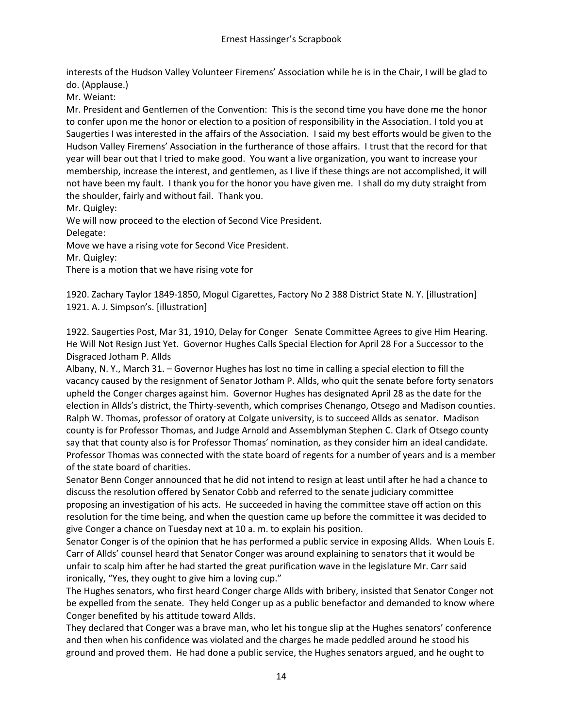interests of the Hudson Valley Volunteer Firemens' Association while he is in the Chair, I will be glad to do. (Applause.)

Mr. Weiant:

Mr. President and Gentlemen of the Convention: This is the second time you have done me the honor to confer upon me the honor or election to a position of responsibility in the Association. I told you at Saugerties I was interested in the affairs of the Association. I said my best efforts would be given to the Hudson Valley Firemens' Association in the furtherance of those affairs. I trust that the record for that year will bear out that I tried to make good. You want a live organization, you want to increase your membership, increase the interest, and gentlemen, as I live if these things are not accomplished, it will not have been my fault. I thank you for the honor you have given me. I shall do my duty straight from the shoulder, fairly and without fail. Thank you.

Mr. Quigley:

We will now proceed to the election of Second Vice President.

Delegate:

Move we have a rising vote for Second Vice President.

Mr. Quigley:

There is a motion that we have rising vote for

1920. Zachary Taylor 1849-1850, Mogul Cigarettes, Factory No 2 388 District State N. Y. [illustration] 1921. A. J. Simpson's. [illustration]

1922. Saugerties Post, Mar 31, 1910, Delay for Conger Senate Committee Agrees to give Him Hearing. He Will Not Resign Just Yet. Governor Hughes Calls Special Election for April 28 For a Successor to the Disgraced Jotham P. Allds

Albany, N. Y., March 31. – Governor Hughes has lost no time in calling a special election to fill the vacancy caused by the resignment of Senator Jotham P. Allds, who quit the senate before forty senators upheld the Conger charges against him. Governor Hughes has designated April 28 as the date for the election in Allds's district, the Thirty-seventh, which comprises Chenango, Otsego and Madison counties. Ralph W. Thomas, professor of oratory at Colgate university, is to succeed Allds as senator. Madison county is for Professor Thomas, and Judge Arnold and Assemblyman Stephen C. Clark of Otsego county say that that county also is for Professor Thomas' nomination, as they consider him an ideal candidate. Professor Thomas was connected with the state board of regents for a number of years and is a member of the state board of charities.

Senator Benn Conger announced that he did not intend to resign at least until after he had a chance to discuss the resolution offered by Senator Cobb and referred to the senate judiciary committee proposing an investigation of his acts. He succeeded in having the committee stave off action on this resolution for the time being, and when the question came up before the committee it was decided to give Conger a chance on Tuesday next at 10 a. m. to explain his position.

Senator Conger is of the opinion that he has performed a public service in exposing Allds. When Louis E. Carr of Allds' counsel heard that Senator Conger was around explaining to senators that it would be unfair to scalp him after he had started the great purification wave in the legislature Mr. Carr said ironically, "Yes, they ought to give him a loving cup."

The Hughes senators, who first heard Conger charge Allds with bribery, insisted that Senator Conger not be expelled from the senate. They held Conger up as a public benefactor and demanded to know where Conger benefited by his attitude toward Allds.

They declared that Conger was a brave man, who let his tongue slip at the Hughes senators' conference and then when his confidence was violated and the charges he made peddled around he stood his ground and proved them. He had done a public service, the Hughes senators argued, and he ought to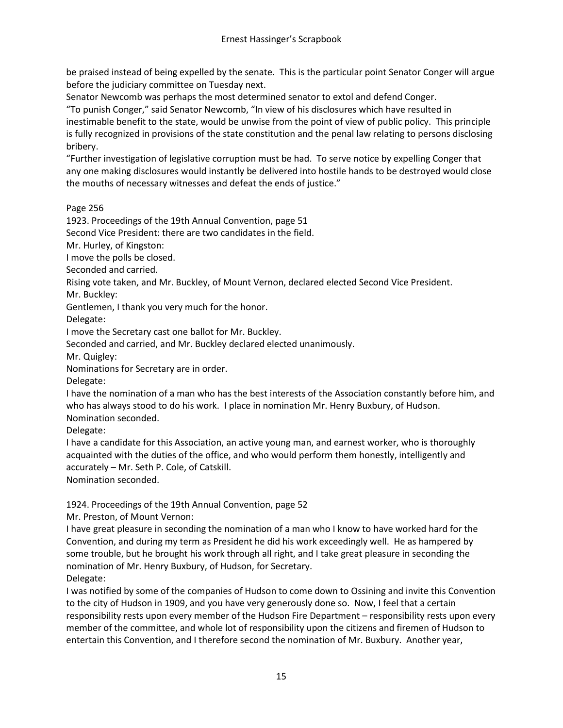be praised instead of being expelled by the senate. This is the particular point Senator Conger will argue before the judiciary committee on Tuesday next.

Senator Newcomb was perhaps the most determined senator to extol and defend Conger.

"To punish Conger," said Senator Newcomb, "In view of his disclosures which have resulted in inestimable benefit to the state, would be unwise from the point of view of public policy. This principle is fully recognized in provisions of the state constitution and the penal law relating to persons disclosing bribery.

"Further investigation of legislative corruption must be had. To serve notice by expelling Conger that any one making disclosures would instantly be delivered into hostile hands to be destroyed would close the mouths of necessary witnesses and defeat the ends of justice."

Page 256

1923. Proceedings of the 19th Annual Convention, page 51

Second Vice President: there are two candidates in the field.

Mr. Hurley, of Kingston:

I move the polls be closed.

Seconded and carried.

Rising vote taken, and Mr. Buckley, of Mount Vernon, declared elected Second Vice President.

Mr. Buckley:

Gentlemen, I thank you very much for the honor.

Delegate:

I move the Secretary cast one ballot for Mr. Buckley.

Seconded and carried, and Mr. Buckley declared elected unanimously.

Mr. Quigley:

Nominations for Secretary are in order.

Delegate:

I have the nomination of a man who has the best interests of the Association constantly before him, and who has always stood to do his work. I place in nomination Mr. Henry Buxbury, of Hudson. Nomination seconded.

Delegate:

I have a candidate for this Association, an active young man, and earnest worker, who is thoroughly acquainted with the duties of the office, and who would perform them honestly, intelligently and accurately – Mr. Seth P. Cole, of Catskill.

Nomination seconded.

1924. Proceedings of the 19th Annual Convention, page 52

Mr. Preston, of Mount Vernon:

I have great pleasure in seconding the nomination of a man who I know to have worked hard for the Convention, and during my term as President he did his work exceedingly well. He as hampered by some trouble, but he brought his work through all right, and I take great pleasure in seconding the nomination of Mr. Henry Buxbury, of Hudson, for Secretary. Delegate:

I was notified by some of the companies of Hudson to come down to Ossining and invite this Convention to the city of Hudson in 1909, and you have very generously done so. Now, I feel that a certain responsibility rests upon every member of the Hudson Fire Department – responsibility rests upon every member of the committee, and whole lot of responsibility upon the citizens and firemen of Hudson to entertain this Convention, and I therefore second the nomination of Mr. Buxbury. Another year,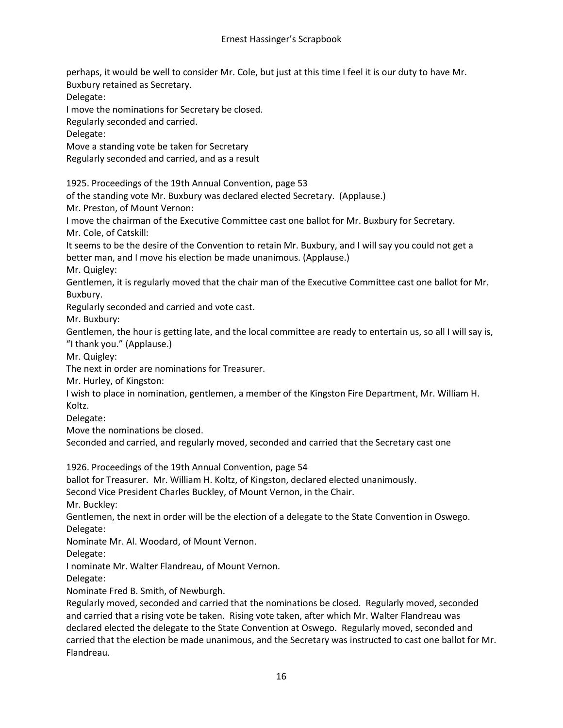perhaps, it would be well to consider Mr. Cole, but just at this time I feel it is our duty to have Mr. Buxbury retained as Secretary.

Delegate:

I move the nominations for Secretary be closed.

Regularly seconded and carried.

Delegate:

Move a standing vote be taken for Secretary

Regularly seconded and carried, and as a result

1925. Proceedings of the 19th Annual Convention, page 53

of the standing vote Mr. Buxbury was declared elected Secretary. (Applause.)

Mr. Preston, of Mount Vernon:

I move the chairman of the Executive Committee cast one ballot for Mr. Buxbury for Secretary. Mr. Cole, of Catskill:

It seems to be the desire of the Convention to retain Mr. Buxbury, and I will say you could not get a better man, and I move his election be made unanimous. (Applause.)

Mr. Quigley:

Gentlemen, it is regularly moved that the chair man of the Executive Committee cast one ballot for Mr. Buxbury.

Regularly seconded and carried and vote cast.

Mr. Buxbury:

Gentlemen, the hour is getting late, and the local committee are ready to entertain us, so all I will say is, "I thank you." (Applause.)

Mr. Quigley:

The next in order are nominations for Treasurer.

Mr. Hurley, of Kingston:

I wish to place in nomination, gentlemen, a member of the Kingston Fire Department, Mr. William H. Koltz.

Delegate:

Move the nominations be closed.

Seconded and carried, and regularly moved, seconded and carried that the Secretary cast one

1926. Proceedings of the 19th Annual Convention, page 54

ballot for Treasurer. Mr. William H. Koltz, of Kingston, declared elected unanimously.

Second Vice President Charles Buckley, of Mount Vernon, in the Chair.

Mr. Buckley:

Gentlemen, the next in order will be the election of a delegate to the State Convention in Oswego. Delegate:

Nominate Mr. Al. Woodard, of Mount Vernon.

Delegate:

I nominate Mr. Walter Flandreau, of Mount Vernon.

Delegate:

Nominate Fred B. Smith, of Newburgh.

Regularly moved, seconded and carried that the nominations be closed. Regularly moved, seconded and carried that a rising vote be taken. Rising vote taken, after which Mr. Walter Flandreau was declared elected the delegate to the State Convention at Oswego. Regularly moved, seconded and carried that the election be made unanimous, and the Secretary was instructed to cast one ballot for Mr. Flandreau.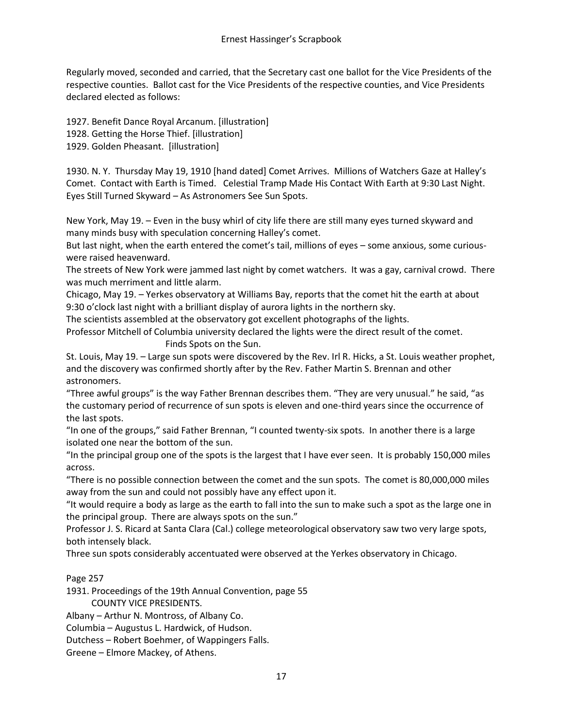Regularly moved, seconded and carried, that the Secretary cast one ballot for the Vice Presidents of the respective counties. Ballot cast for the Vice Presidents of the respective counties, and Vice Presidents declared elected as follows:

1927. Benefit Dance Royal Arcanum. [illustration] 1928. Getting the Horse Thief. [illustration] 1929. Golden Pheasant. [illustration]

1930. N. Y. Thursday May 19, 1910 [hand dated] Comet Arrives. Millions of Watchers Gaze at Halley's Comet. Contact with Earth is Timed. Celestial Tramp Made His Contact With Earth at 9:30 Last Night. Eyes Still Turned Skyward – As Astronomers See Sun Spots.

New York, May 19. – Even in the busy whirl of city life there are still many eyes turned skyward and many minds busy with speculation concerning Halley's comet.

But last night, when the earth entered the comet's tail, millions of eyes – some anxious, some curiouswere raised heavenward.

The streets of New York were jammed last night by comet watchers. It was a gay, carnival crowd. There was much merriment and little alarm.

Chicago, May 19. – Yerkes observatory at Williams Bay, reports that the comet hit the earth at about 9:30 o'clock last night with a brilliant display of aurora lights in the northern sky.

The scientists assembled at the observatory got excellent photographs of the lights.

Professor Mitchell of Columbia university declared the lights were the direct result of the comet. Finds Spots on the Sun.

St. Louis, May 19. – Large sun spots were discovered by the Rev. Irl R. Hicks, a St. Louis weather prophet, and the discovery was confirmed shortly after by the Rev. Father Martin S. Brennan and other astronomers.

"Three awful groups" is the way Father Brennan describes them. "They are very unusual." he said, "as the customary period of recurrence of sun spots is eleven and one-third years since the occurrence of the last spots.

"In one of the groups," said Father Brennan, "I counted twenty-six spots. In another there is a large isolated one near the bottom of the sun.

"In the principal group one of the spots is the largest that I have ever seen. It is probably 150,000 miles across.

"There is no possible connection between the comet and the sun spots. The comet is 80,000,000 miles away from the sun and could not possibly have any effect upon it.

"It would require a body as large as the earth to fall into the sun to make such a spot as the large one in the principal group. There are always spots on the sun."

Professor J. S. Ricard at Santa Clara (Cal.) college meteorological observatory saw two very large spots, both intensely black.

Three sun spots considerably accentuated were observed at the Yerkes observatory in Chicago.

## Page 257

1931. Proceedings of the 19th Annual Convention, page 55

COUNTY VICE PRESIDENTS.

Albany – Arthur N. Montross, of Albany Co.

Columbia – Augustus L. Hardwick, of Hudson.

Dutchess – Robert Boehmer, of Wappingers Falls.

Greene – Elmore Mackey, of Athens.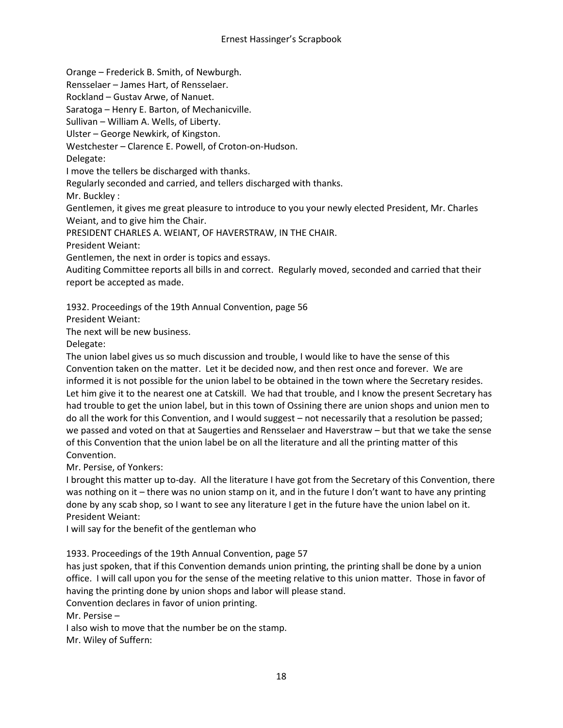Orange – Frederick B. Smith, of Newburgh.

Rensselaer – James Hart, of Rensselaer.

Rockland – Gustav Arwe, of Nanuet.

Saratoga – Henry E. Barton, of Mechanicville.

Sullivan – William A. Wells, of Liberty.

Ulster – George Newkirk, of Kingston.

Westchester – Clarence E. Powell, of Croton-on-Hudson.

Delegate:

I move the tellers be discharged with thanks.

Regularly seconded and carried, and tellers discharged with thanks.

Mr. Buckley :

Gentlemen, it gives me great pleasure to introduce to you your newly elected President, Mr. Charles Weiant, and to give him the Chair.

PRESIDENT CHARLES A. WEIANT, OF HAVERSTRAW, IN THE CHAIR.

President Weiant:

Gentlemen, the next in order is topics and essays.

Auditing Committee reports all bills in and correct. Regularly moved, seconded and carried that their report be accepted as made.

1932. Proceedings of the 19th Annual Convention, page 56

President Weiant:

The next will be new business.

Delegate:

The union label gives us so much discussion and trouble, I would like to have the sense of this Convention taken on the matter. Let it be decided now, and then rest once and forever. We are informed it is not possible for the union label to be obtained in the town where the Secretary resides. Let him give it to the nearest one at Catskill. We had that trouble, and I know the present Secretary has had trouble to get the union label, but in this town of Ossining there are union shops and union men to do all the work for this Convention, and I would suggest – not necessarily that a resolution be passed; we passed and voted on that at Saugerties and Rensselaer and Haverstraw – but that we take the sense of this Convention that the union label be on all the literature and all the printing matter of this Convention.

Mr. Persise, of Yonkers:

I brought this matter up to-day. All the literature I have got from the Secretary of this Convention, there was nothing on it – there was no union stamp on it, and in the future I don't want to have any printing done by any scab shop, so I want to see any literature I get in the future have the union label on it. President Weiant:

I will say for the benefit of the gentleman who

1933. Proceedings of the 19th Annual Convention, page 57

has just spoken, that if this Convention demands union printing, the printing shall be done by a union office. I will call upon you for the sense of the meeting relative to this union matter. Those in favor of having the printing done by union shops and labor will please stand.

Convention declares in favor of union printing.

Mr. Persise –

I also wish to move that the number be on the stamp.

Mr. Wiley of Suffern: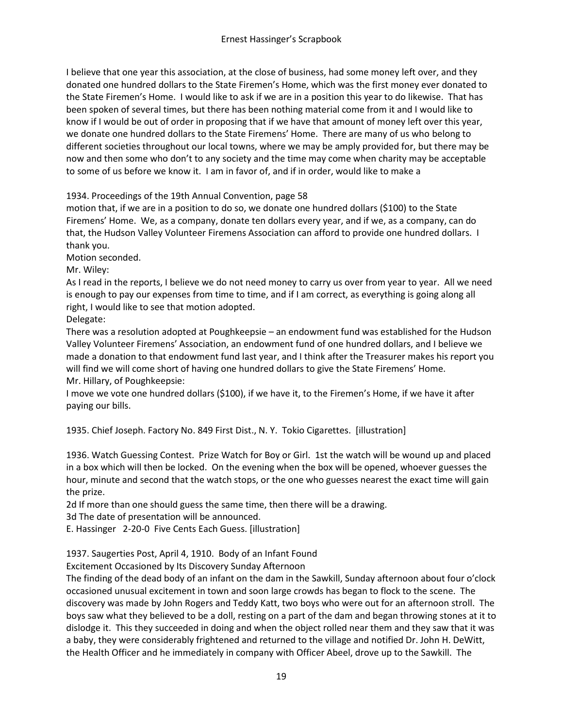I believe that one year this association, at the close of business, had some money left over, and they donated one hundred dollars to the State Firemen's Home, which was the first money ever donated to the State Firemen's Home. I would like to ask if we are in a position this year to do likewise. That has been spoken of several times, but there has been nothing material come from it and I would like to know if I would be out of order in proposing that if we have that amount of money left over this year, we donate one hundred dollars to the State Firemens' Home. There are many of us who belong to different societies throughout our local towns, where we may be amply provided for, but there may be now and then some who don't to any society and the time may come when charity may be acceptable to some of us before we know it. I am in favor of, and if in order, would like to make a

1934. Proceedings of the 19th Annual Convention, page 58

motion that, if we are in a position to do so, we donate one hundred dollars (\$100) to the State Firemens' Home. We, as a company, donate ten dollars every year, and if we, as a company, can do that, the Hudson Valley Volunteer Firemens Association can afford to provide one hundred dollars. I thank you.

Motion seconded.

Mr. Wiley:

As I read in the reports, I believe we do not need money to carry us over from year to year. All we need is enough to pay our expenses from time to time, and if I am correct, as everything is going along all right, I would like to see that motion adopted.

Delegate:

There was a resolution adopted at Poughkeepsie – an endowment fund was established for the Hudson Valley Volunteer Firemens' Association, an endowment fund of one hundred dollars, and I believe we made a donation to that endowment fund last year, and I think after the Treasurer makes his report you will find we will come short of having one hundred dollars to give the State Firemens' Home. Mr. Hillary, of Poughkeepsie:

I move we vote one hundred dollars (\$100), if we have it, to the Firemen's Home, if we have it after paying our bills.

1935. Chief Joseph. Factory No. 849 First Dist., N. Y. Tokio Cigarettes. [illustration]

1936. Watch Guessing Contest. Prize Watch for Boy or Girl. 1st the watch will be wound up and placed in a box which will then be locked. On the evening when the box will be opened, whoever guesses the hour, minute and second that the watch stops, or the one who guesses nearest the exact time will gain the prize.

2d If more than one should guess the same time, then there will be a drawing.

3d The date of presentation will be announced.

E. Hassinger 2-20-0 Five Cents Each Guess. [illustration]

1937. Saugerties Post, April 4, 1910. Body of an Infant Found

Excitement Occasioned by Its Discovery Sunday Afternoon

The finding of the dead body of an infant on the dam in the Sawkill, Sunday afternoon about four o'clock occasioned unusual excitement in town and soon large crowds has began to flock to the scene. The discovery was made by John Rogers and Teddy Katt, two boys who were out for an afternoon stroll. The boys saw what they believed to be a doll, resting on a part of the dam and began throwing stones at it to dislodge it. This they succeeded in doing and when the object rolled near them and they saw that it was a baby, they were considerably frightened and returned to the village and notified Dr. John H. DeWitt, the Health Officer and he immediately in company with Officer Abeel, drove up to the Sawkill. The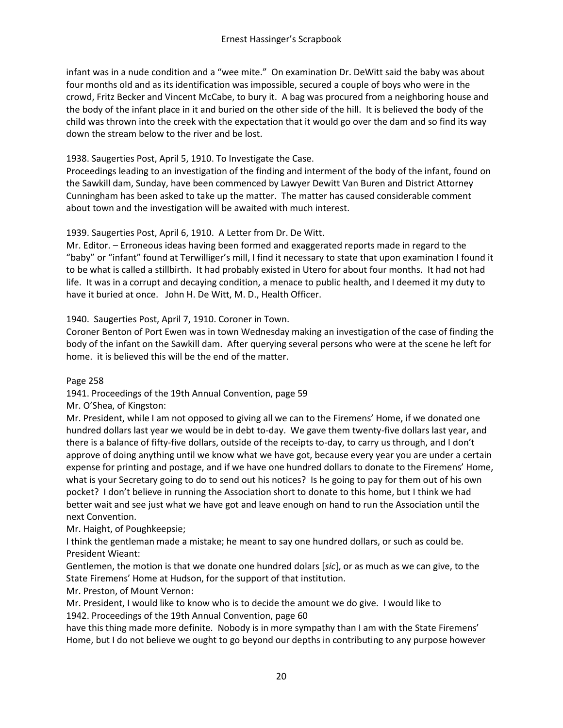infant was in a nude condition and a "wee mite." On examination Dr. DeWitt said the baby was about four months old and as its identification was impossible, secured a couple of boys who were in the crowd, Fritz Becker and Vincent McCabe, to bury it. A bag was procured from a neighboring house and the body of the infant place in it and buried on the other side of the hill. It is believed the body of the child was thrown into the creek with the expectation that it would go over the dam and so find its way down the stream below to the river and be lost.

## 1938. Saugerties Post, April 5, 1910. To Investigate the Case.

Proceedings leading to an investigation of the finding and interment of the body of the infant, found on the Sawkill dam, Sunday, have been commenced by Lawyer Dewitt Van Buren and District Attorney Cunningham has been asked to take up the matter. The matter has caused considerable comment about town and the investigation will be awaited with much interest.

## 1939. Saugerties Post, April 6, 1910. A Letter from Dr. De Witt.

Mr. Editor. – Erroneous ideas having been formed and exaggerated reports made in regard to the "baby" or "infant" found at Terwilliger's mill, I find it necessary to state that upon examination I found it to be what is called a stillbirth. It had probably existed in Utero for about four months. It had not had life. It was in a corrupt and decaying condition, a menace to public health, and I deemed it my duty to have it buried at once. John H. De Witt, M. D., Health Officer.

## 1940. Saugerties Post, April 7, 1910. Coroner in Town.

Coroner Benton of Port Ewen was in town Wednesday making an investigation of the case of finding the body of the infant on the Sawkill dam. After querying several persons who were at the scene he left for home. it is believed this will be the end of the matter.

#### Page 258

1941. Proceedings of the 19th Annual Convention, page 59

Mr. O'Shea, of Kingston:

Mr. President, while I am not opposed to giving all we can to the Firemens' Home, if we donated one hundred dollars last year we would be in debt to-day. We gave them twenty-five dollars last year, and there is a balance of fifty-five dollars, outside of the receipts to-day, to carry us through, and I don't approve of doing anything until we know what we have got, because every year you are under a certain expense for printing and postage, and if we have one hundred dollars to donate to the Firemens' Home, what is your Secretary going to do to send out his notices? Is he going to pay for them out of his own pocket? I don't believe in running the Association short to donate to this home, but I think we had better wait and see just what we have got and leave enough on hand to run the Association until the next Convention.

Mr. Haight, of Poughkeepsie;

I think the gentleman made a mistake; he meant to say one hundred dollars, or such as could be. President Wieant:

Gentlemen, the motion is that we donate one hundred dolars [*sic*], or as much as we can give, to the State Firemens' Home at Hudson, for the support of that institution.

Mr. Preston, of Mount Vernon:

Mr. President, I would like to know who is to decide the amount we do give. I would like to 1942. Proceedings of the 19th Annual Convention, page 60

have this thing made more definite. Nobody is in more sympathy than I am with the State Firemens' Home, but I do not believe we ought to go beyond our depths in contributing to any purpose however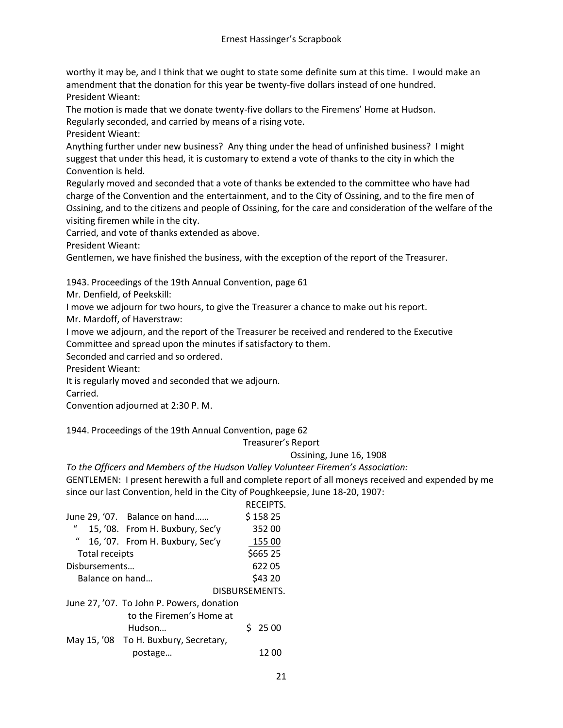worthy it may be, and I think that we ought to state some definite sum at this time. I would make an amendment that the donation for this year be twenty-five dollars instead of one hundred. President Wieant:

The motion is made that we donate twenty-five dollars to the Firemens' Home at Hudson.

Regularly seconded, and carried by means of a rising vote.

President Wieant:

Anything further under new business? Any thing under the head of unfinished business? I might suggest that under this head, it is customary to extend a vote of thanks to the city in which the Convention is held.

Regularly moved and seconded that a vote of thanks be extended to the committee who have had charge of the Convention and the entertainment, and to the City of Ossining, and to the fire men of Ossining, and to the citizens and people of Ossining, for the care and consideration of the welfare of the visiting firemen while in the city.

Carried, and vote of thanks extended as above.

President Wieant:

Gentlemen, we have finished the business, with the exception of the report of the Treasurer.

1943. Proceedings of the 19th Annual Convention, page 61

Mr. Denfield, of Peekskill:

I move we adjourn for two hours, to give the Treasurer a chance to make out his report.

Mr. Mardoff, of Haverstraw:

I move we adjourn, and the report of the Treasurer be received and rendered to the Executive Committee and spread upon the minutes if satisfactory to them.

Seconded and carried and so ordered.

President Wieant:

It is regularly moved and seconded that we adjourn.

Carried.

Convention adjourned at 2:30 P. M.

1944. Proceedings of the 19th Annual Convention, page 62

Treasurer's Report

Ossining, June 16, 1908

*To the Officers and Members of the Hudson Valley Volunteer Firemen's Association:*

GENTLEMEN: I present herewith a full and complete report of all moneys received and expended by me since our last Convention, held in the City of Poughkeepsie, June 18-20, 1907:

|                 |                                           | RECEIPTS.      |
|-----------------|-------------------------------------------|----------------|
|                 | June 29, '07. Balance on hand             | \$15825        |
| $\iota$         | 15, '08. From H. Buxbury, Sec'y           | 352 00         |
| $\iota$         | 16, '07. From H. Buxbury, Sec'y           | 155 00         |
| Total receipts  |                                           | \$665 25       |
| Disbursements   |                                           | 62205          |
| Balance on hand |                                           | \$43 20        |
|                 |                                           | DISBURSEMENTS. |
|                 | June 27, '07. To John P. Powers, donation |                |
|                 | to the Firemen's Home at                  |                |
|                 | Hudson                                    | $S$ 25 00      |
|                 | May 15, '08 To H. Buxbury, Secretary,     |                |
|                 | postage                                   | 12 OC          |
|                 |                                           |                |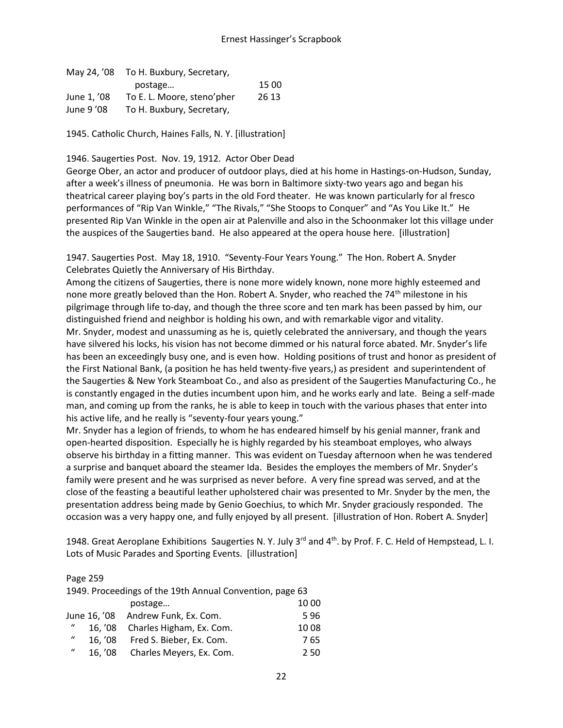#### Ernest Hassinger's Scrapbook

| May 24, '08 | To H. Buxbury, Secretary,  |       |
|-------------|----------------------------|-------|
|             | postage                    | 15 00 |
| June 1. '08 | To E. L. Moore, steno'pher | 26 13 |
| June 9 '08  | To H. Buxbury, Secretary,  |       |

1945. Catholic Church, Haines Falls, N. Y. [illustration]

#### 1946. Saugerties Post. Nov. 19, 1912. Actor Ober Dead

George Ober, an actor and producer of outdoor plays, died at his home in Hastings-on-Hudson, Sunday, after a week's illness of pneumonia. He was born in Baltimore sixty-two years ago and began his theatrical career playing boy's parts in the old Ford theater. He was known particularly for al fresco performances of "Rip Van Winkle," "The Rivals," "She Stoops to Conquer" and "As You Like It." He presented Rip Van Winkle in the open air at Palenville and also in the Schoonmaker lot this village under the auspices of the Saugerties band. He also appeared at the opera house here. [illustration]

1947. Saugerties Post. May 18, 1910. "Seventy-Four Years Young." The Hon. Robert A. Snyder Celebrates Quietly the Anniversary of His Birthday.

Among the citizens of Saugerties, there is none more widely known, none more highly esteemed and none more greatly beloved than the Hon. Robert A. Snyder, who reached the 74<sup>th</sup> milestone in his pilgrimage through life to-day, and though the three score and ten mark has been passed by him, our distinguished friend and neighbor is holding his own, and with remarkable vigor and vitality. Mr. Snyder, modest and unassuming as he is, quietly celebrated the anniversary, and though the years have silvered his locks, his vision has not become dimmed or his natural force abated. Mr. Snyder's life has been an exceedingly busy one, and is even how. Holding positions of trust and honor as president of the First National Bank, (a position he has held twenty-five years,) as president and superintendent of the Saugerties & New York Steamboat Co., and also as president of the Saugerties Manufacturing Co., he is constantly engaged in the duties incumbent upon him, and he works early and late. Being a self-made man, and coming up from the ranks, he is able to keep in touch with the various phases that enter into his active life, and he really is "seventy-four years young."

Mr. Snyder has a legion of friends, to whom he has endeared himself by his genial manner, frank and open-hearted disposition. Especially he is highly regarded by his steamboat employes, who always observe his birthday in a fitting manner. This was evident on Tuesday afternoon when he was tendered a surprise and banquet aboard the steamer Ida. Besides the employes the members of Mr. Snyder's family were present and he was surprised as never before. A very fine spread was served, and at the close of the feasting a beautiful leather upholstered chair was presented to Mr. Snyder by the men, the presentation address being made by Genio Goechius, to which Mr. Snyder graciously responded. The occasion was a very happy one, and fully enjoyed by all present. [illustration of Hon. Robert A. Snyder]

1948. Great Aeroplane Exhibitions Saugerties N.Y. July  $3^{rd}$  and  $4^{th}$ . by Prof. F.C. Held of Hempstead, L.I. Lots of Music Parades and Sporting Events. [illustration]

#### Page 259

| 1949. Proceedings of the 19th Annual Convention, page 63 |         |                                    |      |
|----------------------------------------------------------|---------|------------------------------------|------|
|                                                          |         | postage                            | 1000 |
|                                                          |         | June 16, '08 Andrew Funk, Ex. Com. | 596  |
| $\mathcal{U}$                                            | 16.708  | Charles Higham, Ex. Com.           | 1008 |
| $\boldsymbol{u}$                                         | 16.708  | Fred S. Bieber, Ex. Com.           | 765  |
| $\bf{u}$                                                 | 16, '08 | Charles Meyers, Ex. Com.           | 2.50 |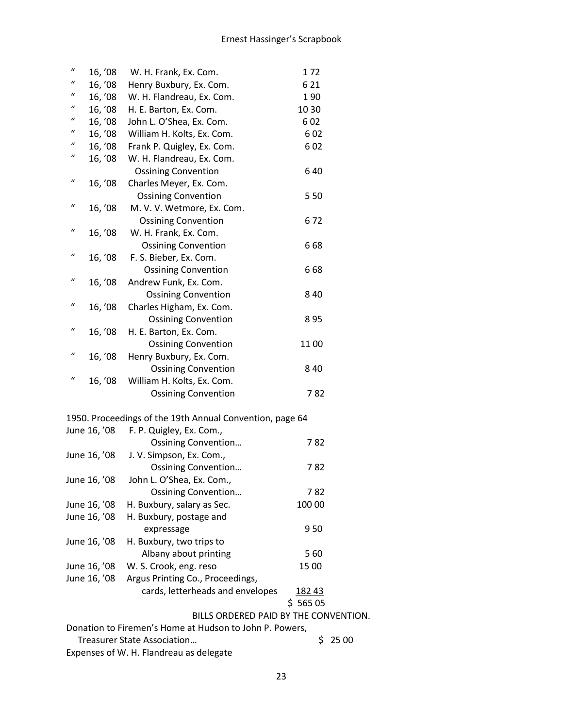| $\boldsymbol{u}$ | 16, '08                                                 | W. H. Frank, Ex. Com.                                    | 172     |  |
|------------------|---------------------------------------------------------|----------------------------------------------------------|---------|--|
| $\boldsymbol{u}$ | 16, '08                                                 | Henry Buxbury, Ex. Com.                                  | 6 2 1   |  |
| "                | 16, '08                                                 | W. H. Flandreau, Ex. Com.                                | 190     |  |
| "                | 16, '08                                                 | H. E. Barton, Ex. Com.                                   | 10 30   |  |
| $\iota$          | 16, '08                                                 | John L. O'Shea, Ex. Com.                                 | 602     |  |
| $\boldsymbol{u}$ | 16, '08                                                 | William H. Kolts, Ex. Com.                               | 602     |  |
| "                | 16, '08                                                 | Frank P. Quigley, Ex. Com.                               | 602     |  |
| $\mathcal{U}$    | 16, '08                                                 | W. H. Flandreau, Ex. Com.                                |         |  |
|                  |                                                         | <b>Ossining Convention</b>                               | 640     |  |
| $\boldsymbol{u}$ | 16, '08                                                 | Charles Meyer, Ex. Com.                                  |         |  |
|                  |                                                         | <b>Ossining Convention</b>                               | 550     |  |
| "                | 16, '08                                                 | M. V. V. Wetmore, Ex. Com.                               |         |  |
|                  |                                                         | <b>Ossining Convention</b>                               | 672     |  |
| $\boldsymbol{u}$ | 16, '08                                                 | W. H. Frank, Ex. Com.                                    |         |  |
|                  |                                                         | <b>Ossining Convention</b>                               | 668     |  |
| "                |                                                         |                                                          |         |  |
|                  | 16, '08                                                 | F. S. Bieber, Ex. Com.                                   |         |  |
| $\boldsymbol{u}$ |                                                         | <b>Ossining Convention</b>                               | 668     |  |
|                  | 16, '08                                                 | Andrew Funk, Ex. Com.                                    |         |  |
| $\boldsymbol{u}$ |                                                         | <b>Ossining Convention</b>                               | 840     |  |
|                  | 16, '08                                                 | Charles Higham, Ex. Com.                                 |         |  |
|                  |                                                         | <b>Ossining Convention</b>                               | 895     |  |
| $\boldsymbol{u}$ | 16, '08                                                 | H. E. Barton, Ex. Com.                                   |         |  |
|                  |                                                         | <b>Ossining Convention</b>                               | 1100    |  |
| $\boldsymbol{u}$ | 16, '08                                                 | Henry Buxbury, Ex. Com.                                  |         |  |
|                  |                                                         | <b>Ossining Convention</b>                               | 840     |  |
| $\boldsymbol{u}$ | 16, '08                                                 | William H. Kolts, Ex. Com.                               |         |  |
|                  |                                                         | <b>Ossining Convention</b>                               | 782     |  |
|                  |                                                         | 1950. Proceedings of the 19th Annual Convention, page 64 |         |  |
|                  | June 16, '08                                            | F. P. Quigley, Ex. Com.,                                 |         |  |
|                  |                                                         | <b>Ossining Convention</b>                               | 782     |  |
|                  | June 16, '08                                            | J. V. Simpson, Ex. Com.,                                 |         |  |
|                  |                                                         | <b>Ossining Convention</b>                               | 782     |  |
|                  | June 16, '08                                            | John L. O'Shea, Ex. Com.,                                |         |  |
|                  |                                                         | <b>Ossining Convention</b>                               | 782     |  |
|                  | June 16, '08                                            | H. Buxbury, salary as Sec.                               | 100 00  |  |
|                  | June 16, '08                                            | H. Buxbury, postage and                                  |         |  |
|                  |                                                         | expressage                                               | 950     |  |
|                  | June 16, '08                                            | H. Buxbury, two trips to                                 |         |  |
|                  |                                                         | Albany about printing                                    | 560     |  |
|                  | June 16, '08                                            | W. S. Crook, eng. reso                                   | 15 00   |  |
|                  | June 16, '08                                            | Argus Printing Co., Proceedings,                         |         |  |
|                  |                                                         | cards, letterheads and envelopes                         | 182 43  |  |
|                  |                                                         |                                                          | \$56505 |  |
|                  |                                                         | BILLS ORDERED PAID BY THE CONVENTION.                    |         |  |
|                  | Donation to Firemen's Home at Hudson to John P. Powers, |                                                          |         |  |
|                  | <b>Treasurer State Association</b><br>\$<br>25 00       |                                                          |         |  |
|                  |                                                         | Expenses of W. H. Flandreau as delegate                  |         |  |
|                  |                                                         |                                                          |         |  |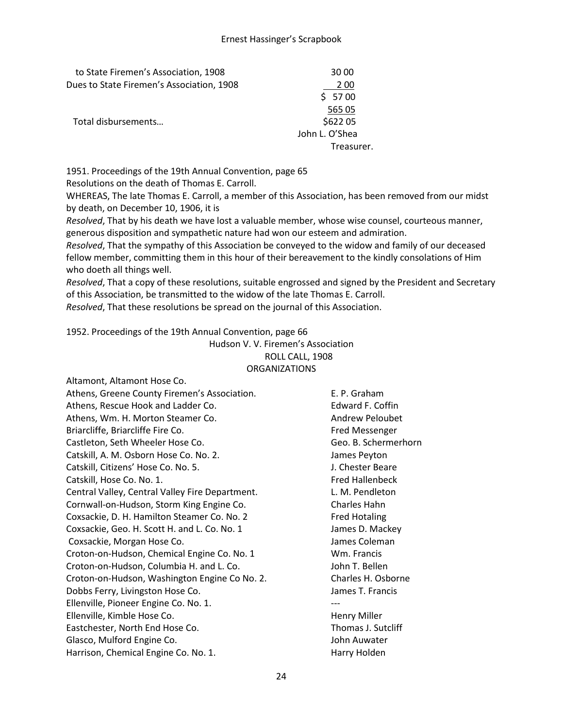| to State Firemen's Association, 1908      | 30 00          |
|-------------------------------------------|----------------|
| Dues to State Firemen's Association, 1908 | 200            |
|                                           | \$5700         |
|                                           | 565 05         |
| Total disbursements                       | \$622 05       |
|                                           | John L. O'Shea |
|                                           | Treasurer.     |

1951. Proceedings of the 19th Annual Convention, page 65

Resolutions on the death of Thomas E. Carroll.

WHEREAS, The late Thomas E. Carroll, a member of this Association, has been removed from our midst by death, on December 10, 1906, it is

*Resolved*, That by his death we have lost a valuable member, whose wise counsel, courteous manner, generous disposition and sympathetic nature had won our esteem and admiration.

*Resolved*, That the sympathy of this Association be conveyed to the widow and family of our deceased fellow member, committing them in this hour of their bereavement to the kindly consolations of Him who doeth all things well.

*Resolved*, That a copy of these resolutions, suitable engrossed and signed by the President and Secretary of this Association, be transmitted to the widow of the late Thomas E. Carroll.

*Resolved*, That these resolutions be spread on the journal of this Association.

1952. Proceedings of the 19th Annual Convention, page 66

Hudson V. V. Firemen's Association ROLL CALL, 1908 ORGANIZATIONS

| Altamont, Altamont Hose Co.                     |                        |
|-------------------------------------------------|------------------------|
| Athens, Greene County Firemen's Association.    | E. P. Graham           |
| Athens, Rescue Hook and Ladder Co.              | Edward F. Coffin       |
| Athens, Wm. H. Morton Steamer Co.               | <b>Andrew Peloubet</b> |
| Briarcliffe, Briarcliffe Fire Co.               | Fred Messenger         |
| Castleton, Seth Wheeler Hose Co.                | Geo. B. Schermerho     |
| Catskill, A. M. Osborn Hose Co. No. 2.          | James Peyton           |
| Catskill, Citizens' Hose Co. No. 5.             | J. Chester Beare       |
| Catskill, Hose Co. No. 1.                       | <b>Fred Hallenbeck</b> |
| Central Valley, Central Valley Fire Department. | L. M. Pendleton        |
| Cornwall-on-Hudson, Storm King Engine Co.       | Charles Hahn           |
| Coxsackie, D. H. Hamilton Steamer Co. No. 2     | <b>Fred Hotaling</b>   |
| Coxsackie, Geo. H. Scott H. and L. Co. No. 1    | James D. Mackey        |
| Coxsackie, Morgan Hose Co.                      | James Coleman          |
| Croton-on-Hudson, Chemical Engine Co. No. 1     | Wm. Francis            |
| Croton-on-Hudson, Columbia H. and L. Co.        | John T. Bellen         |
| Croton-on-Hudson, Washington Engine Co No. 2.   | Charles H. Osborne     |
| Dobbs Ferry, Livingston Hose Co.                | James T. Francis       |
| Ellenville, Pioneer Engine Co. No. 1.           |                        |
| Ellenville, Kimble Hose Co.                     | Henry Miller           |
| Eastchester, North End Hose Co.                 | Thomas J. Sutcliff     |
| Glasco, Mulford Engine Co.                      | John Auwater           |
| Harrison, Chemical Engine Co. No. 1.            | Harry Holden           |

ermerhorn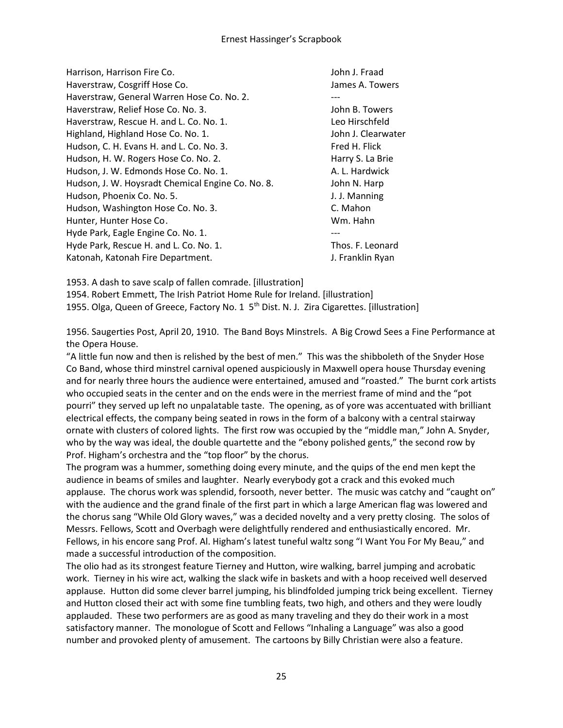| Harrison, Harrison Fire Co.                       | John J. Fraad      |
|---------------------------------------------------|--------------------|
| Haverstraw, Cosgriff Hose Co.                     | James A. Towers    |
| Haverstraw, General Warren Hose Co. No. 2.        |                    |
| Haverstraw, Relief Hose Co. No. 3.                | John B. Towers     |
| Haverstraw, Rescue H. and L. Co. No. 1.           | Leo Hirschfeld     |
| Highland, Highland Hose Co. No. 1.                | John J. Clearwater |
| Hudson, C. H. Evans H. and L. Co. No. 3.          | Fred H. Flick      |
| Hudson, H. W. Rogers Hose Co. No. 2.              | Harry S. La Brie   |
| Hudson, J. W. Edmonds Hose Co. No. 1.             | A. L. Hardwick     |
| Hudson, J. W. Hoysradt Chemical Engine Co. No. 8. | John N. Harp       |
| Hudson, Phoenix Co. No. 5.                        | J. J. Manning      |
| Hudson, Washington Hose Co. No. 3.                | C. Mahon           |
| Hunter, Hunter Hose Co.                           | Wm. Hahn           |
| Hyde Park, Eagle Engine Co. No. 1.                |                    |
| Hyde Park, Rescue H. and L. Co. No. 1.            | Thos. F. Leonard   |
| Katonah, Katonah Fire Department.                 | J. Franklin Ryan   |

1953. A dash to save scalp of fallen comrade. [illustration]

1954. Robert Emmett, The Irish Patriot Home Rule for Ireland. [illustration] 1955. Olga, Queen of Greece, Factory No. 1 5<sup>th</sup> Dist. N. J. Zira Cigarettes. [illustration]

1956. Saugerties Post, April 20, 1910. The Band Boys Minstrels. A Big Crowd Sees a Fine Performance at the Opera House.

"A little fun now and then is relished by the best of men." This was the shibboleth of the Snyder Hose Co Band, whose third minstrel carnival opened auspiciously in Maxwell opera house Thursday evening and for nearly three hours the audience were entertained, amused and "roasted." The burnt cork artists who occupied seats in the center and on the ends were in the merriest frame of mind and the "pot pourri" they served up left no unpalatable taste. The opening, as of yore was accentuated with brilliant electrical effects, the company being seated in rows in the form of a balcony with a central stairway ornate with clusters of colored lights. The first row was occupied by the "middle man," John A. Snyder, who by the way was ideal, the double quartette and the "ebony polished gents," the second row by Prof. Higham's orchestra and the "top floor" by the chorus.

The program was a hummer, something doing every minute, and the quips of the end men kept the audience in beams of smiles and laughter. Nearly everybody got a crack and this evoked much applause. The chorus work was splendid, forsooth, never better. The music was catchy and "caught on" with the audience and the grand finale of the first part in which a large American flag was lowered and the chorus sang "While Old Glory waves," was a decided novelty and a very pretty closing. The solos of Messrs. Fellows, Scott and Overbagh were delightfully rendered and enthusiastically encored. Mr. Fellows, in his encore sang Prof. Al. Higham's latest tuneful waltz song "I Want You For My Beau," and made a successful introduction of the composition.

The olio had as its strongest feature Tierney and Hutton, wire walking, barrel jumping and acrobatic work. Tierney in his wire act, walking the slack wife in baskets and with a hoop received well deserved applause. Hutton did some clever barrel jumping, his blindfolded jumping trick being excellent. Tierney and Hutton closed their act with some fine tumbling feats, two high, and others and they were loudly applauded. These two performers are as good as many traveling and they do their work in a most satisfactory manner. The monologue of Scott and Fellows "Inhaling a Language" was also a good number and provoked plenty of amusement. The cartoons by Billy Christian were also a feature.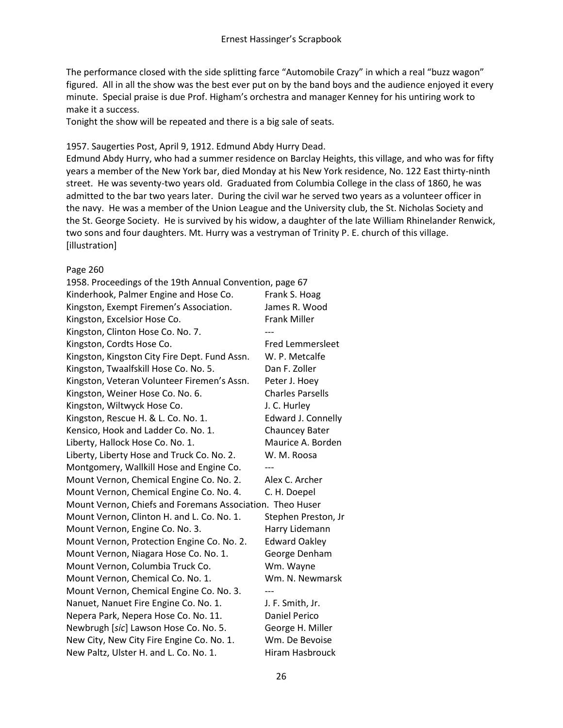The performance closed with the side splitting farce "Automobile Crazy" in which a real "buzz wagon" figured. All in all the show was the best ever put on by the band boys and the audience enjoyed it every minute. Special praise is due Prof. Higham's orchestra and manager Kenney for his untiring work to make it a success.

Tonight the show will be repeated and there is a big sale of seats.

#### 1957. Saugerties Post, April 9, 1912. Edmund Abdy Hurry Dead.

Edmund Abdy Hurry, who had a summer residence on Barclay Heights, this village, and who was for fifty years a member of the New York bar, died Monday at his New York residence, No. 122 East thirty-ninth street. He was seventy-two years old. Graduated from Columbia College in the class of 1860, he was admitted to the bar two years later. During the civil war he served two years as a volunteer officer in the navy. He was a member of the Union League and the University club, the St. Nicholas Society and the St. George Society. He is survived by his widow, a daughter of the late William Rhinelander Renwick, two sons and four daughters. Mt. Hurry was a vestryman of Trinity P. E. church of this village. [illustration]

#### Page 260

| 1958. Proceedings of the 19th Annual Convention, page 67  |                         |
|-----------------------------------------------------------|-------------------------|
| Kinderhook, Palmer Engine and Hose Co.                    | Frank S. Hoag           |
| Kingston, Exempt Firemen's Association.                   | James R. Wood           |
| Kingston, Excelsior Hose Co.                              | <b>Frank Miller</b>     |
| Kingston, Clinton Hose Co. No. 7.                         |                         |
| Kingston, Cordts Hose Co.                                 | <b>Fred Lemmersleet</b> |
| Kingston, Kingston City Fire Dept. Fund Assn.             | W. P. Metcalfe          |
| Kingston, Twaalfskill Hose Co. No. 5.                     | Dan F. Zoller           |
| Kingston, Veteran Volunteer Firemen's Assn.               | Peter J. Hoey           |
| Kingston, Weiner Hose Co. No. 6.                          | <b>Charles Parsells</b> |
| Kingston, Wiltwyck Hose Co.                               | J. C. Hurley            |
| Kingston, Rescue H. & L. Co. No. 1.                       | Edward J. Connelly      |
| Kensico, Hook and Ladder Co. No. 1.                       | <b>Chauncey Bater</b>   |
| Liberty, Hallock Hose Co. No. 1.                          | Maurice A. Borden       |
| Liberty, Liberty Hose and Truck Co. No. 2.                | W. M. Roosa             |
| Montgomery, Wallkill Hose and Engine Co.                  |                         |
| Mount Vernon, Chemical Engine Co. No. 2.                  | Alex C. Archer          |
| Mount Vernon, Chemical Engine Co. No. 4.                  | C. H. Doepel            |
| Mount Vernon, Chiefs and Foremans Association. Theo Huser |                         |
| Mount Vernon, Clinton H. and L. Co. No. 1.                | Stephen Preston, Jr     |
| Mount Vernon, Engine Co. No. 3.                           | Harry Lidemann          |
| Mount Vernon, Protection Engine Co. No. 2.                | <b>Edward Oakley</b>    |
| Mount Vernon, Niagara Hose Co. No. 1.                     | George Denham           |
| Mount Vernon, Columbia Truck Co.                          | Wm. Wayne               |
| Mount Vernon, Chemical Co. No. 1.                         | Wm. N. Newmarsk         |
| Mount Vernon, Chemical Engine Co. No. 3.                  |                         |
| Nanuet, Nanuet Fire Engine Co. No. 1.                     | J. F. Smith, Jr.        |
| Nepera Park, Nepera Hose Co. No. 11.                      | <b>Daniel Perico</b>    |
| Newbrugh [sic] Lawson Hose Co. No. 5.                     | George H. Miller        |
| New City, New City Fire Engine Co. No. 1.                 | Wm. De Bevoise          |
| New Paltz, Ulster H. and L. Co. No. 1.                    | Hiram Hasbrouck         |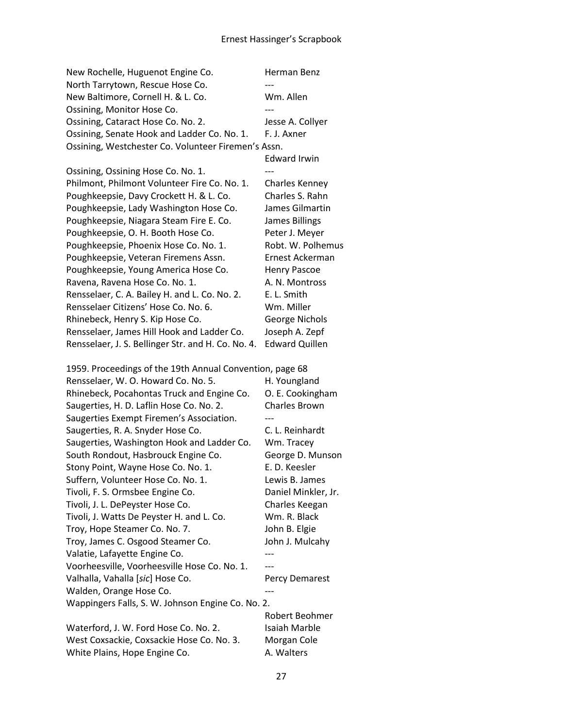| New Rochelle, Huguenot Engine Co.                        | Herman Benz           |
|----------------------------------------------------------|-----------------------|
| North Tarrytown, Rescue Hose Co.                         |                       |
| New Baltimore, Cornell H. & L. Co.                       | Wm. Allen             |
| Ossining, Monitor Hose Co.                               |                       |
| Ossining, Cataract Hose Co. No. 2.                       | Jesse A. Collyer      |
| Ossining, Senate Hook and Ladder Co. No. 1.              | F. J. Axner           |
| Ossining, Westchester Co. Volunteer Firemen's Assn.      |                       |
|                                                          | <b>Edward Irwin</b>   |
| Ossining, Ossining Hose Co. No. 1.                       |                       |
| Philmont, Philmont Volunteer Fire Co. No. 1.             | <b>Charles Kenney</b> |
| Poughkeepsie, Davy Crockett H. & L. Co.                  | Charles S. Rahn       |
| Poughkeepsie, Lady Washington Hose Co.                   | James Gilmartin       |
| Poughkeepsie, Niagara Steam Fire E. Co.                  | <b>James Billings</b> |
| Poughkeepsie, O. H. Booth Hose Co.                       | Peter J. Meyer        |
| Poughkeepsie, Phoenix Hose Co. No. 1.                    | Robt. W. Polhemus     |
| Poughkeepsie, Veteran Firemens Assn.                     | Ernest Ackerman       |
| Poughkeepsie, Young America Hose Co.                     | <b>Henry Pascoe</b>   |
| Ravena, Ravena Hose Co. No. 1.                           | A. N. Montross        |
| Rensselaer, C. A. Bailey H. and L. Co. No. 2.            | E. L. Smith           |
| Rensselaer Citizens' Hose Co. No. 6.                     | Wm. Miller            |
| Rhinebeck, Henry S. Kip Hose Co.                         | <b>George Nichols</b> |
| Rensselaer, James Hill Hook and Ladder Co.               | Joseph A. Zepf        |
| Rensselaer, J. S. Bellinger Str. and H. Co. No. 4.       | <b>Edward Quillen</b> |
|                                                          |                       |
| 1959. Proceedings of the 19th Annual Convention, page 68 |                       |
| Rensselaer, W. O. Howard Co. No. 5.                      | H. Youngland          |
| Rhinebeck, Pocahontas Truck and Engine Co.               | O. E. Cookingham      |
| Saugerties, H. D. Laflin Hose Co. No. 2.                 | <b>Charles Brown</b>  |
| Saugerties Exempt Firemen's Association.                 |                       |
| Saugerties, R. A. Snyder Hose Co.                        | C. L. Reinhardt       |
| Saugerties, Washington Hook and Ladder Co.               | Wm. Tracey            |
| South Rondout, Hasbrouck Engine Co.                      | George D. Munson      |
| Stony Point, Wayne Hose Co. No. 1.                       | E. D. Keesler         |
| Suffern, Volunteer Hose Co. No. 1.                       | Lewis B. James        |
| Tivoli, F. S. Ormsbee Engine Co.                         | Daniel Minkler, Jr.   |
| Tivoli, J. L. DePeyster Hose Co.                         | Charles Keegan        |
| Tivoli, J. Watts De Peyster H. and L. Co.                | Wm. R. Black          |
| Troy, Hope Steamer Co. No. 7.                            | John B. Elgie         |
| Troy, James C. Osgood Steamer Co.                        | John J. Mulcahy       |
| Valatie, Lafayette Engine Co.                            |                       |
| Voorheesville, Voorheesville Hose Co. No. 1.             |                       |
| Valhalla, Vahalla [sic] Hose Co.                         | Percy Demarest        |
| Walden, Orange Hose Co.                                  | ---                   |
| Wappingers Falls, S. W. Johnson Engine Co. No. 2.        |                       |
|                                                          | Robert Beohmer        |
| Waterford, J. W. Ford Hose Co. No. 2.                    | Isaiah Marble         |
| West Coxsackie, Coxsackie Hose Co. No. 3.                | Morgan Cole           |
| White Plains, Hope Engine Co.                            | A. Walters            |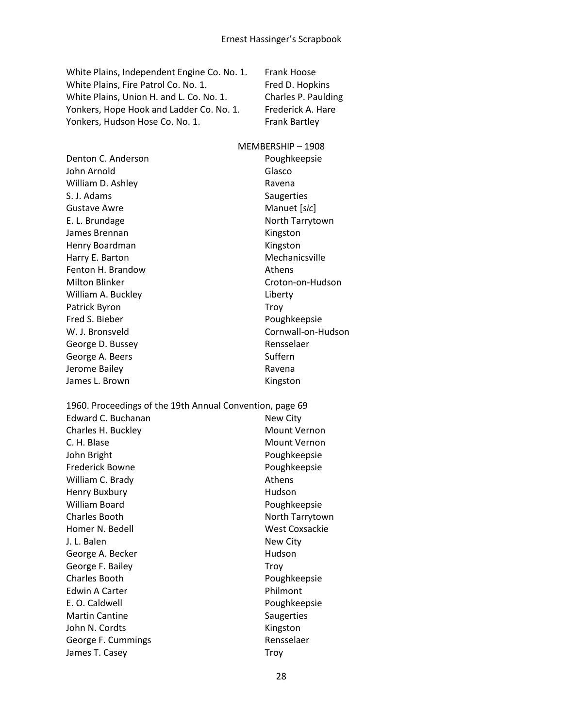White Plains, Independent Engine Co. No. 1. Frank Hoose White Plains, Fire Patrol Co. No. 1. Fred D. Hopkins White Plains, Union H. and L. Co. No. 1. Charles P. Paulding Yonkers, Hope Hook and Ladder Co. No. 1. Frederick A. Hare Yonkers, Hudson Hose Co. No. 1. Frank Bartley

#### MEMBERSHIP – 1908

Denton C. Anderson **Poughkeepsie** John Arnold Glasco William D. Ashley **Ravena** S. J. Adams Saugerties Gustave Awre **Manuet** [*sic*] E. L. Brundage North Tarrytown James Brennan Kingston Henry Boardman Kingston Harry E. Barton Mechanicsville Fenton H. Brandow **Athens** Milton Blinker Croton-on-Hudson William A. Buckley **Liberty Liberty** Patrick Byron Troy Fred S. Bieber Poughkeepsie W. J. Bronsveld **Cornwall-on-Hudson** George D. Bussey **Rensselaer** Rensselaer George A. Beers Suffern Jerome Bailey **Ravena** Ravena James L. Brown Ningston

1960. Proceedings of the 19th Annual Convention, page 69 Edward C. Buchanan New City Charles H. Buckley Mount Vernon C. H. Blase Mount Vernon

John Bright **Poughkeepsie** Frederick Bowne **Poughkeepsie** William C. Brady **Athens** Athens Henry Buxbury **Human** Hudson William Board **Poughkeepsie** Charles Booth North Tarrytown Homer N. Bedell West Coxsackie J. L. Balen New City George A. Becker New York 1999 Hudson George F. Bailey **Troy** Charles Booth **Poughkeepsie** Edwin A Carter **Philmont** E. O. Caldwell **E. O. Caldwell** Martin Cantine **Saugerties** John N. Cordts **Kingston** George F. Cummings **Rensselaer** Rensselaer James T. Casey Troy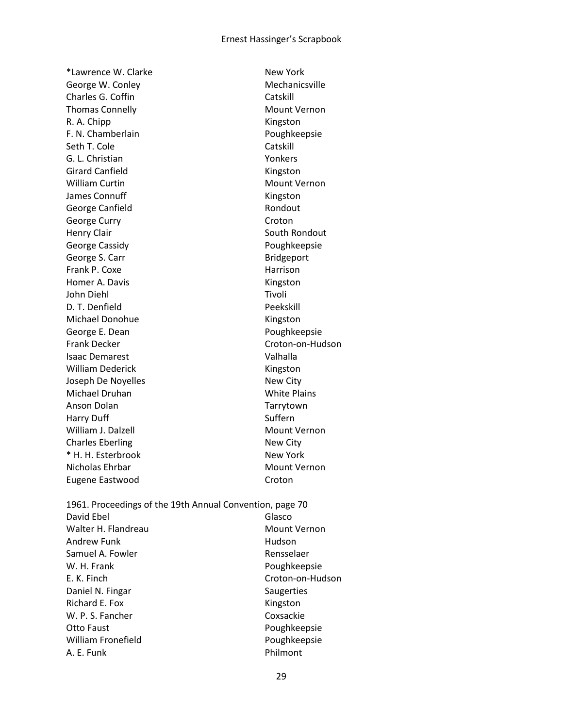\*Lawrence W. Clarke New York George W. Conley **Mechanicsville** Charles G. Coffin Charles G. Coffin Thomas Connelly **Mount Vernon** R. A. Chipp Kingston F. N. Chamberlain Poughkeepsie Seth T. Cole Catskill G. L. Christian Yonkers Girard Canfield **Kingston** William Curtin **Mount Vernon** Mount Vernon James Connuff **Kingston** George Canfield **Rondout** Rondout George Curry **Community** Croton Henry Clair **South Rondout** South Rondout George Cassidy **Poughkeepsie Poughkeepsie** George S. Carr Bridgeport Frank P. Coxe Harrison Homer A. Davis **Kingston** John Diehl Tivoli D. T. Denfield Peekskill Michael Donohue **Kingston** George E. Dean Poughkeepsie Frank Decker Croton-on-Hudson Isaac Demarest Valhalla William Dederick **Kingston** Joseph De Noyelles New City Michael Druhan White Plains Anson Dolan Tarrytown Harry Duff Suffern Suffern William J. Dalzell Mount Vernon Charles Eberling New City \* H. H. Esterbrook New York Nicholas Ehrbar Mount Vernon Eugene Eastwood Croton

1961. Proceedings of the 19th Annual Convention, page 70 David Ebel Glasco Walter H. Flandreau Mount Vernon Andrew Funk **Hudson** Samuel A. Fowler **Rensselaer** Rensselaer W. H. Frank **Poughkeepsie** E. K. Finch Croton-on-Hudson Daniel N. Fingar Saugerties Richard E. Fox Kingston W. P. S. Fancher Coxsackie Otto Faust **Poughkeepsie** William Fronefield **Poughkeepsie** A. E. Funk Philmont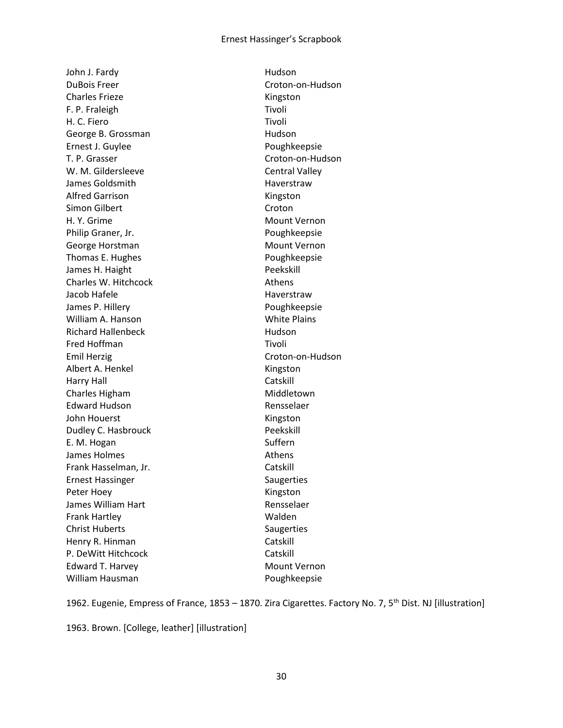John J. Fardy **Hudson** DuBois Freer Croton-on-Hudson Charles Frieze **Kingston** F. P. Fraleigh Tivoli H. C. Fiero Tivoli George B. Grossman **Hudson** Ernest J. Guylee **Poughkeepsie** T. P. Grasser Croton-on-Hudson W. M. Gildersleeve Central Valley James Goldsmith **Haverstraw** Alfred Garrison **Kingston** Simon Gilbert Croton H. Y. Grime Mount Vernon Philip Graner, Jr. **Philip Graner, Jr. 2018** George Horstman Mount Vernon Thomas E. Hughes **Poughkeepsie** James H. Haight **Peekskill** Charles W. Hitchcock **Athens** Jacob Hafele **Haverstraw** James P. Hillery **Poughkeepsie** William A. Hanson White Plains Richard Hallenbeck Hudson Fred Hoffman Tivoli Emil Herzig Croton-on-Hudson Albert A. Henkel **Kingston** Harry Hall Catskill Charles Higham Middletown Edward Hudson **Rensselaer** John Houerst **Kingston** Dudley C. Hasbrouck **Peekskill** E. M. Hogan Suffern James Holmes **Athens** Frank Hasselman, Jr. Catskill Ernest Hassinger Saugerties Peter Hoey **Kingston** James William Hart **Rensselaer** Rensselaer Frank Hartley Walden Christ Huberts Saugerties Henry R. Hinman Catskill P. DeWitt Hitchcock Catskill Edward T. Harvey **Mount Vernon** William Hausman **Poughkeepsie** 

1962. Eugenie, Empress of France, 1853 – 1870. Zira Cigarettes. Factory No. 7, 5<sup>th</sup> Dist. NJ [illustration]

1963. Brown. [College, leather] [illustration]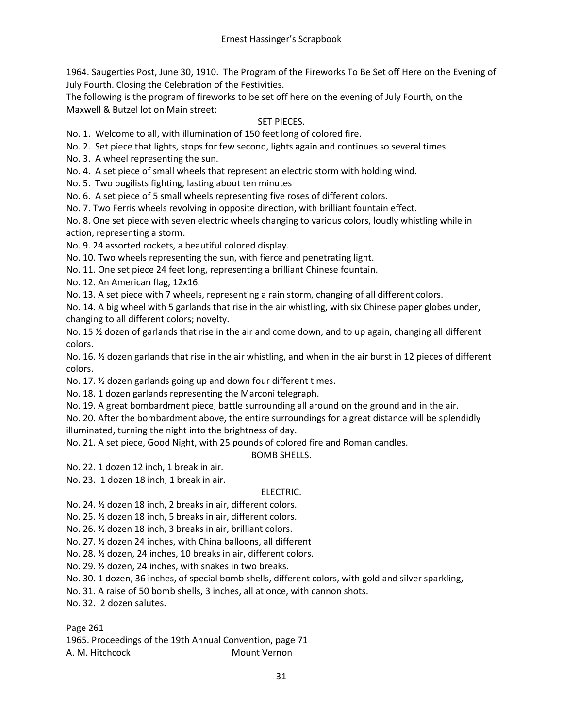1964. Saugerties Post, June 30, 1910. The Program of the Fireworks To Be Set off Here on the Evening of July Fourth. Closing the Celebration of the Festivities.

The following is the program of fireworks to be set off here on the evening of July Fourth, on the Maxwell & Butzel lot on Main street:

## SET PIECES.

No. 1. Welcome to all, with illumination of 150 feet long of colored fire.

No. 2. Set piece that lights, stops for few second, lights again and continues so several times.

No. 3. A wheel representing the sun.

No. 4. A set piece of small wheels that represent an electric storm with holding wind.

No. 5. Two pugilists fighting, lasting about ten minutes

No. 6. A set piece of 5 small wheels representing five roses of different colors.

No. 7. Two Ferris wheels revolving in opposite direction, with brilliant fountain effect.

No. 8. One set piece with seven electric wheels changing to various colors, loudly whistling while in action, representing a storm.

No. 9. 24 assorted rockets, a beautiful colored display.

No. 10. Two wheels representing the sun, with fierce and penetrating light.

No. 11. One set piece 24 feet long, representing a brilliant Chinese fountain.

No. 12. An American flag, 12x16.

No. 13. A set piece with 7 wheels, representing a rain storm, changing of all different colors.

No. 14. A big wheel with 5 garlands that rise in the air whistling, with six Chinese paper globes under, changing to all different colors; novelty.

No. 15 % dozen of garlands that rise in the air and come down, and to up again, changing all different colors.

No. 16. <sup>1</sup> dozen garlands that rise in the air whistling, and when in the air burst in 12 pieces of different colors.

No. 17. ½ dozen garlands going up and down four different times.

No. 18. 1 dozen garlands representing the Marconi telegraph.

No. 19. A great bombardment piece, battle surrounding all around on the ground and in the air.

No. 20. After the bombardment above, the entire surroundings for a great distance will be splendidly illuminated, turning the night into the brightness of day.

No. 21. A set piece, Good Night, with 25 pounds of colored fire and Roman candles.

BOMB SHELLS.

No. 22. 1 dozen 12 inch, 1 break in air.

No. 23. 1 dozen 18 inch, 1 break in air.

#### ELECTRIC.

No. 24. ½ dozen 18 inch, 2 breaks in air, different colors.

No. 25. ½ dozen 18 inch, 5 breaks in air, different colors.

No. 26. ½ dozen 18 inch, 3 breaks in air, brilliant colors.

No. 27. ½ dozen 24 inches, with China balloons, all different

No. 28. ½ dozen, 24 inches, 10 breaks in air, different colors.

No. 29. ½ dozen, 24 inches, with snakes in two breaks.

No. 30. 1 dozen, 36 inches, of special bomb shells, different colors, with gold and silver sparkling,

No. 31. A raise of 50 bomb shells, 3 inches, all at once, with cannon shots.

No. 32. 2 dozen salutes.

Page 261

1965. Proceedings of the 19th Annual Convention, page 71 A. M. Hitchcock Mount Vernon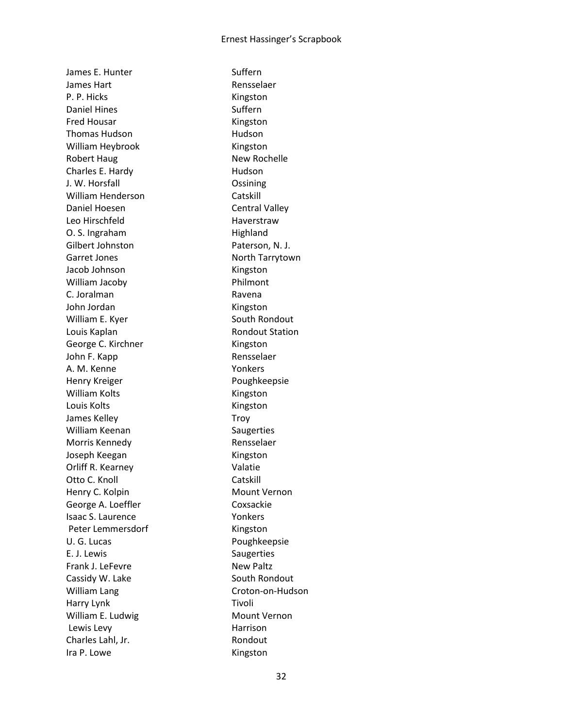James E. Hunter Suffern James Hart **Rensselaer** P. P. Hicks Kingston Daniel Hines Suffern Fred Housar **Kingston** Thomas Hudson **Human** Hudson William Heybrook Kingston Robert Haug New Rochelle Charles E. Hardy Hudson J. W. Horsfall Ossining William Henderson Catskill Daniel Hoesen Central Valley Leo Hirschfeld Haverstraw O. S. Ingraham Highland Gilbert Johnston Paterson, N. J. Garret Jones **North Tarrytown** Jacob Johnson Kingston William Jacoby **Philmont** C. Joralman Ravena John Jordan Kingston William E. Kyer South Rondout Louis Kaplan **Rondout Station** George C. Kirchner Kingston John F. Kapp **Rensselaer** A. M. Kenne Yonkers Henry Kreiger **Poughkeepsie** William Kolts **Kingston** Louis Kolts **Kingston** James Kelley **Troy** William Keenan Saugerties Morris Kennedy **Rensselaer** Joseph Keegan Kingston Orliff R. Kearney Valatie Otto C. Knoll Catskill Henry C. Kolpin Mount Vernon George A. Loeffler Coxsackie Isaac S. Laurence Vonkers Peter Lemmersdorf Kingston U. G. Lucas **Poughkeepsie** E. J. Lewis Saugerties Frank J. LeFevre New Paltz Cassidy W. Lake South Rondout William Lang Croton-on-Hudson Harry Lynk Tivoli William E. Ludwig Mount Vernon Lewis Levy **Harrison** Charles Lahl, Jr. **Rondout** Ira P. Lowe Kingston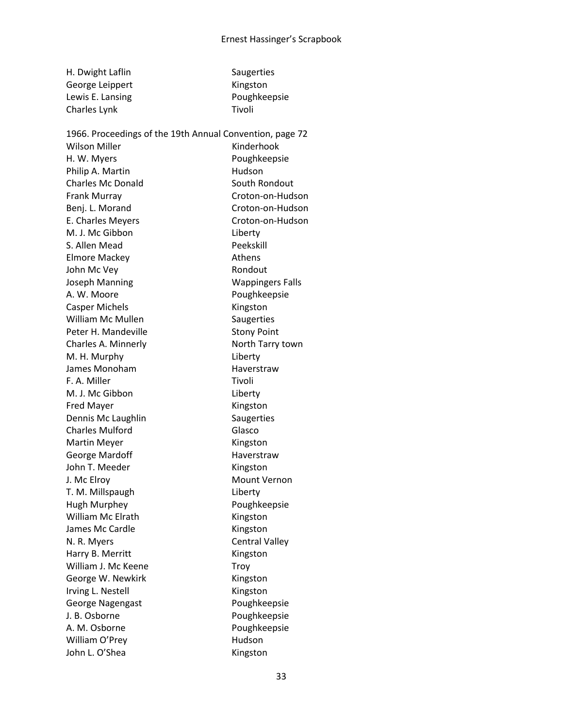| H. Dwight Laflin | Saugerties   |
|------------------|--------------|
| George Leippert  | Kingston     |
| Lewis E. Lansing | Poughkeepsie |
| Charles Lynk     | Tivoli       |
|                  |              |

Wilson Miller **Kinderhook** H. W. Myers **Poughkeepsie** Philip A. Martin Hudson Charles Mc Donald South Rondout Frank Murray Croton-on-Hudson Benj. L. Morand Croton-on-Hudson E. Charles Meyers **E. Charles Meyers** Croton-on-Hudson M. J. Mc Gibbon Liberty S. Allen Mead Peekskill Elmore Mackey **Athens** John Mc Vey **Rondout** Joseph Manning The Manning Wappingers Falls A. W. Moore **A. W. Moore** Poughkeepsie Casper Michels **Kingston** William Mc Mullen Saugerties Peter H. Mandeville Stony Point Charles A. Minnerly **North Tarry town** M. H. Murphy Liberty James Monoham **Haverstraw** F. A. Miller Tivoli M. J. Mc Gibbon Liberty Fred Mayer **Kingston** Dennis Mc Laughlin Saugerties Charles Mulford Glasco Martin Meyer **Kingston** George Mardoff **Haverstraw** John T. Meeder Kingston J. Mc Elroy **Mount Vernon** T. M. Millspaugh Liberty Hugh Murphey Poughkeepsie William Mc Elrath Kingston James Mc Cardle **Kingston** N. R. Myers **Central Valley** Harry B. Merritt Kingston William J. Mc Keene Troy George W. Newkirk **Kingston** Irving L. Nestell **Kingston** George Nagengast Poughkeepsie J. B. Osborne **Poughkeepsie** A. M. Osborne **Poughkeepsie** William O'Prey **Hudson** John L. O'Shea Kingston

1966. Proceedings of the 19th Annual Convention, page 72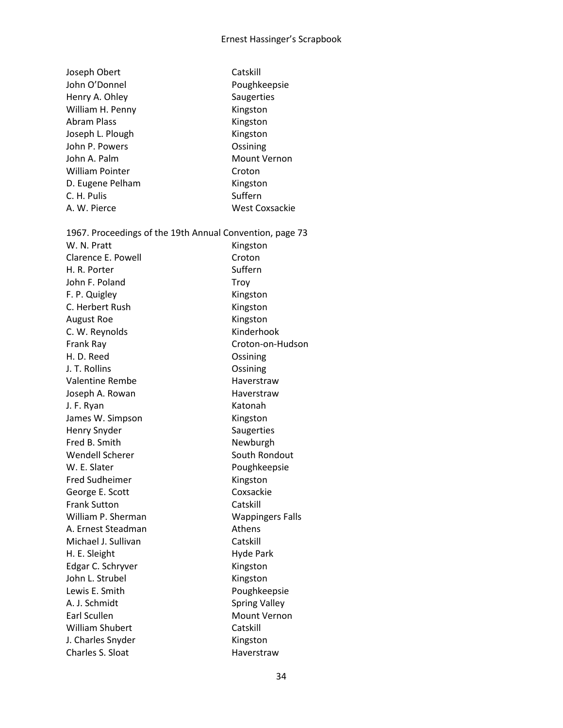# Ernest Hassinger's Scrapbook

| Joseph Obert                                             | Catskill                |
|----------------------------------------------------------|-------------------------|
| John O'Donnel                                            | Poughkeepsie            |
| Henry A. Ohley                                           | Saugerties              |
| William H. Penny                                         | Kingston                |
| <b>Abram Plass</b>                                       | Kingston                |
| Joseph L. Plough                                         | Kingston                |
| John P. Powers                                           | Ossining                |
| John A. Palm                                             | <b>Mount Vernon</b>     |
| <b>William Pointer</b>                                   | Croton                  |
| D. Eugene Pelham                                         | Kingston                |
| C. H. Pulis                                              | Suffern                 |
| A. W. Pierce                                             | <b>West Coxsackie</b>   |
| 1967. Proceedings of the 19th Annual Convention, page 73 |                         |
| W. N. Pratt                                              | Kingston                |
| Clarence E. Powell                                       | Croton                  |
| H. R. Porter                                             | Suffern                 |
| John F. Poland                                           | Troy                    |
| F. P. Quigley                                            | Kingston                |
| C. Herbert Rush                                          | Kingston                |
| <b>August Roe</b>                                        | Kingston                |
| C. W. Reynolds                                           | Kinderhook              |
| Frank Ray                                                | Croton-on-Hudson        |
| H. D. Reed                                               | Ossining                |
| J. T. Rollins                                            | Ossining                |
| <b>Valentine Rembe</b>                                   | Haverstraw              |
| Joseph A. Rowan                                          | Haverstraw              |
| J. F. Ryan                                               | Katonah                 |
| James W. Simpson                                         | Kingston                |
| Henry Snyder                                             | Saugerties              |
| Fred B. Smith                                            | Newburgh                |
| <b>Wendell Scherer</b>                                   | South Rondout           |
| W. E. Slater                                             | Poughkeepsie            |
| <b>Fred Sudheimer</b>                                    | Kingston                |
| George E. Scott                                          | Coxsackie               |
| <b>Frank Sutton</b>                                      | Catskill                |
| William P. Sherman                                       | <b>Wappingers Falls</b> |
| A. Ernest Steadman                                       | Athens                  |
| Michael J. Sullivan                                      | Catskill                |
| H. E. Sleight                                            | <b>Hyde Park</b>        |
| Edgar C. Schryver                                        | Kingston                |
| John L. Strubel                                          | Kingston                |
| Lewis E. Smith                                           | Poughkeepsie            |
| A. J. Schmidt                                            | <b>Spring Valley</b>    |
| Earl Scullen                                             | Mount Vernon            |
| <b>William Shubert</b>                                   | Catskill                |
| J. Charles Snyder                                        | Kingston                |
| Charles S. Sloat                                         | Haverstraw              |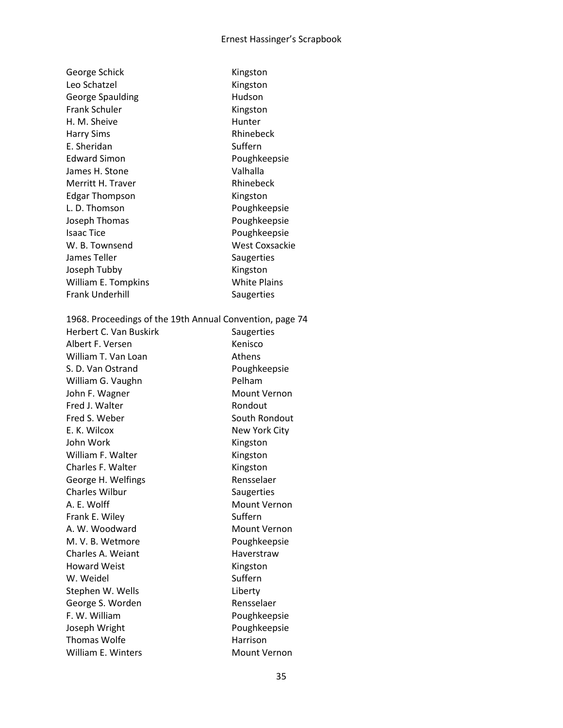| George Schick                                            | Kingston              |
|----------------------------------------------------------|-----------------------|
| Leo Schatzel                                             | Kingston              |
| <b>George Spaulding</b>                                  | Hudson                |
| <b>Frank Schuler</b>                                     | Kingston              |
| H. M. Sheive                                             | Hunter                |
| <b>Harry Sims</b>                                        | Rhinebeck             |
| E. Sheridan                                              | Suffern               |
| <b>Edward Simon</b>                                      | Poughkeepsie          |
| James H. Stone                                           | Valhalla              |
| Merritt H. Traver                                        | Rhinebeck             |
| <b>Edgar Thompson</b>                                    | Kingston              |
| L. D. Thomson                                            | Poughkeepsie          |
| Joseph Thomas                                            | Poughkeepsie          |
| <b>Isaac Tice</b>                                        | Poughkeepsie          |
| W. B. Townsend                                           | <b>West Coxsackie</b> |
| James Teller                                             | Saugerties            |
| Joseph Tubby                                             | Kingston              |
| William E. Tompkins                                      | <b>White Plains</b>   |
| <b>Frank Underhill</b>                                   | Saugerties            |
|                                                          |                       |
| 1968. Proceedings of the 19th Annual Convention, page 74 |                       |
| Herbert C. Van Buskirk                                   | Saugerties            |
| Albert F. Versen                                         | Kenisco               |
| William T. Van Loan                                      | Athens                |
| S. D. Van Ostrand                                        | Poughkeepsie          |
| William G. Vaughn                                        | Pelham                |
| John F. Wagner                                           | <b>Mount Vernon</b>   |
| Fred J. Walter                                           | Rondout               |
| Fred S. Weber                                            | South Rondout         |
| E. K. Wilcox                                             | New York City         |
| John Work                                                | Kingston              |
| William F. Walter                                        | Kingston              |
| Charles F. Walter                                        | Kingston              |
| George H. Welfings                                       | Rensselaer            |
| Charles Wilbur                                           | Saugerties            |
| A. E. Wolff                                              | <b>Mount Vernon</b>   |
| Frank E. Wiley                                           | Suffern               |
| A. W. Woodward                                           | <b>Mount Vernon</b>   |
| M. V. B. Wetmore                                         | Poughkeepsie          |
| Charles A. Weiant                                        | Haverstraw            |
| <b>Howard Weist</b>                                      | Kingston              |
| W. Weidel                                                | Suffern               |
| Stephen W. Wells                                         | Liberty               |
| George S. Worden                                         | Rensselaer            |
| F. W. William                                            | Poughkeepsie          |
| Joseph Wright                                            | Poughkeepsie          |
| <b>Thomas Wolfe</b>                                      | Harrison              |
| William E. Winters                                       | Mount Vernon          |
|                                                          |                       |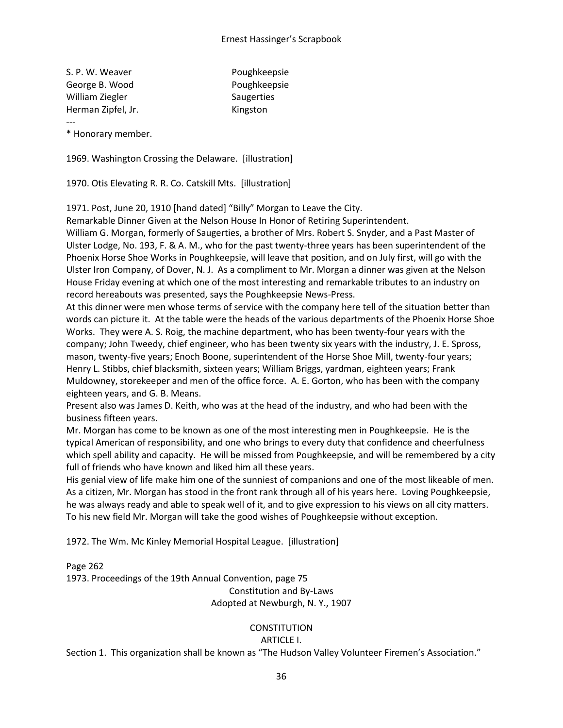S. P. W. Weaver **Poughkeepsie** George B. Wood **Poughkeepsie** William Ziegler Saugerties Herman Zipfel, Jr. North Management Contact Merman Zipfel, Jr. North Management Contact Merman American Mercur --- \* Honorary member.

1969. Washington Crossing the Delaware. [illustration]

1970. Otis Elevating R. R. Co. Catskill Mts. [illustration]

1971. Post, June 20, 1910 [hand dated] "Billy" Morgan to Leave the City.

Remarkable Dinner Given at the Nelson House In Honor of Retiring Superintendent.

William G. Morgan, formerly of Saugerties, a brother of Mrs. Robert S. Snyder, and a Past Master of Ulster Lodge, No. 193, F. & A. M., who for the past twenty-three years has been superintendent of the Phoenix Horse Shoe Works in Poughkeepsie, will leave that position, and on July first, will go with the Ulster Iron Company, of Dover, N. J. As a compliment to Mr. Morgan a dinner was given at the Nelson House Friday evening at which one of the most interesting and remarkable tributes to an industry on record hereabouts was presented, says the Poughkeepsie News-Press.

At this dinner were men whose terms of service with the company here tell of the situation better than words can picture it. At the table were the heads of the various departments of the Phoenix Horse Shoe Works. They were A. S. Roig, the machine department, who has been twenty-four years with the company; John Tweedy, chief engineer, who has been twenty six years with the industry, J. E. Spross, mason, twenty-five years; Enoch Boone, superintendent of the Horse Shoe Mill, twenty-four years; Henry L. Stibbs, chief blacksmith, sixteen years; William Briggs, yardman, eighteen years; Frank Muldowney, storekeeper and men of the office force. A. E. Gorton, who has been with the company eighteen years, and G. B. Means.

Present also was James D. Keith, who was at the head of the industry, and who had been with the business fifteen years.

Mr. Morgan has come to be known as one of the most interesting men in Poughkeepsie. He is the typical American of responsibility, and one who brings to every duty that confidence and cheerfulness which spell ability and capacity. He will be missed from Poughkeepsie, and will be remembered by a city full of friends who have known and liked him all these years.

His genial view of life make him one of the sunniest of companions and one of the most likeable of men. As a citizen, Mr. Morgan has stood in the front rank through all of his years here. Loving Poughkeepsie, he was always ready and able to speak well of it, and to give expression to his views on all city matters. To his new field Mr. Morgan will take the good wishes of Poughkeepsie without exception.

1972. The Wm. Mc Kinley Memorial Hospital League. [illustration]

Page 262

1973. Proceedings of the 19th Annual Convention, page 75

Constitution and By-Laws

# Adopted at Newburgh, N. Y., 1907

# **CONSTITUTION**

ARTICLE I.

Section 1. This organization shall be known as "The Hudson Valley Volunteer Firemen's Association."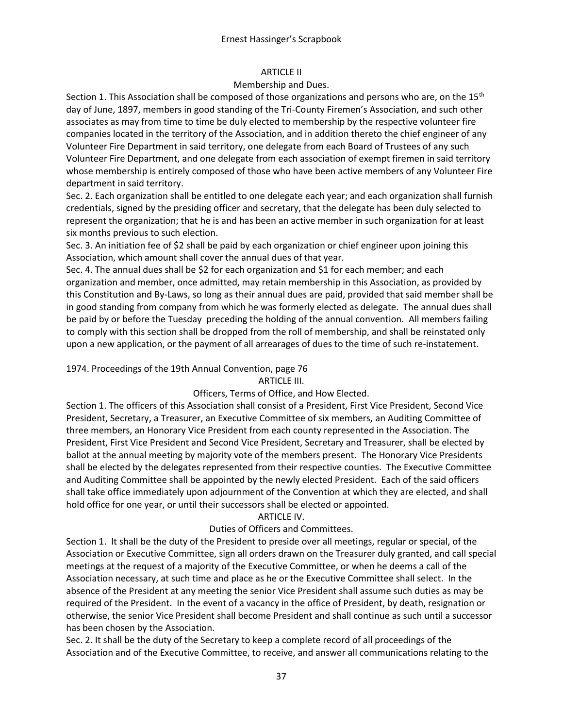### ARTICLE II

### Membership and Dues.

Section 1. This Association shall be composed of those organizations and persons who are, on the 15<sup>th</sup> day of June, 1897, members in good standing of the Tri-County Firemen's Association, and such other associates as may from time to time be duly elected to membership by the respective volunteer fire companies located in the territory of the Association, and in addition thereto the chief engineer of any Volunteer Fire Department in said territory, one delegate from each Board of Trustees of any such Volunteer Fire Department, and one delegate from each association of exempt firemen in said territory whose membership is entirely composed of those who have been active members of any Volunteer Fire department in said territory.

Sec. 2. Each organization shall be entitled to one delegate each year; and each organization shall furnish credentials, signed by the presiding officer and secretary, that the delegate has been duly selected to represent the organization; that he is and has been an active member in such organization for at least six months previous to such election.

Sec. 3. An initiation fee of \$2 shall be paid by each organization or chief engineer upon joining this Association, which amount shall cover the annual dues of that year.

Sec. 4. The annual dues shall be \$2 for each organization and \$1 for each member; and each organization and member, once admitted, may retain membership in this Association, as provided by this Constitution and By-Laws, so long as their annual dues are paid, provided that said member shall be in good standing from company from which he was formerly elected as delegate. The annual dues shall be paid by or before the Tuesday preceding the holding of the annual convention. All members failing to comply with this section shall be dropped from the roll of membership, and shall be reinstated only upon a new application, or the payment of all arrearages of dues to the time of such re-instatement.

1974. Proceedings of the 19th Annual Convention, page 76

#### ARTICLE III.

# Officers, Terms of Office, and How Elected.

Section 1. The officers of this Association shall consist of a President, First Vice President, Second Vice President, Secretary, a Treasurer, an Executive Committee of six members, an Auditing Committee of three members, an Honorary Vice President from each county represented in the Association. The President, First Vice President and Second Vice President, Secretary and Treasurer, shall be elected by ballot at the annual meeting by majority vote of the members present. The Honorary Vice Presidents shall be elected by the delegates represented from their respective counties. The Executive Committee and Auditing Committee shall be appointed by the newly elected President. Each of the said officers shall take office immediately upon adjournment of the Convention at which they are elected, and shall hold office for one year, or until their successors shall be elected or appointed.

# ARTICLE IV.

# Duties of Officers and Committees.

Section 1. It shall be the duty of the President to preside over all meetings, regular or special, of the Association or Executive Committee, sign all orders drawn on the Treasurer duly granted, and call special meetings at the request of a majority of the Executive Committee, or when he deems a call of the Association necessary, at such time and place as he or the Executive Committee shall select. In the absence of the President at any meeting the senior Vice President shall assume such duties as may be required of the President. In the event of a vacancy in the office of President, by death, resignation or otherwise, the senior Vice President shall become President and shall continue as such until a successor has been chosen by the Association.

Sec. 2. It shall be the duty of the Secretary to keep a complete record of all proceedings of the Association and of the Executive Committee, to receive, and answer all communications relating to the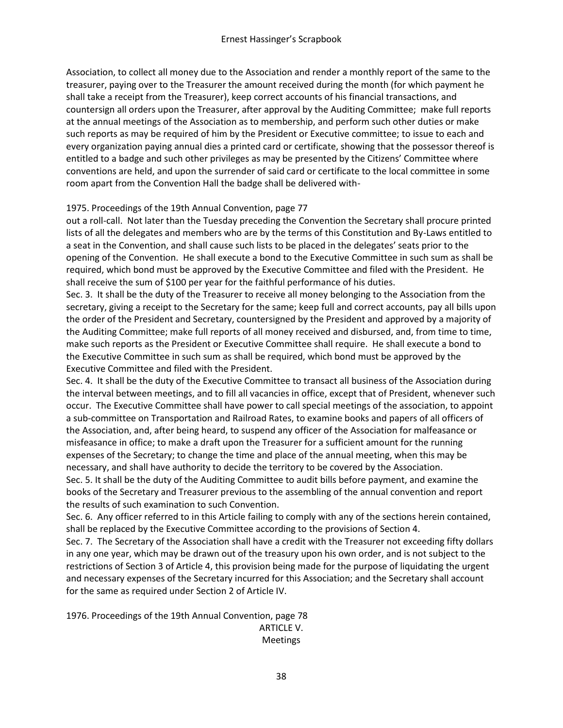Association, to collect all money due to the Association and render a monthly report of the same to the treasurer, paying over to the Treasurer the amount received during the month (for which payment he shall take a receipt from the Treasurer), keep correct accounts of his financial transactions, and countersign all orders upon the Treasurer, after approval by the Auditing Committee; make full reports at the annual meetings of the Association as to membership, and perform such other duties or make such reports as may be required of him by the President or Executive committee; to issue to each and every organization paying annual dies a printed card or certificate, showing that the possessor thereof is entitled to a badge and such other privileges as may be presented by the Citizens' Committee where conventions are held, and upon the surrender of said card or certificate to the local committee in some room apart from the Convention Hall the badge shall be delivered with-

### 1975. Proceedings of the 19th Annual Convention, page 77

out a roll-call. Not later than the Tuesday preceding the Convention the Secretary shall procure printed lists of all the delegates and members who are by the terms of this Constitution and By-Laws entitled to a seat in the Convention, and shall cause such lists to be placed in the delegates' seats prior to the opening of the Convention. He shall execute a bond to the Executive Committee in such sum as shall be required, which bond must be approved by the Executive Committee and filed with the President. He shall receive the sum of \$100 per year for the faithful performance of his duties.

Sec. 3. It shall be the duty of the Treasurer to receive all money belonging to the Association from the secretary, giving a receipt to the Secretary for the same; keep full and correct accounts, pay all bills upon the order of the President and Secretary, countersigned by the President and approved by a majority of the Auditing Committee; make full reports of all money received and disbursed, and, from time to time, make such reports as the President or Executive Committee shall require. He shall execute a bond to the Executive Committee in such sum as shall be required, which bond must be approved by the Executive Committee and filed with the President.

Sec. 4. It shall be the duty of the Executive Committee to transact all business of the Association during the interval between meetings, and to fill all vacancies in office, except that of President, whenever such occur. The Executive Committee shall have power to call special meetings of the association, to appoint a sub-committee on Transportation and Railroad Rates, to examine books and papers of all officers of the Association, and, after being heard, to suspend any officer of the Association for malfeasance or misfeasance in office; to make a draft upon the Treasurer for a sufficient amount for the running expenses of the Secretary; to change the time and place of the annual meeting, when this may be necessary, and shall have authority to decide the territory to be covered by the Association. Sec. 5. It shall be the duty of the Auditing Committee to audit bills before payment, and examine the books of the Secretary and Treasurer previous to the assembling of the annual convention and report the results of such examination to such Convention.

Sec. 6. Any officer referred to in this Article failing to comply with any of the sections herein contained, shall be replaced by the Executive Committee according to the provisions of Section 4.

Sec. 7. The Secretary of the Association shall have a credit with the Treasurer not exceeding fifty dollars in any one year, which may be drawn out of the treasury upon his own order, and is not subject to the restrictions of Section 3 of Article 4, this provision being made for the purpose of liquidating the urgent and necessary expenses of the Secretary incurred for this Association; and the Secretary shall account for the same as required under Section 2 of Article IV.

1976. Proceedings of the 19th Annual Convention, page 78 ARTICLE V. Meetings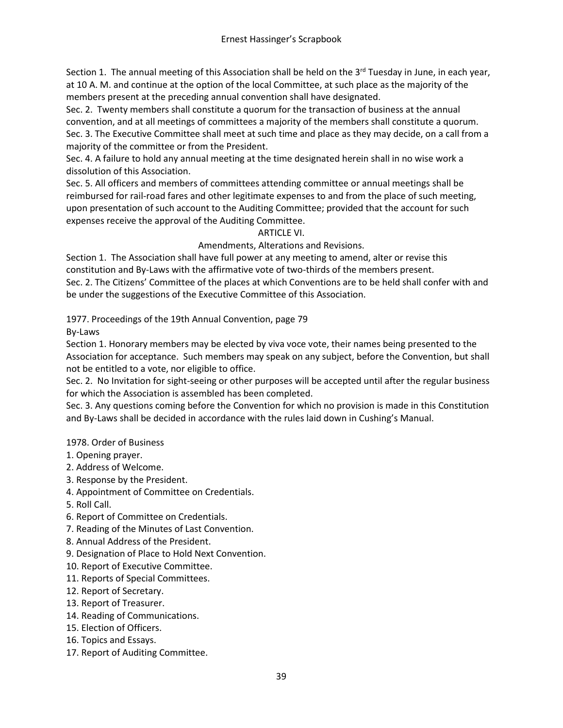Section 1. The annual meeting of this Association shall be held on the 3<sup>rd</sup> Tuesday in June, in each year, at 10 A. M. and continue at the option of the local Committee, at such place as the majority of the members present at the preceding annual convention shall have designated.

Sec. 2. Twenty members shall constitute a quorum for the transaction of business at the annual convention, and at all meetings of committees a majority of the members shall constitute a quorum. Sec. 3. The Executive Committee shall meet at such time and place as they may decide, on a call from a majority of the committee or from the President.

Sec. 4. A failure to hold any annual meeting at the time designated herein shall in no wise work a dissolution of this Association.

Sec. 5. All officers and members of committees attending committee or annual meetings shall be reimbursed for rail-road fares and other legitimate expenses to and from the place of such meeting, upon presentation of such account to the Auditing Committee; provided that the account for such expenses receive the approval of the Auditing Committee.

# ARTICLE VI.

Amendments, Alterations and Revisions.

Section 1. The Association shall have full power at any meeting to amend, alter or revise this constitution and By-Laws with the affirmative vote of two-thirds of the members present. Sec. 2. The Citizens' Committee of the places at which Conventions are to be held shall confer with and be under the suggestions of the Executive Committee of this Association.

1977. Proceedings of the 19th Annual Convention, page 79

By-Laws

Section 1. Honorary members may be elected by viva voce vote, their names being presented to the Association for acceptance. Such members may speak on any subject, before the Convention, but shall not be entitled to a vote, nor eligible to office.

Sec. 2. No Invitation for sight-seeing or other purposes will be accepted until after the regular business for which the Association is assembled has been completed.

Sec. 3. Any questions coming before the Convention for which no provision is made in this Constitution and By-Laws shall be decided in accordance with the rules laid down in Cushing's Manual.

# 1978. Order of Business

- 1. Opening prayer.
- 2. Address of Welcome.
- 3. Response by the President.
- 4. Appointment of Committee on Credentials.
- 5. Roll Call.
- 6. Report of Committee on Credentials.
- 7. Reading of the Minutes of Last Convention.
- 8. Annual Address of the President.
- 9. Designation of Place to Hold Next Convention.
- 10. Report of Executive Committee.
- 11. Reports of Special Committees.
- 12. Report of Secretary.
- 13. Report of Treasurer.
- 14. Reading of Communications.
- 15. Election of Officers.
- 16. Topics and Essays.
- 17. Report of Auditing Committee.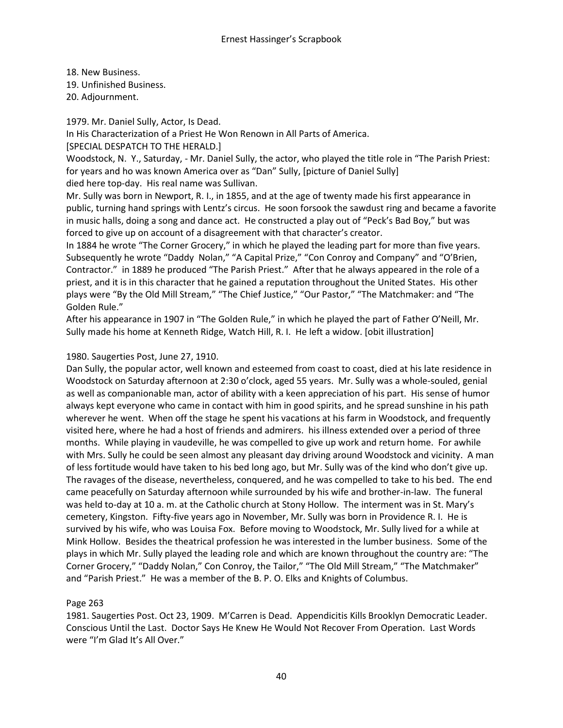18. New Business.

19. Unfinished Business.

20. Adjournment.

1979. Mr. Daniel Sully, Actor, Is Dead.

In His Characterization of a Priest He Won Renown in All Parts of America.

[SPECIAL DESPATCH TO THE HERALD.]

Woodstock, N. Y., Saturday, - Mr. Daniel Sully, the actor, who played the title role in "The Parish Priest: for years and ho was known America over as "Dan" Sully, [picture of Daniel Sully]

died here top-day. His real name was Sullivan.

Mr. Sully was born in Newport, R. I., in 1855, and at the age of twenty made his first appearance in public, turning hand springs with Lentz's circus. He soon forsook the sawdust ring and became a favorite in music halls, doing a song and dance act. He constructed a play out of "Peck's Bad Boy," but was forced to give up on account of a disagreement with that character's creator.

In 1884 he wrote "The Corner Grocery," in which he played the leading part for more than five years. Subsequently he wrote "Daddy Nolan," "A Capital Prize," "Con Conroy and Company" and "O'Brien, Contractor." in 1889 he produced "The Parish Priest." After that he always appeared in the role of a priest, and it is in this character that he gained a reputation throughout the United States. His other plays were "By the Old Mill Stream," "The Chief Justice," "Our Pastor," "The Matchmaker: and "The Golden Rule."

After his appearance in 1907 in "The Golden Rule," in which he played the part of Father O'Neill, Mr. Sully made his home at Kenneth Ridge, Watch Hill, R. I. He left a widow. [obit illustration]

# 1980. Saugerties Post, June 27, 1910.

Dan Sully, the popular actor, well known and esteemed from coast to coast, died at his late residence in Woodstock on Saturday afternoon at 2:30 o'clock, aged 55 years. Mr. Sully was a whole-souled, genial as well as companionable man, actor of ability with a keen appreciation of his part. His sense of humor always kept everyone who came in contact with him in good spirits, and he spread sunshine in his path wherever he went. When off the stage he spent his vacations at his farm in Woodstock, and frequently visited here, where he had a host of friends and admirers. his illness extended over a period of three months. While playing in vaudeville, he was compelled to give up work and return home. For awhile with Mrs. Sully he could be seen almost any pleasant day driving around Woodstock and vicinity. A man of less fortitude would have taken to his bed long ago, but Mr. Sully was of the kind who don't give up. The ravages of the disease, nevertheless, conquered, and he was compelled to take to his bed. The end came peacefully on Saturday afternoon while surrounded by his wife and brother-in-law. The funeral was held to-day at 10 a. m. at the Catholic church at Stony Hollow. The interment was in St. Mary's cemetery, Kingston. Fifty-five years ago in November, Mr. Sully was born in Providence R. I. He is survived by his wife, who was Louisa Fox. Before moving to Woodstock, Mr. Sully lived for a while at Mink Hollow. Besides the theatrical profession he was interested in the lumber business. Some of the plays in which Mr. Sully played the leading role and which are known throughout the country are: "The Corner Grocery," "Daddy Nolan," Con Conroy, the Tailor," "The Old Mill Stream," "The Matchmaker" and "Parish Priest." He was a member of the B. P. O. Elks and Knights of Columbus.

# Page 263

1981. Saugerties Post. Oct 23, 1909. M'Carren is Dead. Appendicitis Kills Brooklyn Democratic Leader. Conscious Until the Last. Doctor Says He Knew He Would Not Recover From Operation. Last Words were "I'm Glad It's All Over."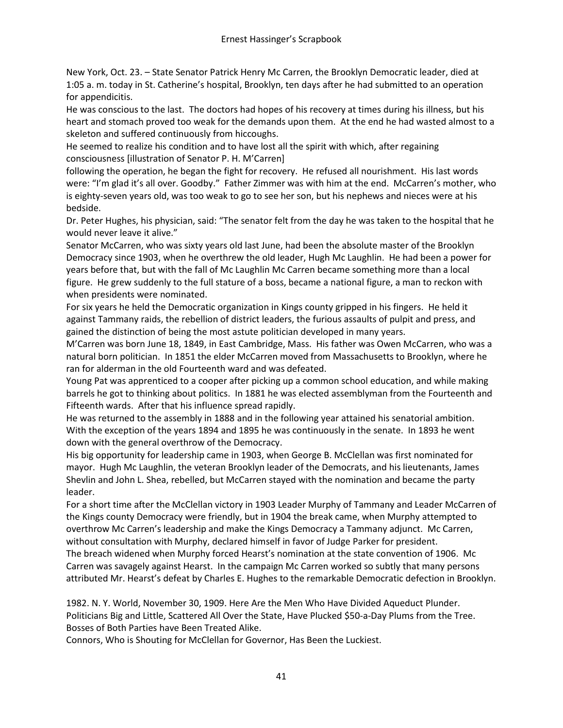New York, Oct. 23. – State Senator Patrick Henry Mc Carren, the Brooklyn Democratic leader, died at 1:05 a. m. today in St. Catherine's hospital, Brooklyn, ten days after he had submitted to an operation for appendicitis.

He was conscious to the last. The doctors had hopes of his recovery at times during his illness, but his heart and stomach proved too weak for the demands upon them. At the end he had wasted almost to a skeleton and suffered continuously from hiccoughs.

He seemed to realize his condition and to have lost all the spirit with which, after regaining consciousness [illustration of Senator P. H. M'Carren]

following the operation, he began the fight for recovery. He refused all nourishment. His last words were: "I'm glad it's all over. Goodby." Father Zimmer was with him at the end. McCarren's mother, who is eighty-seven years old, was too weak to go to see her son, but his nephews and nieces were at his bedside.

Dr. Peter Hughes, his physician, said: "The senator felt from the day he was taken to the hospital that he would never leave it alive."

Senator McCarren, who was sixty years old last June, had been the absolute master of the Brooklyn Democracy since 1903, when he overthrew the old leader, Hugh Mc Laughlin. He had been a power for years before that, but with the fall of Mc Laughlin Mc Carren became something more than a local figure. He grew suddenly to the full stature of a boss, became a national figure, a man to reckon with when presidents were nominated.

For six years he held the Democratic organization in Kings county gripped in his fingers. He held it against Tammany raids, the rebellion of district leaders, the furious assaults of pulpit and press, and gained the distinction of being the most astute politician developed in many years.

M'Carren was born June 18, 1849, in East Cambridge, Mass. His father was Owen McCarren, who was a natural born politician. In 1851 the elder McCarren moved from Massachusetts to Brooklyn, where he ran for alderman in the old Fourteenth ward and was defeated.

Young Pat was apprenticed to a cooper after picking up a common school education, and while making barrels he got to thinking about politics. In 1881 he was elected assemblyman from the Fourteenth and Fifteenth wards. After that his influence spread rapidly.

He was returned to the assembly in 1888 and in the following year attained his senatorial ambition. With the exception of the years 1894 and 1895 he was continuously in the senate. In 1893 he went down with the general overthrow of the Democracy.

His big opportunity for leadership came in 1903, when George B. McClellan was first nominated for mayor. Hugh Mc Laughlin, the veteran Brooklyn leader of the Democrats, and his lieutenants, James Shevlin and John L. Shea, rebelled, but McCarren stayed with the nomination and became the party leader.

For a short time after the McClellan victory in 1903 Leader Murphy of Tammany and Leader McCarren of the Kings county Democracy were friendly, but in 1904 the break came, when Murphy attempted to overthrow Mc Carren's leadership and make the Kings Democracy a Tammany adjunct. Mc Carren, without consultation with Murphy, declared himself in favor of Judge Parker for president.

The breach widened when Murphy forced Hearst's nomination at the state convention of 1906. Mc Carren was savagely against Hearst. In the campaign Mc Carren worked so subtly that many persons attributed Mr. Hearst's defeat by Charles E. Hughes to the remarkable Democratic defection in Brooklyn.

1982. N. Y. World, November 30, 1909. Here Are the Men Who Have Divided Aqueduct Plunder. Politicians Big and Little, Scattered All Over the State, Have Plucked \$50-a-Day Plums from the Tree. Bosses of Both Parties have Been Treated Alike.

Connors, Who is Shouting for McClellan for Governor, Has Been the Luckiest.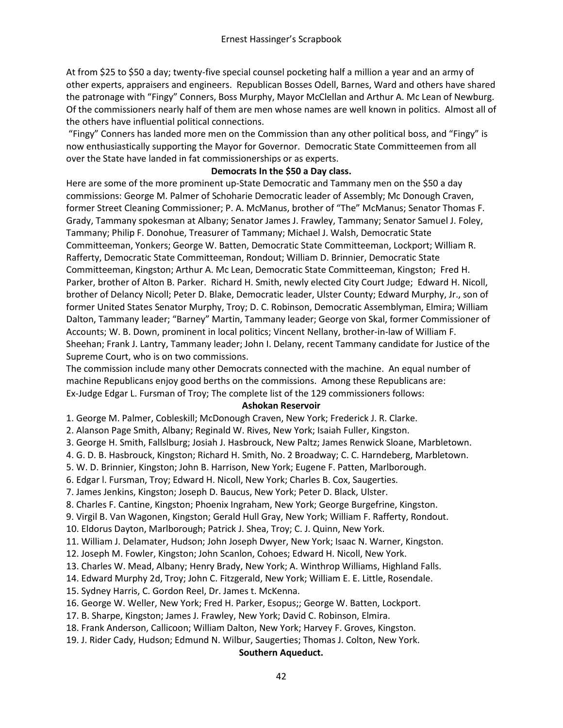At from \$25 to \$50 a day; twenty-five special counsel pocketing half a million a year and an army of other experts, appraisers and engineers. Republican Bosses Odell, Barnes, Ward and others have shared the patronage with "Fingy" Conners, Boss Murphy, Mayor McClellan and Arthur A. Mc Lean of Newburg. Of the commissioners nearly half of them are men whose names are well known in politics. Almost all of the others have influential political connections.

"Fingy" Conners has landed more men on the Commission than any other political boss, and "Fingy" is now enthusiastically supporting the Mayor for Governor. Democratic State Committeemen from all over the State have landed in fat commissionerships or as experts.

### **Democrats In the \$50 a Day class.**

Here are some of the more prominent up-State Democratic and Tammany men on the \$50 a day commissions: George M. Palmer of Schoharie Democratic leader of Assembly; Mc Donough Craven, former Street Cleaning Commissioner; P. A. McManus, brother of "The" McManus; Senator Thomas F. Grady, Tammany spokesman at Albany; Senator James J. Frawley, Tammany; Senator Samuel J. Foley, Tammany; Philip F. Donohue, Treasurer of Tammany; Michael J. Walsh, Democratic State Committeeman, Yonkers; George W. Batten, Democratic State Committeeman, Lockport; William R. Rafferty, Democratic State Committeeman, Rondout; William D. Brinnier, Democratic State Committeeman, Kingston; Arthur A. Mc Lean, Democratic State Committeeman, Kingston; Fred H. Parker, brother of Alton B. Parker. Richard H. Smith, newly elected City Court Judge; Edward H. Nicoll, brother of Delancy Nicoll; Peter D. Blake, Democratic leader, Ulster County; Edward Murphy, Jr., son of former United States Senator Murphy, Troy; D. C. Robinson, Democratic Assemblyman, Elmira; William Dalton, Tammany leader; "Barney" Martin, Tammany leader; George von Skal, former Commissioner of Accounts; W. B. Down, prominent in local politics; Vincent Nellany, brother-in-law of William F. Sheehan; Frank J. Lantry, Tammany leader; John I. Delany, recent Tammany candidate for Justice of the Supreme Court, who is on two commissions.

The commission include many other Democrats connected with the machine. An equal number of machine Republicans enjoy good berths on the commissions. Among these Republicans are: Ex-Judge Edgar L. Fursman of Troy; The complete list of the 129 commissioners follows:

#### **Ashokan Reservoir**

1. George M. Palmer, Cobleskill; McDonough Craven, New York; Frederick J. R. Clarke.

2. Alanson Page Smith, Albany; Reginald W. Rives, New York; Isaiah Fuller, Kingston.

3. George H. Smith, Fallslburg; Josiah J. Hasbrouck, New Paltz; James Renwick Sloane, Marbletown.

4. G. D. B. Hasbrouck, Kingston; Richard H. Smith, No. 2 Broadway; C. C. Harndeberg, Marbletown.

5. W. D. Brinnier, Kingston; John B. Harrison, New York; Eugene F. Patten, Marlborough.

6. Edgar l. Fursman, Troy; Edward H. Nicoll, New York; Charles B. Cox, Saugerties.

7. James Jenkins, Kingston; Joseph D. Baucus, New York; Peter D. Black, Ulster.

8. Charles F. Cantine, Kingston; Phoenix Ingraham, New York; George Burgefrine, Kingston.

9. Virgil B. Van Wagonen, Kingston; Gerald Hull Gray, New York; William F. Rafferty, Rondout.

10. Eldorus Dayton, Marlborough; Patrick J. Shea, Troy; C. J. Quinn, New York.

11. William J. Delamater, Hudson; John Joseph Dwyer, New York; Isaac N. Warner, Kingston.

12. Joseph M. Fowler, Kingston; John Scanlon, Cohoes; Edward H. Nicoll, New York.

13. Charles W. Mead, Albany; Henry Brady, New York; A. Winthrop Williams, Highland Falls.

14. Edward Murphy 2d, Troy; John C. Fitzgerald, New York; William E. E. Little, Rosendale.

15. Sydney Harris, C. Gordon Reel, Dr. James t. McKenna.

16. George W. Weller, New York; Fred H. Parker, Esopus;; George W. Batten, Lockport.

17. B. Sharpe, Kingston; James J. Frawley, New York; David C. Robinson, Elmira.

18. Frank Anderson, Callicoon; William Dalton, New York; Harvey F. Groves, Kingston.

19. J. Rider Cady, Hudson; Edmund N. Wilbur, Saugerties; Thomas J. Colton, New York.

#### **Southern Aqueduct.**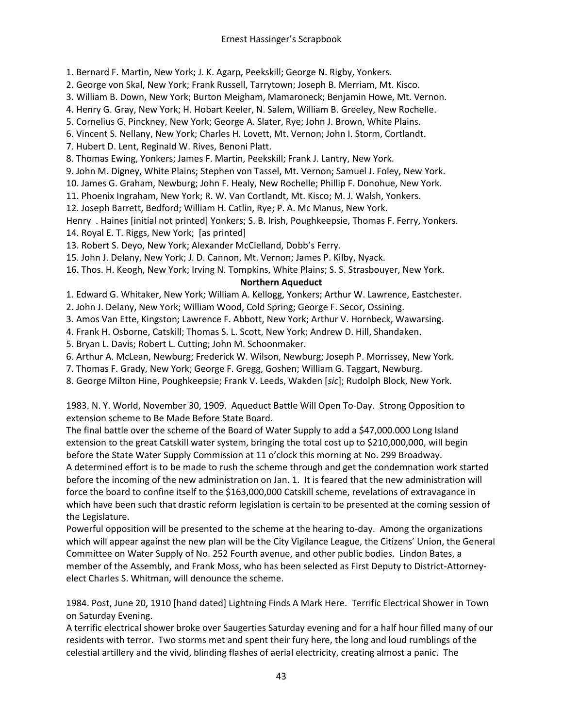1. Bernard F. Martin, New York; J. K. Agarp, Peekskill; George N. Rigby, Yonkers.

- 2. George von Skal, New York; Frank Russell, Tarrytown; Joseph B. Merriam, Mt. Kisco.
- 3. William B. Down, New York; Burton Meigham, Mamaroneck; Benjamin Howe, Mt. Vernon.
- 4. Henry G. Gray, New York; H. Hobart Keeler, N. Salem, William B. Greeley, New Rochelle.
- 5. Cornelius G. Pinckney, New York; George A. Slater, Rye; John J. Brown, White Plains.
- 6. Vincent S. Nellany, New York; Charles H. Lovett, Mt. Vernon; John I. Storm, Cortlandt.
- 7. Hubert D. Lent, Reginald W. Rives, Benoni Platt.
- 8. Thomas Ewing, Yonkers; James F. Martin, Peekskill; Frank J. Lantry, New York.
- 9. John M. Digney, White Plains; Stephen von Tassel, Mt. Vernon; Samuel J. Foley, New York.
- 10. James G. Graham, Newburg; John F. Healy, New Rochelle; Phillip F. Donohue, New York.
- 11. Phoenix Ingraham, New York; R. W. Van Cortlandt, Mt. Kisco; M. J. Walsh, Yonkers.
- 12. Joseph Barrett, Bedford; William H. Catlin, Rye; P. A. Mc Manus, New York.
- Henry . Haines [initial not printed] Yonkers; S. B. Irish, Poughkeepsie, Thomas F. Ferry, Yonkers. 14. Royal E. T. Riggs, New York; [as printed]
- 13. Robert S. Deyo, New York; Alexander McClelland, Dobb's Ferry.
- 15. John J. Delany, New York; J. D. Cannon, Mt. Vernon; James P. Kilby, Nyack.
- 16. Thos. H. Keogh, New York; Irving N. Tompkins, White Plains; S. S. Strasbouyer, New York.

#### **Northern Aqueduct**

- 1. Edward G. Whitaker, New York; William A. Kellogg, Yonkers; Arthur W. Lawrence, Eastchester.
- 2. John J. Delany, New York; William Wood, Cold Spring; George F. Secor, Ossining.
- 3. Amos Van Ette, Kingston; Lawrence F. Abbott, New York; Arthur V. Hornbeck, Wawarsing.
- 4. Frank H. Osborne, Catskill; Thomas S. L. Scott, New York; Andrew D. Hill, Shandaken.
- 5. Bryan L. Davis; Robert L. Cutting; John M. Schoonmaker.
- 6. Arthur A. McLean, Newburg; Frederick W. Wilson, Newburg; Joseph P. Morrissey, New York.
- 7. Thomas F. Grady, New York; George F. Gregg, Goshen; William G. Taggart, Newburg.
- 8. George Milton Hine, Poughkeepsie; Frank V. Leeds, Wakden [*sic*]; Rudolph Block, New York.

1983. N. Y. World, November 30, 1909. Aqueduct Battle Will Open To-Day. Strong Opposition to extension scheme to Be Made Before State Board.

The final battle over the scheme of the Board of Water Supply to add a \$47,000.000 Long Island extension to the great Catskill water system, bringing the total cost up to \$210,000,000, will begin before the State Water Supply Commission at 11 o'clock this morning at No. 299 Broadway.

A determined effort is to be made to rush the scheme through and get the condemnation work started before the incoming of the new administration on Jan. 1. It is feared that the new administration will force the board to confine itself to the \$163,000,000 Catskill scheme, revelations of extravagance in which have been such that drastic reform legislation is certain to be presented at the coming session of the Legislature.

Powerful opposition will be presented to the scheme at the hearing to-day. Among the organizations which will appear against the new plan will be the City Vigilance League, the Citizens' Union, the General Committee on Water Supply of No. 252 Fourth avenue, and other public bodies. Lindon Bates, a member of the Assembly, and Frank Moss, who has been selected as First Deputy to District-Attorneyelect Charles S. Whitman, will denounce the scheme.

1984. Post, June 20, 1910 [hand dated] Lightning Finds A Mark Here. Terrific Electrical Shower in Town on Saturday Evening.

A terrific electrical shower broke over Saugerties Saturday evening and for a half hour filled many of our residents with terror. Two storms met and spent their fury here, the long and loud rumblings of the celestial artillery and the vivid, blinding flashes of aerial electricity, creating almost a panic. The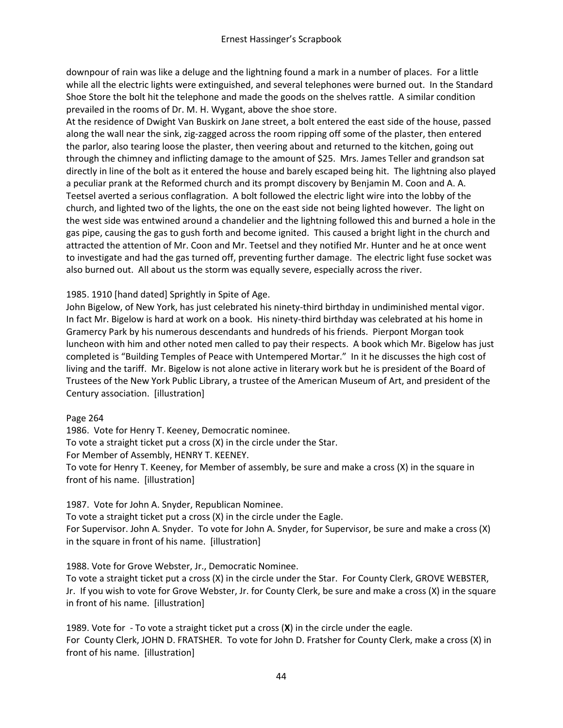downpour of rain was like a deluge and the lightning found a mark in a number of places. For a little while all the electric lights were extinguished, and several telephones were burned out. In the Standard Shoe Store the bolt hit the telephone and made the goods on the shelves rattle. A similar condition prevailed in the rooms of Dr. M. H. Wygant, above the shoe store.

At the residence of Dwight Van Buskirk on Jane street, a bolt entered the east side of the house, passed along the wall near the sink, zig-zagged across the room ripping off some of the plaster, then entered the parlor, also tearing loose the plaster, then veering about and returned to the kitchen, going out through the chimney and inflicting damage to the amount of \$25. Mrs. James Teller and grandson sat directly in line of the bolt as it entered the house and barely escaped being hit. The lightning also played a peculiar prank at the Reformed church and its prompt discovery by Benjamin M. Coon and A. A. Teetsel averted a serious conflagration. A bolt followed the electric light wire into the lobby of the church, and lighted two of the lights, the one on the east side not being lighted however. The light on the west side was entwined around a chandelier and the lightning followed this and burned a hole in the gas pipe, causing the gas to gush forth and become ignited. This caused a bright light in the church and attracted the attention of Mr. Coon and Mr. Teetsel and they notified Mr. Hunter and he at once went to investigate and had the gas turned off, preventing further damage. The electric light fuse socket was also burned out. All about us the storm was equally severe, especially across the river.

### 1985. 1910 [hand dated] Sprightly in Spite of Age.

John Bigelow, of New York, has just celebrated his ninety-third birthday in undiminished mental vigor. In fact Mr. Bigelow is hard at work on a book. His ninety-third birthday was celebrated at his home in Gramercy Park by his numerous descendants and hundreds of his friends. Pierpont Morgan took luncheon with him and other noted men called to pay their respects. A book which Mr. Bigelow has just completed is "Building Temples of Peace with Untempered Mortar." In it he discusses the high cost of living and the tariff. Mr. Bigelow is not alone active in literary work but he is president of the Board of Trustees of the New York Public Library, a trustee of the American Museum of Art, and president of the Century association. [illustration]

Page 264

1986. Vote for Henry T. Keeney, Democratic nominee. To vote a straight ticket put a cross (X) in the circle under the Star. For Member of Assembly, HENRY T. KEENEY. To vote for Henry T. Keeney, for Member of assembly, be sure and make a cross (X) in the square in front of his name. [illustration]

1987. Vote for John A. Snyder, Republican Nominee. To vote a straight ticket put a cross (X) in the circle under the Eagle. For Supervisor. John A. Snyder. To vote for John A. Snyder, for Supervisor, be sure and make a cross (X) in the square in front of his name. [illustration]

1988. Vote for Grove Webster, Jr., Democratic Nominee. To vote a straight ticket put a cross (X) in the circle under the Star. For County Clerk, GROVE WEBSTER, Jr. If you wish to vote for Grove Webster, Jr. for County Clerk, be sure and make a cross (X) in the square in front of his name. [illustration]

1989. Vote for - To vote a straight ticket put a cross (**X**) in the circle under the eagle. For County Clerk, JOHN D. FRATSHER. To vote for John D. Fratsher for County Clerk, make a cross (X) in front of his name. [illustration]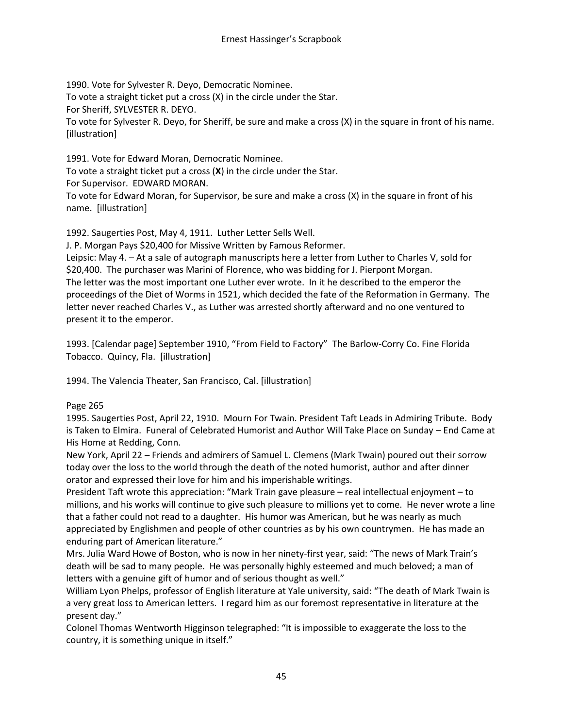1990. Vote for Sylvester R. Deyo, Democratic Nominee. To vote a straight ticket put a cross (X) in the circle under the Star. For Sheriff, SYLVESTER R. DEYO. To vote for Sylvester R. Deyo, for Sheriff, be sure and make a cross (X) in the square in front of his name. [illustration]

1991. Vote for Edward Moran, Democratic Nominee. To vote a straight ticket put a cross (**X**) in the circle under the Star. For Supervisor. EDWARD MORAN. To vote for Edward Moran, for Supervisor, be sure and make a cross (X) in the square in front of his name. [illustration]

1992. Saugerties Post, May 4, 1911. Luther Letter Sells Well.

J. P. Morgan Pays \$20,400 for Missive Written by Famous Reformer.

Leipsic: May 4. – At a sale of autograph manuscripts here a letter from Luther to Charles V, sold for \$20,400. The purchaser was Marini of Florence, who was bidding for J. Pierpont Morgan. The letter was the most important one Luther ever wrote. In it he described to the emperor the proceedings of the Diet of Worms in 1521, which decided the fate of the Reformation in Germany. The letter never reached Charles V., as Luther was arrested shortly afterward and no one ventured to present it to the emperor.

1993. [Calendar page] September 1910, "From Field to Factory" The Barlow-Corry Co. Fine Florida Tobacco. Quincy, Fla. [illustration]

1994. The Valencia Theater, San Francisco, Cal. [illustration]

#### Page 265

1995. Saugerties Post, April 22, 1910. Mourn For Twain. President Taft Leads in Admiring Tribute. Body is Taken to Elmira. Funeral of Celebrated Humorist and Author Will Take Place on Sunday – End Came at His Home at Redding, Conn.

New York, April 22 – Friends and admirers of Samuel L. Clemens (Mark Twain) poured out their sorrow today over the loss to the world through the death of the noted humorist, author and after dinner orator and expressed their love for him and his imperishable writings.

President Taft wrote this appreciation: "Mark Train gave pleasure – real intellectual enjoyment – to millions, and his works will continue to give such pleasure to millions yet to come. He never wrote a line that a father could not read to a daughter. His humor was American, but he was nearly as much appreciated by Englishmen and people of other countries as by his own countrymen. He has made an enduring part of American literature."

Mrs. Julia Ward Howe of Boston, who is now in her ninety-first year, said: "The news of Mark Train's death will be sad to many people. He was personally highly esteemed and much beloved; a man of letters with a genuine gift of humor and of serious thought as well."

William Lyon Phelps, professor of English literature at Yale university, said: "The death of Mark Twain is a very great loss to American letters. I regard him as our foremost representative in literature at the present day."

Colonel Thomas Wentworth Higginson telegraphed: "It is impossible to exaggerate the loss to the country, it is something unique in itself."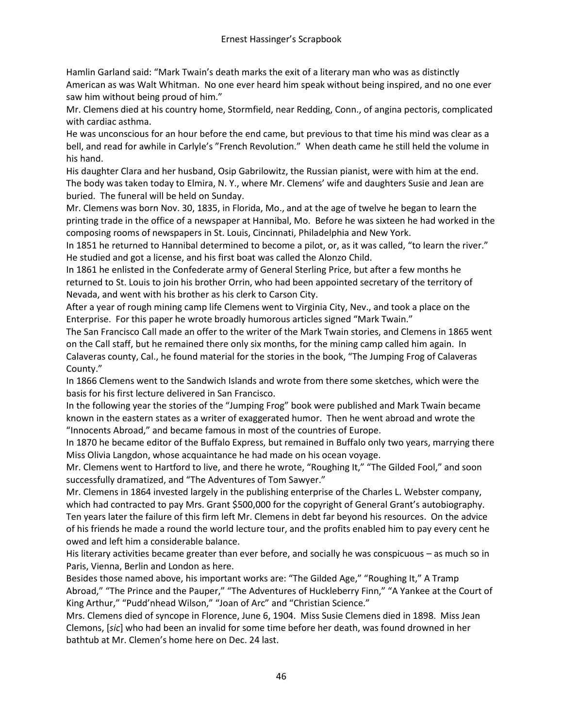Hamlin Garland said: "Mark Twain's death marks the exit of a literary man who was as distinctly American as was Walt Whitman. No one ever heard him speak without being inspired, and no one ever saw him without being proud of him."

Mr. Clemens died at his country home, Stormfield, near Redding, Conn., of angina pectoris, complicated with cardiac asthma.

He was unconscious for an hour before the end came, but previous to that time his mind was clear as a bell, and read for awhile in Carlyle's "French Revolution." When death came he still held the volume in his hand.

His daughter Clara and her husband, Osip Gabrilowitz, the Russian pianist, were with him at the end. The body was taken today to Elmira, N. Y., where Mr. Clemens' wife and daughters Susie and Jean are buried. The funeral will be held on Sunday.

Mr. Clemens was born Nov. 30, 1835, in Florida, Mo., and at the age of twelve he began to learn the printing trade in the office of a newspaper at Hannibal, Mo. Before he was sixteen he had worked in the composing rooms of newspapers in St. Louis, Cincinnati, Philadelphia and New York.

In 1851 he returned to Hannibal determined to become a pilot, or, as it was called, "to learn the river." He studied and got a license, and his first boat was called the Alonzo Child.

In 1861 he enlisted in the Confederate army of General Sterling Price, but after a few months he returned to St. Louis to join his brother Orrin, who had been appointed secretary of the territory of Nevada, and went with his brother as his clerk to Carson City.

After a year of rough mining camp life Clemens went to Virginia City, Nev., and took a place on the Enterprise. For this paper he wrote broadly humorous articles signed "Mark Twain."

The San Francisco Call made an offer to the writer of the Mark Twain stories, and Clemens in 1865 went on the Call staff, but he remained there only six months, for the mining camp called him again. In Calaveras county, Cal., he found material for the stories in the book, "The Jumping Frog of Calaveras County."

In 1866 Clemens went to the Sandwich Islands and wrote from there some sketches, which were the basis for his first lecture delivered in San Francisco.

In the following year the stories of the "Jumping Frog" book were published and Mark Twain became known in the eastern states as a writer of exaggerated humor. Then he went abroad and wrote the "Innocents Abroad," and became famous in most of the countries of Europe.

In 1870 he became editor of the Buffalo Express, but remained in Buffalo only two years, marrying there Miss Olivia Langdon, whose acquaintance he had made on his ocean voyage.

Mr. Clemens went to Hartford to live, and there he wrote, "Roughing It," "The Gilded Fool," and soon successfully dramatized, and "The Adventures of Tom Sawyer."

Mr. Clemens in 1864 invested largely in the publishing enterprise of the Charles L. Webster company, which had contracted to pay Mrs. Grant \$500,000 for the copyright of General Grant's autobiography. Ten years later the failure of this firm left Mr. Clemens in debt far beyond his resources. On the advice of his friends he made a round the world lecture tour, and the profits enabled him to pay every cent he owed and left him a considerable balance.

His literary activities became greater than ever before, and socially he was conspicuous – as much so in Paris, Vienna, Berlin and London as here.

Besides those named above, his important works are: "The Gilded Age," "Roughing It," A Tramp Abroad," "The Prince and the Pauper," "The Adventures of Huckleberry Finn," "A Yankee at the Court of King Arthur," "Pudd'nhead Wilson," "Joan of Arc" and "Christian Science."

Mrs. Clemens died of syncope in Florence, June 6, 1904. Miss Susie Clemens died in 1898. Miss Jean Clemons, [*sic*] who had been an invalid for some time before her death, was found drowned in her bathtub at Mr. Clemen's home here on Dec. 24 last.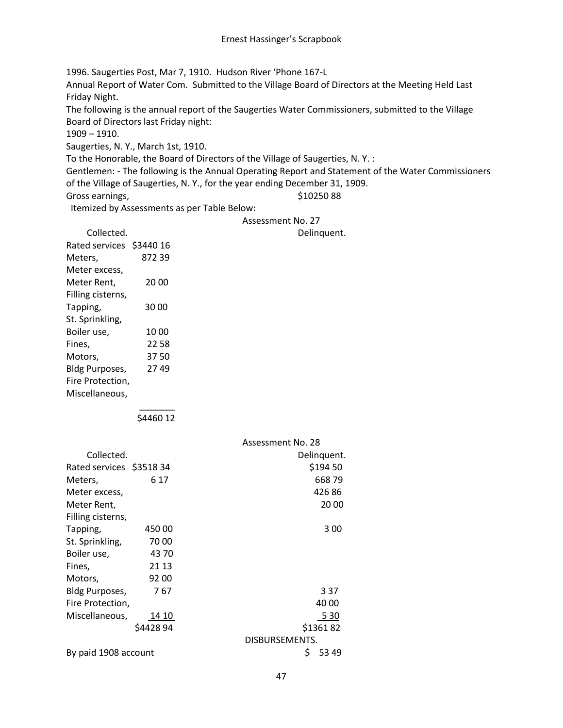1996. Saugerties Post, Mar 7, 1910. Hudson River 'Phone 167-L Annual Report of Water Com. Submitted to the Village Board of Directors at the Meeting Held Last Friday Night. The following is the annual report of the Saugerties Water Commissioners, submitted to the Village

Board of Directors last Friday night:

1909 – 1910.

Saugerties, N. Y., March 1st, 1910.

To the Honorable, the Board of Directors of the Village of Saugerties, N. Y. :

Gentlemen: - The following is the Annual Operating Report and Statement of the Water Commissioners of the Village of Saugerties, N. Y., for the year ending December 31, 1909.

Gross earnings, The Contract of the Superintensity of the Superintensity of the Superintensity of the Superintensity of the Superintensity of the Superintensity of the Superintensity of the Superintensity of the Superinten

Itemized by Assessments as per Table Below:

#### Assessment No. 27

Delinquent.

| Collected.               |       |
|--------------------------|-------|
| Rated services \$3440 16 |       |
| Meters,                  | 87239 |
| Meter excess,            |       |
| Meter Rent.              | 20 00 |
| Filling cisterns,        |       |
| Tapping,                 | 30 00 |
| St. Sprinkling,          |       |
| Boiler use,              | 1000  |
| Fines,                   | 22 58 |
| Motors.                  | 3750  |
| <b>Bldg Purposes,</b>    | 2749  |
| Fire Protection,         |       |
| Miscellaneous,           |       |

 $\overline{\phantom{a}}$ 

\$4460 12

|                           |          | Assessment No. 28 |  |
|---------------------------|----------|-------------------|--|
| Collected.                |          | Delinguent.       |  |
| Rated services \$3518 34  |          | \$194 50          |  |
| Meters,                   | 6 17     | 66879             |  |
| Meter excess,             |          | 42686             |  |
| Meter Rent,               |          | 20 00             |  |
| Filling cisterns,         |          |                   |  |
| Tapping,                  | 450 00   | 3 00              |  |
| St. Sprinkling,           | 7000     |                   |  |
| Boiler use,               | 43 70    |                   |  |
| Fines,                    | 21 13    |                   |  |
| Motors,                   | 92 00    |                   |  |
| Bldg Purposes,            | 767      | 3 3 7             |  |
| Fire Protection,          |          | 40 00             |  |
| Miscellaneous,            | 14 10    | 5 3 0             |  |
|                           | \$442894 | \$136182          |  |
|                           |          | DISBURSEMENTS.    |  |
| By paid 1908 account<br>S |          | 53 49             |  |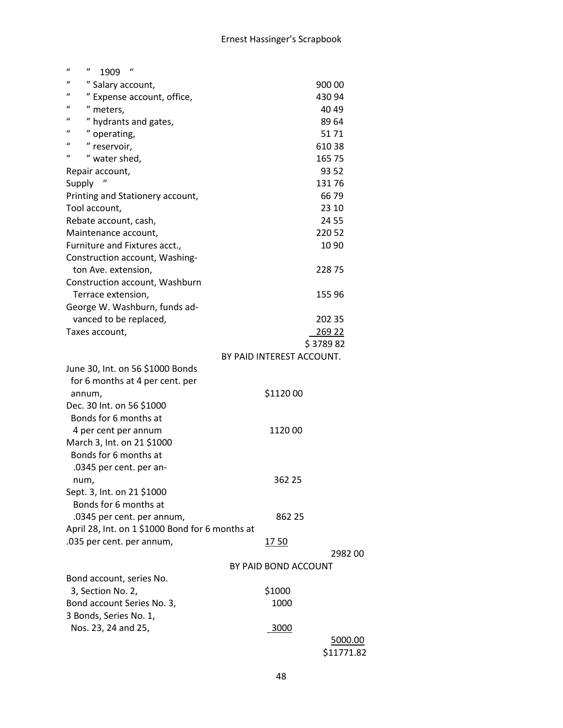| $\boldsymbol{u}$<br>$\boldsymbol{\eta}$<br>$\iota$<br>1909 |                           |
|------------------------------------------------------------|---------------------------|
| $\mathbf{u}$<br>" Salary account,                          | 90000                     |
| $\mathbf{u}$<br>" Expense account, office,                 | 43094                     |
| "<br>" meters,                                             | 40 49                     |
| $\mathbf u$<br>" hydrants and gates,                       | 89 64                     |
| $\boldsymbol{u}$<br>" operating,                           | 5171                      |
| $\mathbf{u}$<br>" reservoir,                               | 61038                     |
| $\mathbf{u}$<br>" water shed,                              | 165 75                    |
| Repair account,                                            | 93 52                     |
| Supply                                                     | 13176                     |
| Printing and Stationery account,                           | 6679                      |
| Tool account,                                              | 23 10                     |
| Rebate account, cash,                                      | 24 55                     |
| Maintenance account,                                       | 220 52                    |
| Furniture and Fixtures acct.,                              | 1090                      |
| Construction account, Washing-                             |                           |
| ton Ave. extension,                                        | 22875                     |
| Construction account, Washburn                             |                           |
| Terrace extension,                                         | 155 96                    |
| George W. Washburn, funds ad-                              |                           |
| vanced to be replaced,                                     | 202 35                    |
| Taxes account,                                             | 269 22                    |
|                                                            | \$378982                  |
|                                                            | BY PAID INTEREST ACCOUNT. |
| June 30, Int. on 56 \$1000 Bonds                           |                           |
| for 6 months at 4 per cent. per                            |                           |
| annum,                                                     | \$1120 00                 |
| Dec. 30 Int. on 56 \$1000                                  |                           |
| Bonds for 6 months at                                      |                           |
| 4 per cent per annum                                       | 112000                    |
| March 3, Int. on 21 \$1000                                 |                           |
| Bonds for 6 months at                                      |                           |
| .0345 per cent. per an-                                    |                           |
| num,                                                       | 362 25                    |
| Sept. 3, Int. on 21 \$1000                                 |                           |
| Bonds for 6 months at                                      |                           |
| .0345 per cent. per annum,                                 | 862 25                    |
| April 28, Int. on 1 \$1000 Bond for 6 months at            |                           |
| .035 per cent. per annum,                                  | 1750                      |
|                                                            | 298200                    |
|                                                            | BY PAID BOND ACCOUNT      |
| Bond account, series No.                                   |                           |
| 3, Section No. 2,                                          | \$1000                    |
| Bond account Series No. 3,                                 | 1000                      |
| 3 Bonds, Series No. 1,                                     |                           |
| Nos. 23, 24 and 25,                                        | 3000                      |
|                                                            | 5000.00                   |
|                                                            | \$11771.82                |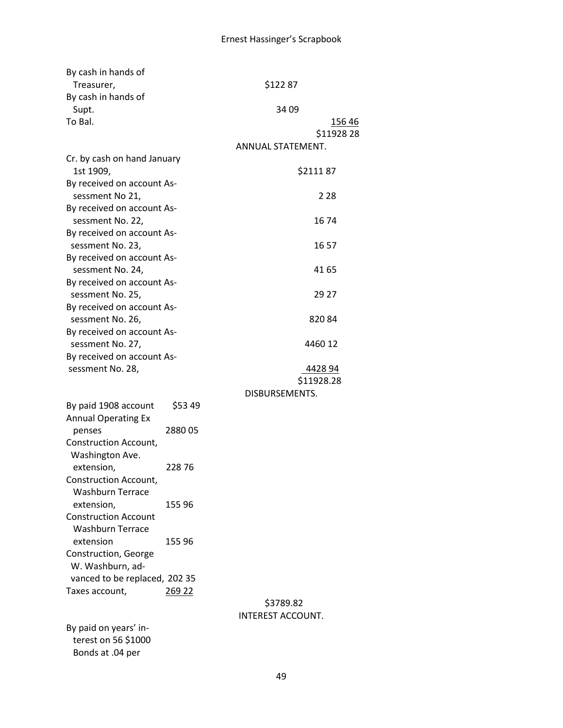| By cash in hands of<br>Treasurer,                  |         | \$12287                  |                            |
|----------------------------------------------------|---------|--------------------------|----------------------------|
| By cash in hands of                                |         |                          |                            |
| Supt.                                              |         | 34 09                    |                            |
| To Bal.                                            |         |                          | <u>15646</u><br>\$11928 28 |
|                                                    |         | ANNUAL STATEMENT.        |                            |
| Cr. by cash on hand January<br>1st 1909,           |         |                          | \$211187                   |
| By received on account As-<br>sessment No 21,      |         |                          | 2.28                       |
| By received on account As-<br>sessment No. 22,     |         |                          | 1674                       |
| By received on account As-<br>sessment No. 23,     |         |                          | 16 57                      |
| By received on account As-<br>sessment No. 24,     |         |                          | 41 65                      |
| By received on account As-<br>sessment No. 25,     |         |                          | 29 27                      |
| By received on account As-<br>sessment No. 26,     |         |                          | 82084                      |
| By received on account As-<br>sessment No. 27,     |         |                          | 4460 12                    |
| By received on account As-<br>sessment No. 28,     |         |                          | 4428 94                    |
|                                                    |         |                          | \$11928.28                 |
|                                                    |         | DISBURSEMENTS.           |                            |
| By paid 1908 account<br><b>Annual Operating Ex</b> | \$53 49 |                          |                            |
| penses                                             | 288005  |                          |                            |
| Construction Account,<br>Washington Ave.           |         |                          |                            |
| extension,                                         | 22876   |                          |                            |
| Construction Account,                              |         |                          |                            |
| <b>Washburn Terrace</b>                            |         |                          |                            |
| extension,                                         | 155 96  |                          |                            |
| <b>Construction Account</b>                        |         |                          |                            |
| <b>Washburn Terrace</b>                            |         |                          |                            |
| extension                                          | 155 96  |                          |                            |
| Construction, George                               |         |                          |                            |
| W. Washburn, ad-                                   |         |                          |                            |
| vanced to be replaced, 202 35                      |         |                          |                            |
| Taxes account,                                     | 269 22  |                          |                            |
|                                                    |         | \$3789.82                |                            |
|                                                    |         | <b>INTEREST ACCOUNT.</b> |                            |
| By paid on years' in-<br>terest on 56 \$1000       |         |                          |                            |
| Bonds at .04 per                                   |         |                          |                            |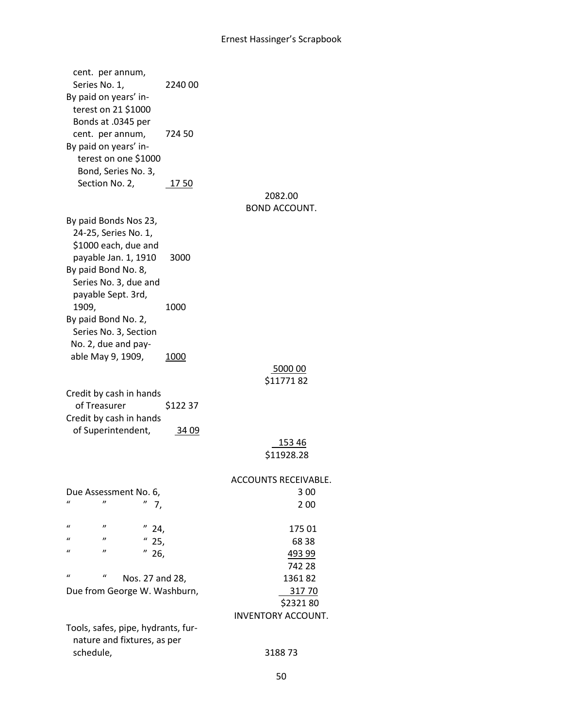# Ernest Hassinger's Scrapbook

| cent. per annum,<br>Series No. 1,<br>By paid on years' in-<br>terest on 21 \$1000 | 2240 00      |                           |
|-----------------------------------------------------------------------------------|--------------|---------------------------|
| Bonds at .0345 per<br>cent. per annum,<br>By paid on years' in-                   | 724 50       |                           |
| terest on one \$1000<br>Bond, Series No. 3,<br>Section No. 2,                     | 1750         |                           |
|                                                                                   |              | 2082.00                   |
|                                                                                   |              | <b>BOND ACCOUNT.</b>      |
| By paid Bonds Nos 23,<br>24-25, Series No. 1,<br>\$1000 each, due and             |              |                           |
| payable Jan. 1, 1910                                                              | 3000         |                           |
| By paid Bond No. 8,<br>Series No. 3, due and<br>payable Sept. 3rd,                |              |                           |
| 1909,                                                                             | 1000         |                           |
| By paid Bond No. 2,                                                               |              |                           |
| Series No. 3, Section<br>No. 2, due and pay-                                      |              |                           |
| able May 9, 1909,                                                                 | <u> 1000</u> |                           |
|                                                                                   |              | 500000                    |
|                                                                                   |              | \$1177182                 |
| Credit by cash in hands<br>of Treasurer                                           | \$122 37     |                           |
| Credit by cash in hands                                                           |              |                           |
| of Superintendent,                                                                | 34 09        |                           |
|                                                                                   |              | 153 46                    |
|                                                                                   |              | \$11928.28                |
|                                                                                   |              | ACCOUNTS RECEIVABLE.      |
| Due Assessment No. 6,                                                             |              | 3 0 0                     |
| $\iota$<br>"<br>7,                                                                |              | 2 00                      |
| $\mathbf{u}$<br>$^{\prime\prime}$<br>$^{\prime\prime}$<br>24,                     |              | 175 01                    |
| "<br>$\iota$<br>25,                                                               |              | 68 38                     |
| "<br>$\iota$<br>26,                                                               |              | 493 99                    |
|                                                                                   |              | 742 28                    |
| $\mathbf{u}$<br>$\iota$<br>Nos. 27 and 28,                                        |              | 136182                    |
| Due from George W. Washburn,                                                      |              | 31770<br>\$232180         |
|                                                                                   |              | <b>INVENTORY ACCOUNT.</b> |
| Tools, safes, pipe, hydrants, fur-                                                |              |                           |
| nature and fixtures, as per                                                       |              |                           |
| schedule,                                                                         |              | 318873                    |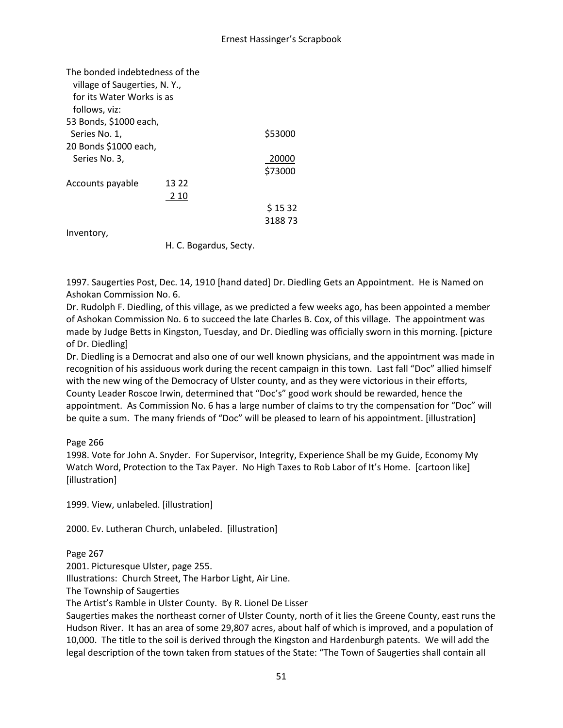### Ernest Hassinger's Scrapbook

| The bonded indebtedness of the<br>village of Saugerties, N.Y.,<br>for its Water Works is as |       |         |
|---------------------------------------------------------------------------------------------|-------|---------|
| follows, viz:                                                                               |       |         |
| 53 Bonds, \$1000 each,                                                                      |       |         |
| Series No. 1,                                                                               |       | \$53000 |
| 20 Bonds \$1000 each,                                                                       |       |         |
| Series No. 3,                                                                               |       | 20000   |
|                                                                                             |       | \$73000 |
| Accounts payable                                                                            | 13.22 |         |
|                                                                                             | 2 10  |         |
|                                                                                             |       | \$1532  |
|                                                                                             |       | 318873  |
| Inventory,                                                                                  |       |         |

H. C. Bogardus, Secty.

1997. Saugerties Post, Dec. 14, 1910 [hand dated] Dr. Diedling Gets an Appointment. He is Named on Ashokan Commission No. 6.

Dr. Rudolph F. Diedling, of this village, as we predicted a few weeks ago, has been appointed a member of Ashokan Commission No. 6 to succeed the late Charles B. Cox, of this village. The appointment was made by Judge Betts in Kingston, Tuesday, and Dr. Diedling was officially sworn in this morning. [picture of Dr. Diedling]

Dr. Diedling is a Democrat and also one of our well known physicians, and the appointment was made in recognition of his assiduous work during the recent campaign in this town. Last fall "Doc" allied himself with the new wing of the Democracy of Ulster county, and as they were victorious in their efforts, County Leader Roscoe Irwin, determined that "Doc's" good work should be rewarded, hence the appointment. As Commission No. 6 has a large number of claims to try the compensation for "Doc" will be quite a sum. The many friends of "Doc" will be pleased to learn of his appointment. [illustration]

Page 266

1998. Vote for John A. Snyder. For Supervisor, Integrity, Experience Shall be my Guide, Economy My Watch Word, Protection to the Tax Payer. No High Taxes to Rob Labor of It's Home. [cartoon like] [illustration]

1999. View, unlabeled. [illustration]

2000. Ev. Lutheran Church, unlabeled. [illustration]

Page 267

2001. Picturesque Ulster, page 255.

Illustrations: Church Street, The Harbor Light, Air Line.

The Township of Saugerties

The Artist's Ramble in Ulster County. By R. Lionel De Lisser

Saugerties makes the northeast corner of Ulster County, north of it lies the Greene County, east runs the Hudson River. It has an area of some 29,807 acres, about half of which is improved, and a population of 10,000. The title to the soil is derived through the Kingston and Hardenburgh patents. We will add the legal description of the town taken from statues of the State: "The Town of Saugerties shall contain all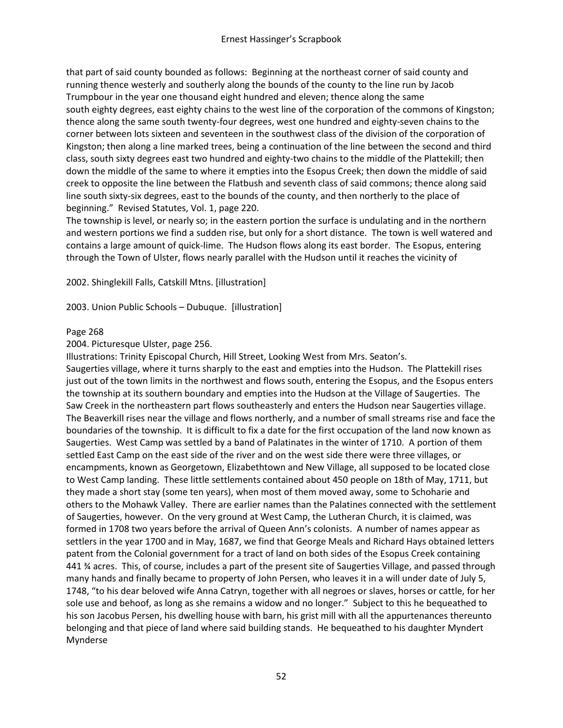that part of said county bounded as follows: Beginning at the northeast corner of said county and running thence westerly and southerly along the bounds of the county to the line run by Jacob Trumpbour in the year one thousand eight hundred and eleven; thence along the same south eighty degrees, east eighty chains to the west line of the corporation of the commons of Kingston; thence along the same south twenty-four degrees, west one hundred and eighty-seven chains to the corner between lots sixteen and seventeen in the southwest class of the division of the corporation of Kingston; then along a line marked trees, being a continuation of the line between the second and third class, south sixty degrees east two hundred and eighty-two chains to the middle of the Plattekill; then down the middle of the same to where it empties into the Esopus Creek; then down the middle of said creek to opposite the line between the Flatbush and seventh class of said commons; thence along said line south sixty-six degrees, east to the bounds of the county, and then northerly to the place of beginning." Revised Statutes, Vol. 1, page 220.

The township is level, or nearly so; in the eastern portion the surface is undulating and in the northern and western portions we find a sudden rise, but only for a short distance. The town is well watered and contains a large amount of quick-lime. The Hudson flows along its east border. The Esopus, entering through the Town of Ulster, flows nearly parallel with the Hudson until it reaches the vicinity of

2002. Shinglekill Falls, Catskill Mtns. [illustration]

2003. Union Public Schools – Dubuque. [illustration]

### Page 268

2004. Picturesque Ulster, page 256.

Illustrations: Trinity Episcopal Church, Hill Street, Looking West from Mrs. Seaton's. Saugerties village, where it turns sharply to the east and empties into the Hudson. The Plattekill rises just out of the town limits in the northwest and flows south, entering the Esopus, and the Esopus enters the township at its southern boundary and empties into the Hudson at the Village of Saugerties. The Saw Creek in the northeastern part flows southeasterly and enters the Hudson near Saugerties village. The Beaverkill rises near the village and flows northerly, and a number of small streams rise and face the boundaries of the township. It is difficult to fix a date for the first occupation of the land now known as Saugerties. West Camp was settled by a band of Palatinates in the winter of 1710. A portion of them settled East Camp on the east side of the river and on the west side there were three villages, or encampments, known as Georgetown, Elizabethtown and New Village, all supposed to be located close to West Camp landing. These little settlements contained about 450 people on 18th of May, 1711, but they made a short stay (some ten years), when most of them moved away, some to Schoharie and others to the Mohawk Valley. There are earlier names than the Palatines connected with the settlement of Saugerties, however. On the very ground at West Camp, the Lutheran Church, it is claimed, was formed in 1708 two years before the arrival of Queen Ann's colonists. A number of names appear as settlers in the year 1700 and in May, 1687, we find that George Meals and Richard Hays obtained letters patent from the Colonial government for a tract of land on both sides of the Esopus Creek containing 441 ¾ acres. This, of course, includes a part of the present site of Saugerties Village, and passed through many hands and finally became to property of John Persen, who leaves it in a will under date of July 5, 1748, "to his dear beloved wife Anna Catryn, together with all negroes or slaves, horses or cattle, for her sole use and behoof, as long as she remains a widow and no longer." Subject to this he bequeathed to his son Jacobus Persen, his dwelling house with barn, his grist mill with all the appurtenances thereunto belonging and that piece of land where said building stands. He bequeathed to his daughter Myndert Mynderse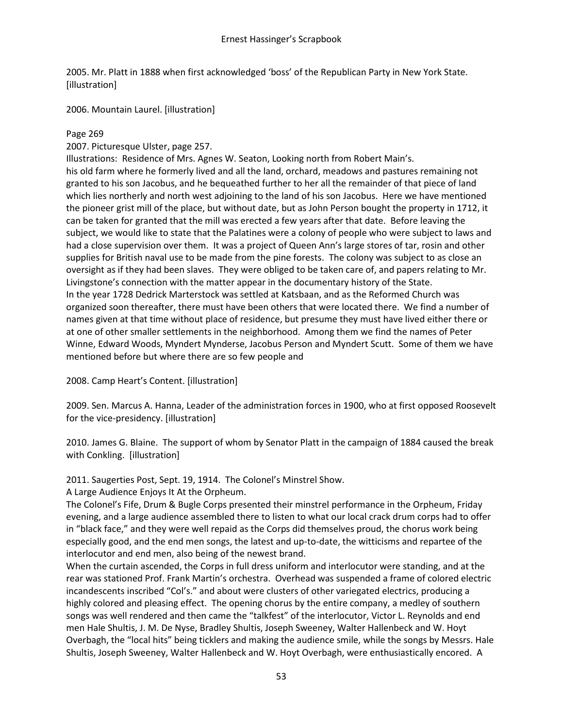2005. Mr. Platt in 1888 when first acknowledged 'boss' of the Republican Party in New York State. [illustration]

2006. Mountain Laurel. [illustration]

## Page 269

2007. Picturesque Ulster, page 257.

Illustrations: Residence of Mrs. Agnes W. Seaton, Looking north from Robert Main's. his old farm where he formerly lived and all the land, orchard, meadows and pastures remaining not granted to his son Jacobus, and he bequeathed further to her all the remainder of that piece of land which lies northerly and north west adjoining to the land of his son Jacobus. Here we have mentioned the pioneer grist mill of the place, but without date, but as John Person bought the property in 1712, it can be taken for granted that the mill was erected a few years after that date. Before leaving the subject, we would like to state that the Palatines were a colony of people who were subject to laws and had a close supervision over them. It was a project of Queen Ann's large stores of tar, rosin and other supplies for British naval use to be made from the pine forests. The colony was subject to as close an oversight as if they had been slaves. They were obliged to be taken care of, and papers relating to Mr. Livingstone's connection with the matter appear in the documentary history of the State. In the year 1728 Dedrick Marterstock was settled at Katsbaan, and as the Reformed Church was organized soon thereafter, there must have been others that were located there. We find a number of names given at that time without place of residence, but presume they must have lived either there or at one of other smaller settlements in the neighborhood. Among them we find the names of Peter Winne, Edward Woods, Myndert Mynderse, Jacobus Person and Myndert Scutt. Some of them we have mentioned before but where there are so few people and

2008. Camp Heart's Content. [illustration]

2009. Sen. Marcus A. Hanna, Leader of the administration forces in 1900, who at first opposed Roosevelt for the vice-presidency. [illustration]

2010. James G. Blaine. The support of whom by Senator Platt in the campaign of 1884 caused the break with Conkling. [illustration]

2011. Saugerties Post, Sept. 19, 1914. The Colonel's Minstrel Show.

A Large Audience Enjoys It At the Orpheum.

The Colonel's Fife, Drum & Bugle Corps presented their minstrel performance in the Orpheum, Friday evening, and a large audience assembled there to listen to what our local crack drum corps had to offer in "black face," and they were well repaid as the Corps did themselves proud, the chorus work being especially good, and the end men songs, the latest and up-to-date, the witticisms and repartee of the interlocutor and end men, also being of the newest brand.

When the curtain ascended, the Corps in full dress uniform and interlocutor were standing, and at the rear was stationed Prof. Frank Martin's orchestra. Overhead was suspended a frame of colored electric incandescents inscribed "Col's." and about were clusters of other variegated electrics, producing a highly colored and pleasing effect. The opening chorus by the entire company, a medley of southern songs was well rendered and then came the "talkfest" of the interlocutor, Victor L. Reynolds and end men Hale Shultis, J. M. De Nyse, Bradley Shultis, Joseph Sweeney, Walter Hallenbeck and W. Hoyt Overbagh, the "local hits" being ticklers and making the audience smile, while the songs by Messrs. Hale Shultis, Joseph Sweeney, Walter Hallenbeck and W. Hoyt Overbagh, were enthusiastically encored. A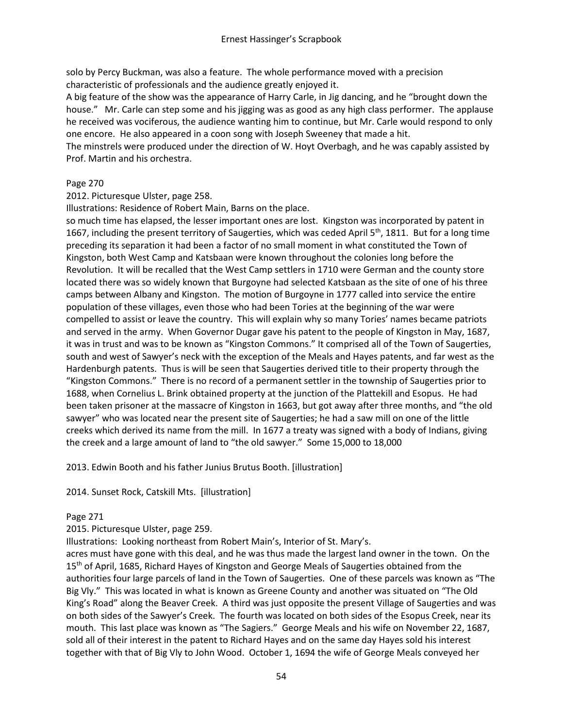solo by Percy Buckman, was also a feature. The whole performance moved with a precision characteristic of professionals and the audience greatly enjoyed it.

A big feature of the show was the appearance of Harry Carle, in Jig dancing, and he "brought down the house." Mr. Carle can step some and his jigging was as good as any high class performer. The applause he received was vociferous, the audience wanting him to continue, but Mr. Carle would respond to only one encore. He also appeared in a coon song with Joseph Sweeney that made a hit.

The minstrels were produced under the direction of W. Hoyt Overbagh, and he was capably assisted by Prof. Martin and his orchestra.

### Page 270

2012. Picturesque Ulster, page 258.

Illustrations: Residence of Robert Main, Barns on the place.

so much time has elapsed, the lesser important ones are lost. Kingston was incorporated by patent in 1667, including the present territory of Saugerties, which was ceded April 5<sup>th</sup>, 1811. But for a long time preceding its separation it had been a factor of no small moment in what constituted the Town of Kingston, both West Camp and Katsbaan were known throughout the colonies long before the Revolution. It will be recalled that the West Camp settlers in 1710 were German and the county store located there was so widely known that Burgoyne had selected Katsbaan as the site of one of his three camps between Albany and Kingston. The motion of Burgoyne in 1777 called into service the entire population of these villages, even those who had been Tories at the beginning of the war were compelled to assist or leave the country. This will explain why so many Tories' names became patriots and served in the army. When Governor Dugar gave his patent to the people of Kingston in May, 1687, it was in trust and was to be known as "Kingston Commons." It comprised all of the Town of Saugerties, south and west of Sawyer's neck with the exception of the Meals and Hayes patents, and far west as the Hardenburgh patents. Thus is will be seen that Saugerties derived title to their property through the "Kingston Commons." There is no record of a permanent settler in the township of Saugerties prior to 1688, when Cornelius L. Brink obtained property at the junction of the Plattekill and Esopus. He had been taken prisoner at the massacre of Kingston in 1663, but got away after three months, and "the old sawyer" who was located near the present site of Saugerties; he had a saw mill on one of the little creeks which derived its name from the mill. In 1677 a treaty was signed with a body of Indians, giving the creek and a large amount of land to "the old sawyer." Some 15,000 to 18,000

2013. Edwin Booth and his father Junius Brutus Booth. [illustration]

2014. Sunset Rock, Catskill Mts. [illustration]

# Page 271

2015. Picturesque Ulster, page 259.

Illustrations: Looking northeast from Robert Main's, Interior of St. Mary's.

acres must have gone with this deal, and he was thus made the largest land owner in the town. On the 15<sup>th</sup> of April, 1685, Richard Hayes of Kingston and George Meals of Saugerties obtained from the authorities four large parcels of land in the Town of Saugerties. One of these parcels was known as "The Big Vly." This was located in what is known as Greene County and another was situated on "The Old King's Road" along the Beaver Creek. A third was just opposite the present Village of Saugerties and was on both sides of the Sawyer's Creek. The fourth was located on both sides of the Esopus Creek, near its mouth. This last place was known as "The Sagiers." George Meals and his wife on November 22, 1687, sold all of their interest in the patent to Richard Hayes and on the same day Hayes sold his interest together with that of Big Vly to John Wood. October 1, 1694 the wife of George Meals conveyed her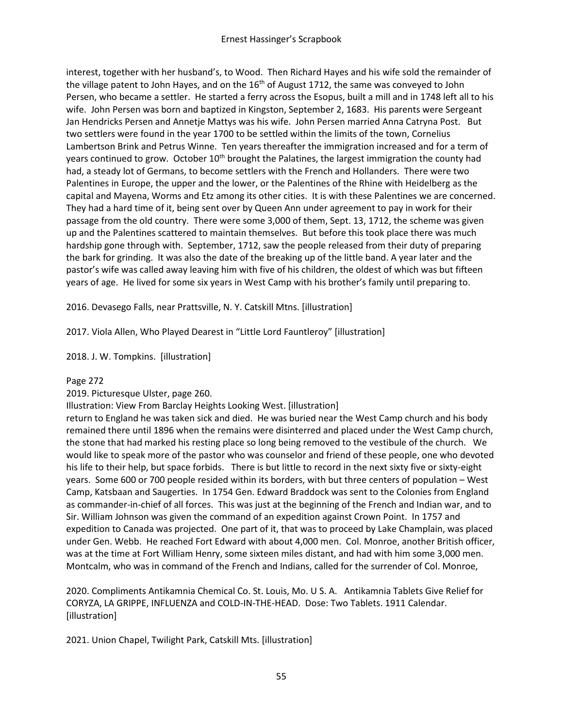interest, together with her husband's, to Wood. Then Richard Hayes and his wife sold the remainder of the village patent to John Hayes, and on the 16<sup>th</sup> of August 1712, the same was conveyed to John Persen, who became a settler. He started a ferry across the Esopus, built a mill and in 1748 left all to his wife. John Persen was born and baptized in Kingston, September 2, 1683. His parents were Sergeant Jan Hendricks Persen and Annetje Mattys was his wife. John Persen married Anna Catryna Post. But two settlers were found in the year 1700 to be settled within the limits of the town, Cornelius Lambertson Brink and Petrus Winne. Ten years thereafter the immigration increased and for a term of years continued to grow. October 10<sup>th</sup> brought the Palatines, the largest immigration the county had had, a steady lot of Germans, to become settlers with the French and Hollanders. There were two Palentines in Europe, the upper and the lower, or the Palentines of the Rhine with Heidelberg as the capital and Mayena, Worms and Etz among its other cities. It is with these Palentines we are concerned. They had a hard time of it, being sent over by Queen Ann under agreement to pay in work for their passage from the old country. There were some 3,000 of them, Sept. 13, 1712, the scheme was given up and the Palentines scattered to maintain themselves. But before this took place there was much hardship gone through with. September, 1712, saw the people released from their duty of preparing the bark for grinding. It was also the date of the breaking up of the little band. A year later and the pastor's wife was called away leaving him with five of his children, the oldest of which was but fifteen years of age. He lived for some six years in West Camp with his brother's family until preparing to.

2016. Devasego Falls, near Prattsville, N. Y. Catskill Mtns. [illustration]

2017. Viola Allen, Who Played Dearest in "Little Lord Fauntleroy" [illustration]

2018. J. W. Tompkins. [illustration]

#### Page 272

2019. Picturesque Ulster, page 260.

Illustration: View From Barclay Heights Looking West. [illustration]

return to England he was taken sick and died. He was buried near the West Camp church and his body remained there until 1896 when the remains were disinterred and placed under the West Camp church, the stone that had marked his resting place so long being removed to the vestibule of the church. We would like to speak more of the pastor who was counselor and friend of these people, one who devoted his life to their help, but space forbids. There is but little to record in the next sixty five or sixty-eight years. Some 600 or 700 people resided within its borders, with but three centers of population – West Camp, Katsbaan and Saugerties. In 1754 Gen. Edward Braddock was sent to the Colonies from England as commander-in-chief of all forces. This was just at the beginning of the French and Indian war, and to Sir. William Johnson was given the command of an expedition against Crown Point. In 1757 and expedition to Canada was projected. One part of it, that was to proceed by Lake Champlain, was placed under Gen. Webb. He reached Fort Edward with about 4,000 men. Col. Monroe, another British officer, was at the time at Fort William Henry, some sixteen miles distant, and had with him some 3,000 men. Montcalm, who was in command of the French and Indians, called for the surrender of Col. Monroe,

2020. Compliments Antikamnia Chemical Co. St. Louis, Mo. U S. A. Antikamnia Tablets Give Relief for CORYZA, LA GRIPPE, INFLUENZA and COLD-IN-THE-HEAD. Dose: Two Tablets. 1911 Calendar. [illustration]

2021. Union Chapel, Twilight Park, Catskill Mts. [illustration]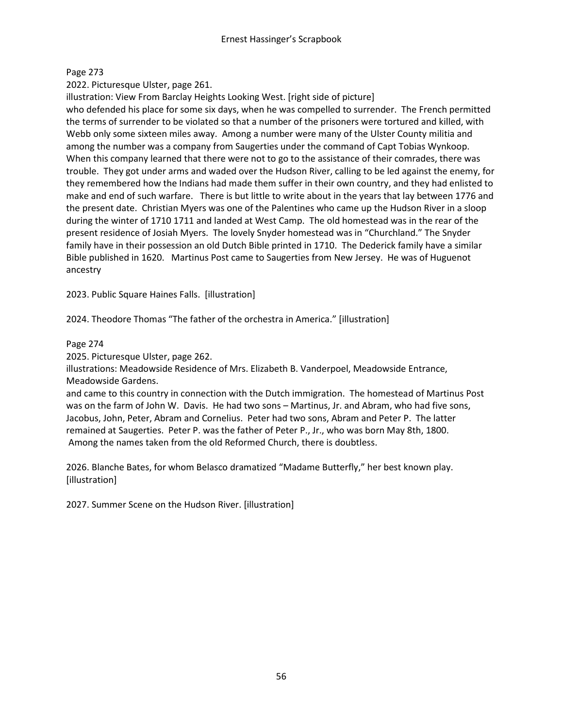# Page 273

2022. Picturesque Ulster, page 261.

illustration: View From Barclay Heights Looking West. [right side of picture]

who defended his place for some six days, when he was compelled to surrender. The French permitted the terms of surrender to be violated so that a number of the prisoners were tortured and killed, with Webb only some sixteen miles away. Among a number were many of the Ulster County militia and among the number was a company from Saugerties under the command of Capt Tobias Wynkoop. When this company learned that there were not to go to the assistance of their comrades, there was trouble. They got under arms and waded over the Hudson River, calling to be led against the enemy, for they remembered how the Indians had made them suffer in their own country, and they had enlisted to make and end of such warfare. There is but little to write about in the years that lay between 1776 and the present date. Christian Myers was one of the Palentines who came up the Hudson River in a sloop during the winter of 1710 1711 and landed at West Camp. The old homestead was in the rear of the present residence of Josiah Myers. The lovely Snyder homestead was in "Churchland." The Snyder family have in their possession an old Dutch Bible printed in 1710. The Dederick family have a similar Bible published in 1620. Martinus Post came to Saugerties from New Jersey. He was of Huguenot ancestry

2023. Public Square Haines Falls. [illustration]

2024. Theodore Thomas "The father of the orchestra in America." [illustration]

### Page 274

2025. Picturesque Ulster, page 262.

illustrations: Meadowside Residence of Mrs. Elizabeth B. Vanderpoel, Meadowside Entrance, Meadowside Gardens.

and came to this country in connection with the Dutch immigration. The homestead of Martinus Post was on the farm of John W. Davis. He had two sons – Martinus, Jr. and Abram, who had five sons, Jacobus, John, Peter, Abram and Cornelius. Peter had two sons, Abram and Peter P. The latter remained at Saugerties. Peter P. was the father of Peter P., Jr., who was born May 8th, 1800. Among the names taken from the old Reformed Church, there is doubtless.

2026. Blanche Bates, for whom Belasco dramatized "Madame Butterfly," her best known play. [illustration]

2027. Summer Scene on the Hudson River. [illustration]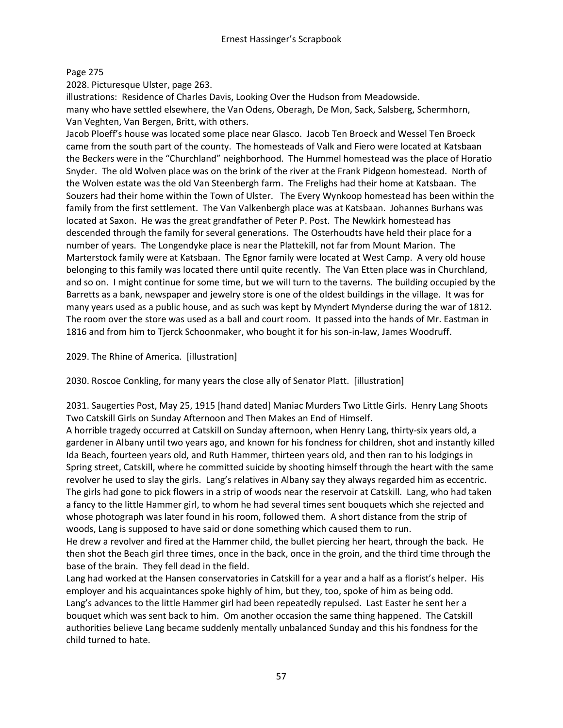# Page 275

2028. Picturesque Ulster, page 263.

illustrations: Residence of Charles Davis, Looking Over the Hudson from Meadowside. many who have settled elsewhere, the Van Odens, Oberagh, De Mon, Sack, Salsberg, Schermhorn, Van Veghten, Van Bergen, Britt, with others.

Jacob Ploeff's house was located some place near Glasco. Jacob Ten Broeck and Wessel Ten Broeck came from the south part of the county. The homesteads of Valk and Fiero were located at Katsbaan the Beckers were in the "Churchland" neighborhood. The Hummel homestead was the place of Horatio Snyder. The old Wolven place was on the brink of the river at the Frank Pidgeon homestead. North of the Wolven estate was the old Van Steenbergh farm. The Frelighs had their home at Katsbaan. The Souzers had their home within the Town of Ulster. The Every Wynkoop homestead has been within the family from the first settlement. The Van Valkenbergh place was at Katsbaan. Johannes Burhans was located at Saxon. He was the great grandfather of Peter P. Post. The Newkirk homestead has descended through the family for several generations. The Osterhoudts have held their place for a number of years. The Longendyke place is near the Plattekill, not far from Mount Marion. The Marterstock family were at Katsbaan. The Egnor family were located at West Camp. A very old house belonging to this family was located there until quite recently. The Van Etten place was in Churchland, and so on. I might continue for some time, but we will turn to the taverns. The building occupied by the Barretts as a bank, newspaper and jewelry store is one of the oldest buildings in the village. It was for many years used as a public house, and as such was kept by Myndert Mynderse during the war of 1812. The room over the store was used as a ball and court room. It passed into the hands of Mr. Eastman in 1816 and from him to Tjerck Schoonmaker, who bought it for his son-in-law, James Woodruff.

2029. The Rhine of America. [illustration]

2030. Roscoe Conkling, for many years the close ally of Senator Platt. [illustration]

2031. Saugerties Post, May 25, 1915 [hand dated] Maniac Murders Two Little Girls. Henry Lang Shoots Two Catskill Girls on Sunday Afternoon and Then Makes an End of Himself.

A horrible tragedy occurred at Catskill on Sunday afternoon, when Henry Lang, thirty-six years old, a gardener in Albany until two years ago, and known for his fondness for children, shot and instantly killed Ida Beach, fourteen years old, and Ruth Hammer, thirteen years old, and then ran to his lodgings in Spring street, Catskill, where he committed suicide by shooting himself through the heart with the same revolver he used to slay the girls. Lang's relatives in Albany say they always regarded him as eccentric. The girls had gone to pick flowers in a strip of woods near the reservoir at Catskill. Lang, who had taken a fancy to the little Hammer girl, to whom he had several times sent bouquets which she rejected and whose photograph was later found in his room, followed them. A short distance from the strip of woods, Lang is supposed to have said or done something which caused them to run.

He drew a revolver and fired at the Hammer child, the bullet piercing her heart, through the back. He then shot the Beach girl three times, once in the back, once in the groin, and the third time through the base of the brain. They fell dead in the field.

Lang had worked at the Hansen conservatories in Catskill for a year and a half as a florist's helper. His employer and his acquaintances spoke highly of him, but they, too, spoke of him as being odd. Lang's advances to the little Hammer girl had been repeatedly repulsed. Last Easter he sent her a bouquet which was sent back to him. Om another occasion the same thing happened. The Catskill authorities believe Lang became suddenly mentally unbalanced Sunday and this his fondness for the child turned to hate.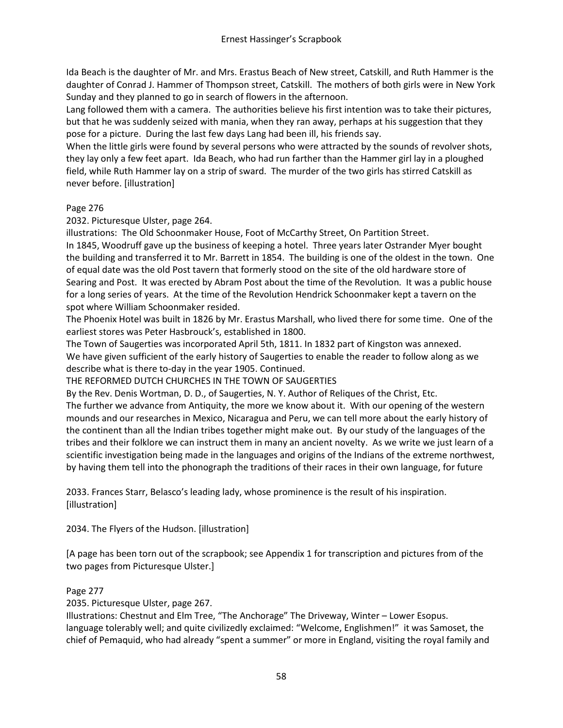Ida Beach is the daughter of Mr. and Mrs. Erastus Beach of New street, Catskill, and Ruth Hammer is the daughter of Conrad J. Hammer of Thompson street, Catskill. The mothers of both girls were in New York Sunday and they planned to go in search of flowers in the afternoon.

Lang followed them with a camera. The authorities believe his first intention was to take their pictures, but that he was suddenly seized with mania, when they ran away, perhaps at his suggestion that they pose for a picture. During the last few days Lang had been ill, his friends say.

When the little girls were found by several persons who were attracted by the sounds of revolver shots, they lay only a few feet apart. Ida Beach, who had run farther than the Hammer girl lay in a ploughed field, while Ruth Hammer lay on a strip of sward. The murder of the two girls has stirred Catskill as never before. [illustration]

# Page 276

2032. Picturesque Ulster, page 264.

illustrations: The Old Schoonmaker House, Foot of McCarthy Street, On Partition Street.

In 1845, Woodruff gave up the business of keeping a hotel. Three years later Ostrander Myer bought the building and transferred it to Mr. Barrett in 1854. The building is one of the oldest in the town. One of equal date was the old Post tavern that formerly stood on the site of the old hardware store of Searing and Post. It was erected by Abram Post about the time of the Revolution. It was a public house for a long series of years. At the time of the Revolution Hendrick Schoonmaker kept a tavern on the spot where William Schoonmaker resided.

The Phoenix Hotel was built in 1826 by Mr. Erastus Marshall, who lived there for some time. One of the earliest stores was Peter Hasbrouck's, established in 1800.

The Town of Saugerties was incorporated April 5th, 1811. In 1832 part of Kingston was annexed. We have given sufficient of the early history of Saugerties to enable the reader to follow along as we describe what is there to-day in the year 1905. Continued.

THE REFORMED DUTCH CHURCHES IN THE TOWN OF SAUGERTIES

By the Rev. Denis Wortman, D. D., of Saugerties, N. Y. Author of Reliques of the Christ, Etc.

The further we advance from Antiquity, the more we know about it. With our opening of the western mounds and our researches in Mexico, Nicaragua and Peru, we can tell more about the early history of the continent than all the Indian tribes together might make out. By our study of the languages of the tribes and their folklore we can instruct them in many an ancient novelty. As we write we just learn of a scientific investigation being made in the languages and origins of the Indians of the extreme northwest, by having them tell into the phonograph the traditions of their races in their own language, for future

2033. Frances Starr, Belasco's leading lady, whose prominence is the result of his inspiration. [illustration]

2034. The Flyers of the Hudson. [illustration]

[A page has been torn out of the scrapbook; see Appendix 1 for transcription and pictures from of the two pages from Picturesque Ulster.]

# Page 277

2035. Picturesque Ulster, page 267.

Illustrations: Chestnut and Elm Tree, "The Anchorage" The Driveway, Winter – Lower Esopus. language tolerably well; and quite civilizedly exclaimed: "Welcome, Englishmen!" it was Samoset, the chief of Pemaquid, who had already "spent a summer" or more in England, visiting the royal family and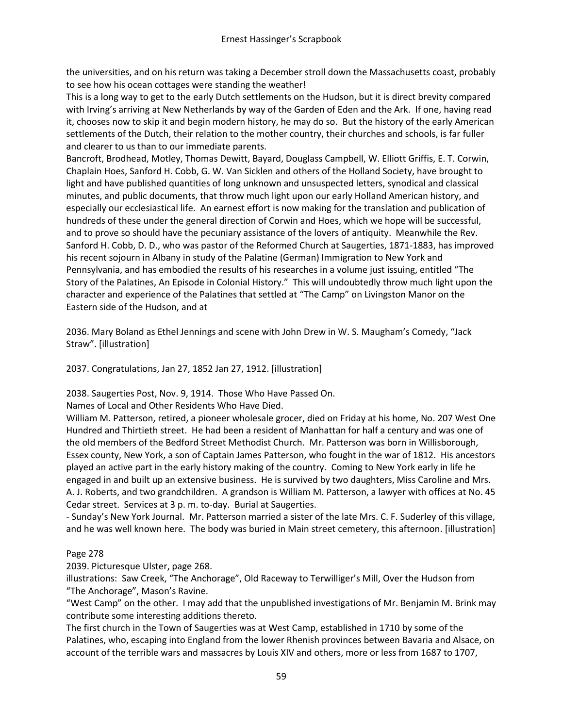the universities, and on his return was taking a December stroll down the Massachusetts coast, probably to see how his ocean cottages were standing the weather!

This is a long way to get to the early Dutch settlements on the Hudson, but it is direct brevity compared with Irving's arriving at New Netherlands by way of the Garden of Eden and the Ark. If one, having read it, chooses now to skip it and begin modern history, he may do so. But the history of the early American settlements of the Dutch, their relation to the mother country, their churches and schools, is far fuller and clearer to us than to our immediate parents.

Bancroft, Brodhead, Motley, Thomas Dewitt, Bayard, Douglass Campbell, W. Elliott Griffis, E. T. Corwin, Chaplain Hoes, Sanford H. Cobb, G. W. Van Sicklen and others of the Holland Society, have brought to light and have published quantities of long unknown and unsuspected letters, synodical and classical minutes, and public documents, that throw much light upon our early Holland American history, and especially our ecclesiastical life. An earnest effort is now making for the translation and publication of hundreds of these under the general direction of Corwin and Hoes, which we hope will be successful, and to prove so should have the pecuniary assistance of the lovers of antiquity. Meanwhile the Rev. Sanford H. Cobb, D. D., who was pastor of the Reformed Church at Saugerties, 1871-1883, has improved his recent sojourn in Albany in study of the Palatine (German) Immigration to New York and Pennsylvania, and has embodied the results of his researches in a volume just issuing, entitled "The Story of the Palatines, An Episode in Colonial History." This will undoubtedly throw much light upon the character and experience of the Palatines that settled at "The Camp" on Livingston Manor on the Eastern side of the Hudson, and at

2036. Mary Boland as Ethel Jennings and scene with John Drew in W. S. Maugham's Comedy, "Jack Straw". [illustration]

2037. Congratulations, Jan 27, 1852 Jan 27, 1912. [illustration]

2038. Saugerties Post, Nov. 9, 1914. Those Who Have Passed On.

Names of Local and Other Residents Who Have Died.

William M. Patterson, retired, a pioneer wholesale grocer, died on Friday at his home, No. 207 West One Hundred and Thirtieth street. He had been a resident of Manhattan for half a century and was one of the old members of the Bedford Street Methodist Church. Mr. Patterson was born in Willisborough, Essex county, New York, a son of Captain James Patterson, who fought in the war of 1812. His ancestors played an active part in the early history making of the country. Coming to New York early in life he engaged in and built up an extensive business. He is survived by two daughters, Miss Caroline and Mrs. A. J. Roberts, and two grandchildren. A grandson is William M. Patterson, a lawyer with offices at No. 45 Cedar street. Services at 3 p. m. to-day. Burial at Saugerties.

- Sunday's New York Journal. Mr. Patterson married a sister of the late Mrs. C. F. Suderley of this village, and he was well known here. The body was buried in Main street cemetery, this afternoon. [illustration]

# Page 278

2039. Picturesque Ulster, page 268.

illustrations: Saw Creek, "The Anchorage", Old Raceway to Terwilliger's Mill, Over the Hudson from "The Anchorage", Mason's Ravine.

"West Camp" on the other. I may add that the unpublished investigations of Mr. Benjamin M. Brink may contribute some interesting additions thereto.

The first church in the Town of Saugerties was at West Camp, established in 1710 by some of the Palatines, who, escaping into England from the lower Rhenish provinces between Bavaria and Alsace, on account of the terrible wars and massacres by Louis XIV and others, more or less from 1687 to 1707,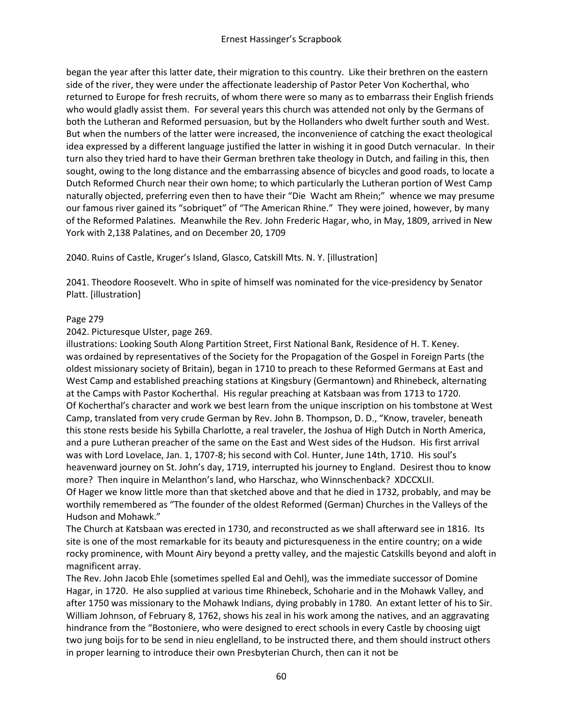began the year after this latter date, their migration to this country. Like their brethren on the eastern side of the river, they were under the affectionate leadership of Pastor Peter Von Kocherthal, who returned to Europe for fresh recruits, of whom there were so many as to embarrass their English friends who would gladly assist them. For several years this church was attended not only by the Germans of both the Lutheran and Reformed persuasion, but by the Hollanders who dwelt further south and West. But when the numbers of the latter were increased, the inconvenience of catching the exact theological idea expressed by a different language justified the latter in wishing it in good Dutch vernacular. In their turn also they tried hard to have their German brethren take theology in Dutch, and failing in this, then sought, owing to the long distance and the embarrassing absence of bicycles and good roads, to locate a Dutch Reformed Church near their own home; to which particularly the Lutheran portion of West Camp naturally objected, preferring even then to have their "Die Wacht am Rhein;" whence we may presume our famous river gained its "sobriquet" of "The American Rhine." They were joined, however, by many of the Reformed Palatines. Meanwhile the Rev. John Frederic Hagar, who, in May, 1809, arrived in New York with 2,138 Palatines, and on December 20, 1709

2040. Ruins of Castle, Kruger's Island, Glasco, Catskill Mts. N. Y. [illustration]

2041. Theodore Roosevelt. Who in spite of himself was nominated for the vice-presidency by Senator Platt. [illustration]

#### Page 279

#### 2042. Picturesque Ulster, page 269.

illustrations: Looking South Along Partition Street, First National Bank, Residence of H. T. Keney. was ordained by representatives of the Society for the Propagation of the Gospel in Foreign Parts (the oldest missionary society of Britain), began in 1710 to preach to these Reformed Germans at East and West Camp and established preaching stations at Kingsbury (Germantown) and Rhinebeck, alternating at the Camps with Pastor Kocherthal. His regular preaching at Katsbaan was from 1713 to 1720. Of Kocherthal's character and work we best learn from the unique inscription on his tombstone at West Camp, translated from very crude German by Rev. John B. Thompson, D. D., "Know, traveler, beneath this stone rests beside his Sybilla Charlotte, a real traveler, the Joshua of High Dutch in North America, and a pure Lutheran preacher of the same on the East and West sides of the Hudson. His first arrival was with Lord Lovelace, Jan. 1, 1707-8; his second with Col. Hunter, June 14th, 1710. His soul's heavenward journey on St. John's day, 1719, interrupted his journey to England. Desirest thou to know more? Then inquire in Melanthon's land, who Harschaz, who Winnschenback? XDCCXLII. Of Hager we know little more than that sketched above and that he died in 1732, probably, and may be worthily remembered as "The founder of the oldest Reformed (German) Churches in the Valleys of the Hudson and Mohawk."

The Church at Katsbaan was erected in 1730, and reconstructed as we shall afterward see in 1816. Its site is one of the most remarkable for its beauty and picturesqueness in the entire country; on a wide rocky prominence, with Mount Airy beyond a pretty valley, and the majestic Catskills beyond and aloft in magnificent array.

The Rev. John Jacob Ehle (sometimes spelled Eal and Oehl), was the immediate successor of Domine Hagar, in 1720. He also supplied at various time Rhinebeck, Schoharie and in the Mohawk Valley, and after 1750 was missionary to the Mohawk Indians, dying probably in 1780. An extant letter of his to Sir. William Johnson, of February 8, 1762, shows his zeal in his work among the natives, and an aggravating hindrance from the "Bostoniere, who were designed to erect schools in every Castle by choosing uigt two jung boijs for to be send in nieu englelland, to be instructed there, and them should instruct others in proper learning to introduce their own Presbyterian Church, then can it not be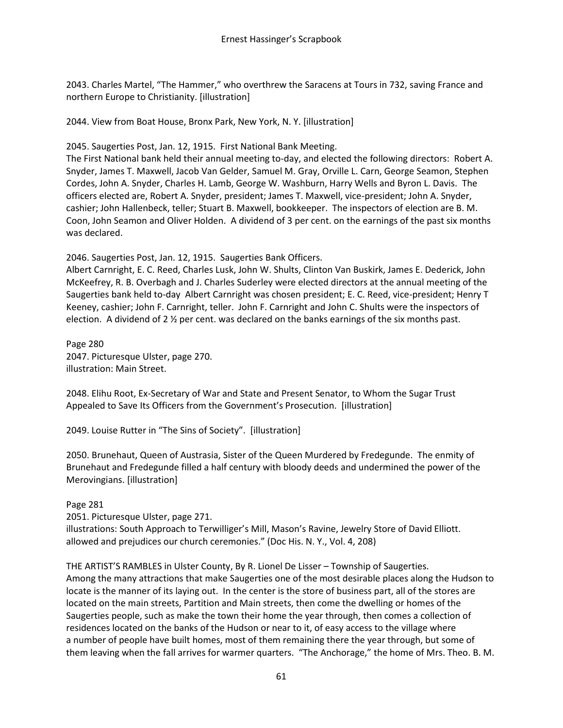2043. Charles Martel, "The Hammer," who overthrew the Saracens at Tours in 732, saving France and northern Europe to Christianity. [illustration]

2044. View from Boat House, Bronx Park, New York, N. Y. [illustration]

2045. Saugerties Post, Jan. 12, 1915. First National Bank Meeting.

The First National bank held their annual meeting to-day, and elected the following directors: Robert A. Snyder, James T. Maxwell, Jacob Van Gelder, Samuel M. Gray, Orville L. Carn, George Seamon, Stephen Cordes, John A. Snyder, Charles H. Lamb, George W. Washburn, Harry Wells and Byron L. Davis. The officers elected are, Robert A. Snyder, president; James T. Maxwell, vice-president; John A. Snyder, cashier; John Hallenbeck, teller; Stuart B. Maxwell, bookkeeper. The inspectors of election are B. M. Coon, John Seamon and Oliver Holden. A dividend of 3 per cent. on the earnings of the past six months was declared.

2046. Saugerties Post, Jan. 12, 1915. Saugerties Bank Officers.

Albert Carnright, E. C. Reed, Charles Lusk, John W. Shults, Clinton Van Buskirk, James E. Dederick, John McKeefrey, R. B. Overbagh and J. Charles Suderley were elected directors at the annual meeting of the Saugerties bank held to-day Albert Carnright was chosen president; E. C. Reed, vice-president; Henry T Keeney, cashier; John F. Carnright, teller. John F. Carnright and John C. Shults were the inspectors of election. A dividend of 2 ½ per cent. was declared on the banks earnings of the six months past.

Page 280 2047. Picturesque Ulster, page 270. illustration: Main Street.

2048. Elihu Root, Ex-Secretary of War and State and Present Senator, to Whom the Sugar Trust Appealed to Save Its Officers from the Government's Prosecution. [illustration]

2049. Louise Rutter in "The Sins of Society". [illustration]

2050. Brunehaut, Queen of Austrasia, Sister of the Queen Murdered by Fredegunde. The enmity of Brunehaut and Fredegunde filled a half century with bloody deeds and undermined the power of the Merovingians. [illustration]

Page 281

2051. Picturesque Ulster, page 271.

illustrations: South Approach to Terwilliger's Mill, Mason's Ravine, Jewelry Store of David Elliott. allowed and prejudices our church ceremonies." (Doc His. N. Y., Vol. 4, 208)

THE ARTIST'S RAMBLES in Ulster County, By R. Lionel De Lisser – Township of Saugerties. Among the many attractions that make Saugerties one of the most desirable places along the Hudson to locate is the manner of its laying out. In the center is the store of business part, all of the stores are located on the main streets, Partition and Main streets, then come the dwelling or homes of the Saugerties people, such as make the town their home the year through, then comes a collection of residences located on the banks of the Hudson or near to it, of easy access to the village where a number of people have built homes, most of them remaining there the year through, but some of them leaving when the fall arrives for warmer quarters. "The Anchorage," the home of Mrs. Theo. B. M.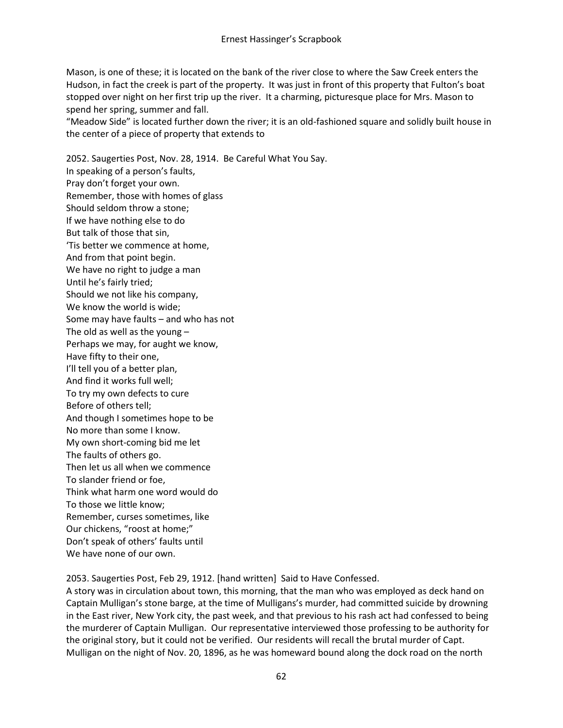Mason, is one of these; it is located on the bank of the river close to where the Saw Creek enters the Hudson, in fact the creek is part of the property. It was just in front of this property that Fulton's boat stopped over night on her first trip up the river. It a charming, picturesque place for Mrs. Mason to spend her spring, summer and fall.

"Meadow Side" is located further down the river; it is an old-fashioned square and solidly built house in the center of a piece of property that extends to

2052. Saugerties Post, Nov. 28, 1914. Be Careful What You Say. In speaking of a person's faults, Pray don't forget your own. Remember, those with homes of glass Should seldom throw a stone; If we have nothing else to do But talk of those that sin, 'Tis better we commence at home, And from that point begin. We have no right to judge a man Until he's fairly tried; Should we not like his company, We know the world is wide; Some may have faults – and who has not The old as well as the young  $-$ Perhaps we may, for aught we know, Have fifty to their one, I'll tell you of a better plan, And find it works full well; To try my own defects to cure Before of others tell; And though I sometimes hope to be No more than some I know. My own short-coming bid me let The faults of others go. Then let us all when we commence To slander friend or foe, Think what harm one word would do To those we little know; Remember, curses sometimes, like Our chickens, "roost at home;" Don't speak of others' faults until We have none of our own.

2053. Saugerties Post, Feb 29, 1912. [hand written] Said to Have Confessed.

A story was in circulation about town, this morning, that the man who was employed as deck hand on Captain Mulligan's stone barge, at the time of Mulligans's murder, had committed suicide by drowning in the East river, New York city, the past week, and that previous to his rash act had confessed to being the murderer of Captain Mulligan. Our representative interviewed those professing to be authority for the original story, but it could not be verified. Our residents will recall the brutal murder of Capt. Mulligan on the night of Nov. 20, 1896, as he was homeward bound along the dock road on the north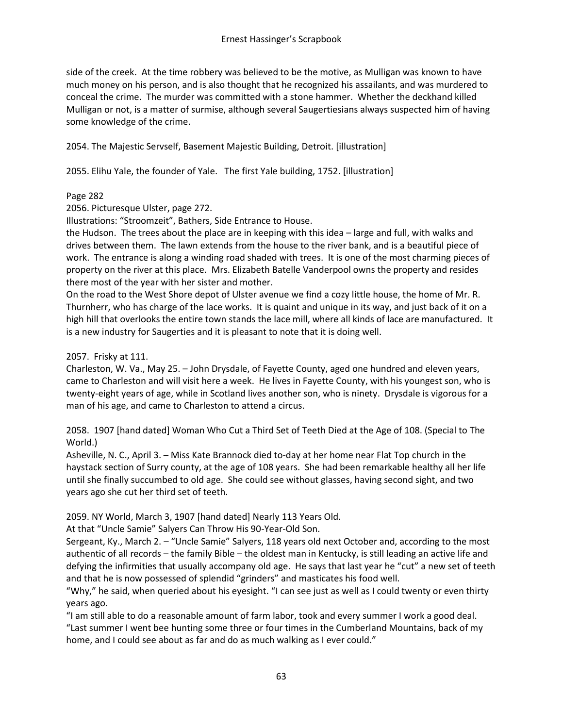side of the creek. At the time robbery was believed to be the motive, as Mulligan was known to have much money on his person, and is also thought that he recognized his assailants, and was murdered to conceal the crime. The murder was committed with a stone hammer. Whether the deckhand killed Mulligan or not, is a matter of surmise, although several Saugertiesians always suspected him of having some knowledge of the crime.

2054. The Majestic Servself, Basement Majestic Building, Detroit. [illustration]

2055. Elihu Yale, the founder of Yale. The first Yale building, 1752. [illustration]

### Page 282

2056. Picturesque Ulster, page 272.

Illustrations: "Stroomzeit", Bathers, Side Entrance to House.

the Hudson. The trees about the place are in keeping with this idea – large and full, with walks and drives between them. The lawn extends from the house to the river bank, and is a beautiful piece of work. The entrance is along a winding road shaded with trees. It is one of the most charming pieces of property on the river at this place. Mrs. Elizabeth Batelle Vanderpool owns the property and resides there most of the year with her sister and mother.

On the road to the West Shore depot of Ulster avenue we find a cozy little house, the home of Mr. R. Thurnherr, who has charge of the lace works. It is quaint and unique in its way, and just back of it on a high hill that overlooks the entire town stands the lace mill, where all kinds of lace are manufactured. It is a new industry for Saugerties and it is pleasant to note that it is doing well.

2057. Frisky at 111.

Charleston, W. Va., May 25. – John Drysdale, of Fayette County, aged one hundred and eleven years, came to Charleston and will visit here a week. He lives in Fayette County, with his youngest son, who is twenty-eight years of age, while in Scotland lives another son, who is ninety. Drysdale is vigorous for a man of his age, and came to Charleston to attend a circus.

2058. 1907 [hand dated] Woman Who Cut a Third Set of Teeth Died at the Age of 108. (Special to The World.)

Asheville, N. C., April 3. – Miss Kate Brannock died to-day at her home near Flat Top church in the haystack section of Surry county, at the age of 108 years. She had been remarkable healthy all her life until she finally succumbed to old age. She could see without glasses, having second sight, and two years ago she cut her third set of teeth.

2059. NY World, March 3, 1907 [hand dated] Nearly 113 Years Old.

At that "Uncle Samie" Salyers Can Throw His 90-Year-Old Son.

Sergeant, Ky., March 2. – "Uncle Samie" Salyers, 118 years old next October and, according to the most authentic of all records – the family Bible – the oldest man in Kentucky, is still leading an active life and defying the infirmities that usually accompany old age. He says that last year he "cut" a new set of teeth and that he is now possessed of splendid "grinders" and masticates his food well.

"Why," he said, when queried about his eyesight. "I can see just as well as I could twenty or even thirty years ago.

"I am still able to do a reasonable amount of farm labor, took and every summer I work a good deal. "Last summer I went bee hunting some three or four times in the Cumberland Mountains, back of my home, and I could see about as far and do as much walking as I ever could."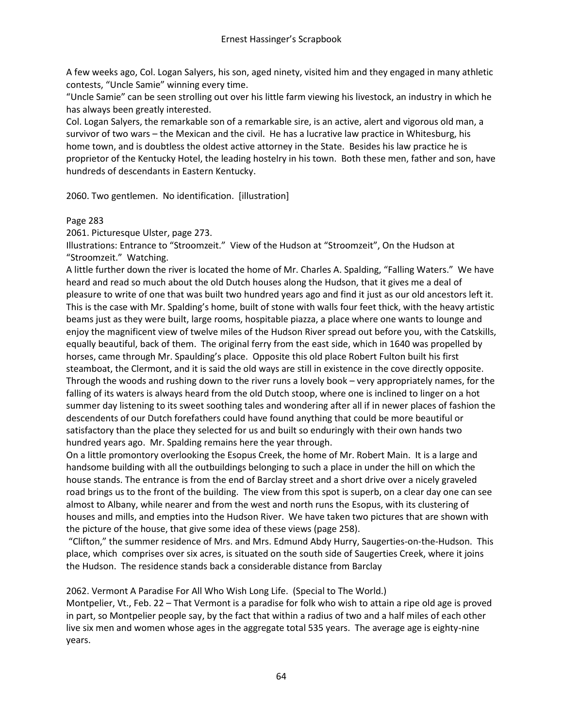A few weeks ago, Col. Logan Salyers, his son, aged ninety, visited him and they engaged in many athletic contests, "Uncle Samie" winning every time.

"Uncle Samie" can be seen strolling out over his little farm viewing his livestock, an industry in which he has always been greatly interested.

Col. Logan Salyers, the remarkable son of a remarkable sire, is an active, alert and vigorous old man, a survivor of two wars – the Mexican and the civil. He has a lucrative law practice in Whitesburg, his home town, and is doubtless the oldest active attorney in the State. Besides his law practice he is proprietor of the Kentucky Hotel, the leading hostelry in his town. Both these men, father and son, have hundreds of descendants in Eastern Kentucky.

2060. Two gentlemen. No identification. [illustration]

### Page 283

2061. Picturesque Ulster, page 273.

Illustrations: Entrance to "Stroomzeit." View of the Hudson at "Stroomzeit", On the Hudson at "Stroomzeit." Watching.

A little further down the river is located the home of Mr. Charles A. Spalding, "Falling Waters." We have heard and read so much about the old Dutch houses along the Hudson, that it gives me a deal of pleasure to write of one that was built two hundred years ago and find it just as our old ancestors left it. This is the case with Mr. Spalding's home, built of stone with walls four feet thick, with the heavy artistic beams just as they were built, large rooms, hospitable piazza, a place where one wants to lounge and enjoy the magnificent view of twelve miles of the Hudson River spread out before you, with the Catskills, equally beautiful, back of them. The original ferry from the east side, which in 1640 was propelled by horses, came through Mr. Spaulding's place. Opposite this old place Robert Fulton built his first steamboat, the Clermont, and it is said the old ways are still in existence in the cove directly opposite. Through the woods and rushing down to the river runs a lovely book – very appropriately names, for the falling of its waters is always heard from the old Dutch stoop, where one is inclined to linger on a hot summer day listening to its sweet soothing tales and wondering after all if in newer places of fashion the descendents of our Dutch forefathers could have found anything that could be more beautiful or satisfactory than the place they selected for us and built so enduringly with their own hands two hundred years ago. Mr. Spalding remains here the year through.

On a little promontory overlooking the Esopus Creek, the home of Mr. Robert Main. It is a large and handsome building with all the outbuildings belonging to such a place in under the hill on which the house stands. The entrance is from the end of Barclay street and a short drive over a nicely graveled road brings us to the front of the building. The view from this spot is superb, on a clear day one can see almost to Albany, while nearer and from the west and north runs the Esopus, with its clustering of houses and mills, and empties into the Hudson River. We have taken two pictures that are shown with the picture of the house, that give some idea of these views (page 258).

"Clifton," the summer residence of Mrs. and Mrs. Edmund Abdy Hurry, Saugerties-on-the-Hudson. This place, which comprises over six acres, is situated on the south side of Saugerties Creek, where it joins the Hudson. The residence stands back a considerable distance from Barclay

2062. Vermont A Paradise For All Who Wish Long Life. (Special to The World.)

Montpelier, Vt., Feb. 22 – That Vermont is a paradise for folk who wish to attain a ripe old age is proved in part, so Montpelier people say, by the fact that within a radius of two and a half miles of each other live six men and women whose ages in the aggregate total 535 years. The average age is eighty-nine years.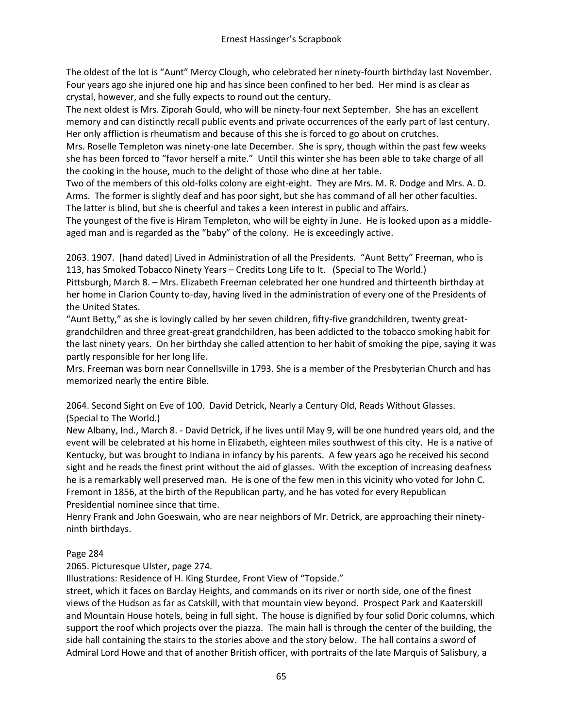The oldest of the lot is "Aunt" Mercy Clough, who celebrated her ninety-fourth birthday last November. Four years ago she injured one hip and has since been confined to her bed. Her mind is as clear as crystal, however, and she fully expects to round out the century.

The next oldest is Mrs. Ziporah Gould, who will be ninety-four next September. She has an excellent memory and can distinctly recall public events and private occurrences of the early part of last century. Her only affliction is rheumatism and because of this she is forced to go about on crutches.

Mrs. Roselle Templeton was ninety-one late December. She is spry, though within the past few weeks she has been forced to "favor herself a mite." Until this winter she has been able to take charge of all the cooking in the house, much to the delight of those who dine at her table.

Two of the members of this old-folks colony are eight-eight. They are Mrs. M. R. Dodge and Mrs. A. D. Arms. The former is slightly deaf and has poor sight, but she has command of all her other faculties. The latter is blind, but she is cheerful and takes a keen interest in public and affairs.

The youngest of the five is Hiram Templeton, who will be eighty in June. He is looked upon as a middleaged man and is regarded as the "baby" of the colony. He is exceedingly active.

2063. 1907. [hand dated] Lived in Administration of all the Presidents. "Aunt Betty" Freeman, who is 113, has Smoked Tobacco Ninety Years – Credits Long Life to It. (Special to The World.)

Pittsburgh, March 8. – Mrs. Elizabeth Freeman celebrated her one hundred and thirteenth birthday at her home in Clarion County to-day, having lived in the administration of every one of the Presidents of the United States.

"Aunt Betty," as she is lovingly called by her seven children, fifty-five grandchildren, twenty greatgrandchildren and three great-great grandchildren, has been addicted to the tobacco smoking habit for the last ninety years. On her birthday she called attention to her habit of smoking the pipe, saying it was partly responsible for her long life.

Mrs. Freeman was born near Connellsville in 1793. She is a member of the Presbyterian Church and has memorized nearly the entire Bible.

2064. Second Sight on Eve of 100. David Detrick, Nearly a Century Old, Reads Without Glasses. (Special to The World.)

New Albany, Ind., March 8. - David Detrick, if he lives until May 9, will be one hundred years old, and the event will be celebrated at his home in Elizabeth, eighteen miles southwest of this city. He is a native of Kentucky, but was brought to Indiana in infancy by his parents. A few years ago he received his second sight and he reads the finest print without the aid of glasses. With the exception of increasing deafness he is a remarkably well preserved man. He is one of the few men in this vicinity who voted for John C. Fremont in 1856, at the birth of the Republican party, and he has voted for every Republican Presidential nominee since that time.

Henry Frank and John Goeswain, who are near neighbors of Mr. Detrick, are approaching their ninetyninth birthdays.

# Page 284

2065. Picturesque Ulster, page 274.

Illustrations: Residence of H. King Sturdee, Front View of "Topside."

street, which it faces on Barclay Heights, and commands on its river or north side, one of the finest views of the Hudson as far as Catskill, with that mountain view beyond. Prospect Park and Kaaterskill and Mountain House hotels, being in full sight. The house is dignified by four solid Doric columns, which support the roof which projects over the piazza. The main hall is through the center of the building, the side hall containing the stairs to the stories above and the story below. The hall contains a sword of Admiral Lord Howe and that of another British officer, with portraits of the late Marquis of Salisbury, a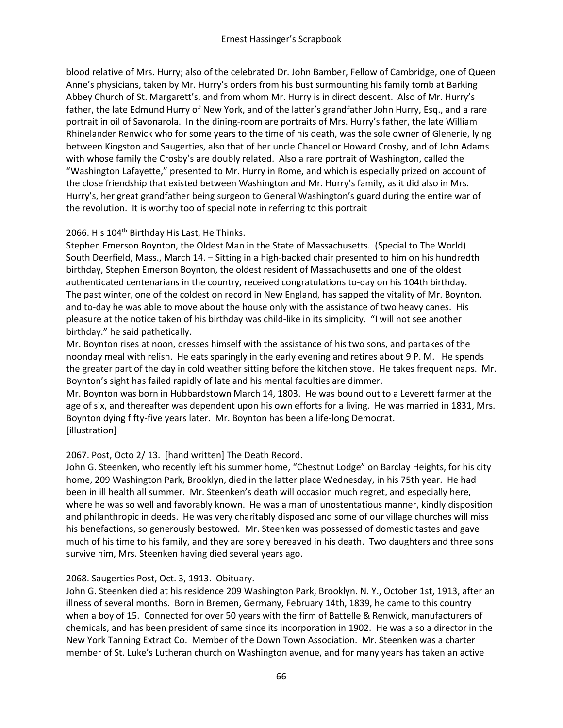blood relative of Mrs. Hurry; also of the celebrated Dr. John Bamber, Fellow of Cambridge, one of Queen Anne's physicians, taken by Mr. Hurry's orders from his bust surmounting his family tomb at Barking Abbey Church of St. Margarett's, and from whom Mr. Hurry is in direct descent. Also of Mr. Hurry's father, the late Edmund Hurry of New York, and of the latter's grandfather John Hurry, Esq., and a rare portrait in oil of Savonarola. In the dining-room are portraits of Mrs. Hurry's father, the late William Rhinelander Renwick who for some years to the time of his death, was the sole owner of Glenerie, lying between Kingston and Saugerties, also that of her uncle Chancellor Howard Crosby, and of John Adams with whose family the Crosby's are doubly related. Also a rare portrait of Washington, called the "Washington Lafayette," presented to Mr. Hurry in Rome, and which is especially prized on account of the close friendship that existed between Washington and Mr. Hurry's family, as it did also in Mrs. Hurry's, her great grandfather being surgeon to General Washington's guard during the entire war of the revolution. It is worthy too of special note in referring to this portrait

### 2066. His 104<sup>th</sup> Birthday His Last, He Thinks.

Stephen Emerson Boynton, the Oldest Man in the State of Massachusetts. (Special to The World) South Deerfield, Mass., March 14. – Sitting in a high-backed chair presented to him on his hundredth birthday, Stephen Emerson Boynton, the oldest resident of Massachusetts and one of the oldest authenticated centenarians in the country, received congratulations to-day on his 104th birthday. The past winter, one of the coldest on record in New England, has sapped the vitality of Mr. Boynton, and to-day he was able to move about the house only with the assistance of two heavy canes. His pleasure at the notice taken of his birthday was child-like in its simplicity. "I will not see another birthday." he said pathetically.

Mr. Boynton rises at noon, dresses himself with the assistance of his two sons, and partakes of the noonday meal with relish. He eats sparingly in the early evening and retires about 9 P. M. He spends the greater part of the day in cold weather sitting before the kitchen stove. He takes frequent naps. Mr. Boynton's sight has failed rapidly of late and his mental faculties are dimmer.

Mr. Boynton was born in Hubbardstown March 14, 1803. He was bound out to a Leverett farmer at the age of six, and thereafter was dependent upon his own efforts for a living. He was married in 1831, Mrs. Boynton dying fifty-five years later. Mr. Boynton has been a life-long Democrat. [illustration]

# 2067. Post, Octo 2/ 13. [hand written] The Death Record.

John G. Steenken, who recently left his summer home, "Chestnut Lodge" on Barclay Heights, for his city home, 209 Washington Park, Brooklyn, died in the latter place Wednesday, in his 75th year. He had been in ill health all summer. Mr. Steenken's death will occasion much regret, and especially here, where he was so well and favorably known. He was a man of unostentatious manner, kindly disposition and philanthropic in deeds. He was very charitably disposed and some of our village churches will miss his benefactions, so generously bestowed. Mr. Steenken was possessed of domestic tastes and gave much of his time to his family, and they are sorely bereaved in his death. Two daughters and three sons survive him, Mrs. Steenken having died several years ago.

#### 2068. Saugerties Post, Oct. 3, 1913. Obituary.

John G. Steenken died at his residence 209 Washington Park, Brooklyn. N. Y., October 1st, 1913, after an illness of several months. Born in Bremen, Germany, February 14th, 1839, he came to this country when a boy of 15. Connected for over 50 years with the firm of Battelle & Renwick, manufacturers of chemicals, and has been president of same since its incorporation in 1902. He was also a director in the New York Tanning Extract Co. Member of the Down Town Association. Mr. Steenken was a charter member of St. Luke's Lutheran church on Washington avenue, and for many years has taken an active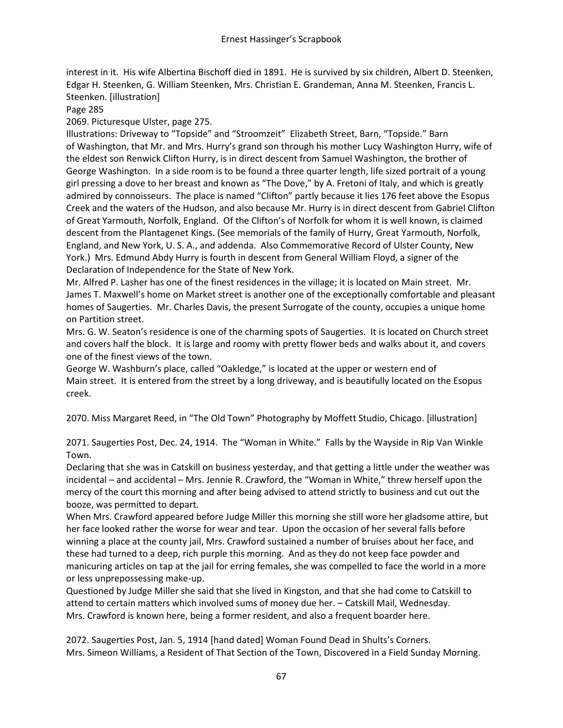interest in it. His wife Albertina Bischoff died in 1891. He is survived by six children, Albert D. Steenken, Edgar H. Steenken, G. William Steenken, Mrs. Christian E. Grandeman, Anna M. Steenken, Francis L. Steenken. [illustration]

Page 285

2069. Picturesque Ulster, page 275.

Illustrations: Driveway to "Topside" and "Stroomzeit" Elizabeth Street, Barn, "Topside." Barn of Washington, that Mr. and Mrs. Hurry's grand son through his mother Lucy Washington Hurry, wife of the eldest son Renwick Clifton Hurry, is in direct descent from Samuel Washington, the brother of George Washington. In a side room is to be found a three quarter length, life sized portrait of a young girl pressing a dove to her breast and known as "The Dove," by A. Fretoni of Italy, and which is greatly admired by connoisseurs. The place is named "Clifton" partly because it lies 176 feet above the Esopus Creek and the waters of the Hudson, and also because Mr. Hurry is in direct descent from Gabriel Clifton of Great Yarmouth, Norfolk, England. Of the Clifton's of Norfolk for whom it is well known, is claimed descent from the Plantagenet Kings. (See memorials of the family of Hurry, Great Yarmouth, Norfolk, England, and New York, U. S. A., and addenda. Also Commemorative Record of Ulster County, New York.) Mrs. Edmund Abdy Hurry is fourth in descent from General William Floyd, a signer of the Declaration of Independence for the State of New York.

Mr. Alfred P. Lasher has one of the finest residences in the village; it is located on Main street. Mr. James T. Maxwell's home on Market street is another one of the exceptionally comfortable and pleasant homes of Saugerties. Mr. Charles Davis, the present Surrogate of the county, occupies a unique home on Partition street.

Mrs. G. W. Seaton's residence is one of the charming spots of Saugerties. It is located on Church street and covers half the block. It is large and roomy with pretty flower beds and walks about it, and covers one of the finest views of the town.

George W. Washburn's place, called "Oakledge," is located at the upper or western end of Main street. It is entered from the street by a long driveway, and is beautifully located on the Esopus creek.

2070. Miss Margaret Reed, in "The Old Town" Photography by Moffett Studio, Chicago. [illustration]

2071. Saugerties Post, Dec. 24, 1914. The "Woman in White." Falls by the Wayside in Rip Van Winkle Town.

Declaring that she was in Catskill on business yesterday, and that getting a little under the weather was incidental – and accidental – Mrs. Jennie R. Crawford, the "Woman in White," threw herself upon the mercy of the court this morning and after being advised to attend strictly to business and cut out the booze, was permitted to depart.

When Mrs. Crawford appeared before Judge Miller this morning she still wore her gladsome attire, but her face looked rather the worse for wear and tear. Upon the occasion of her several falls before winning a place at the county jail, Mrs. Crawford sustained a number of bruises about her face, and these had turned to a deep, rich purple this morning. And as they do not keep face powder and manicuring articles on tap at the jail for erring females, she was compelled to face the world in a more or less unprepossessing make-up.

Questioned by Judge Miller she said that she lived in Kingston, and that she had come to Catskill to attend to certain matters which involved sums of money due her. – Catskill Mail, Wednesday. Mrs. Crawford is known here, being a former resident, and also a frequent boarder here.

2072. Saugerties Post, Jan. 5, 1914 [hand dated] Woman Found Dead in Shults's Corners. Mrs. Simeon Williams, a Resident of That Section of the Town, Discovered in a Field Sunday Morning.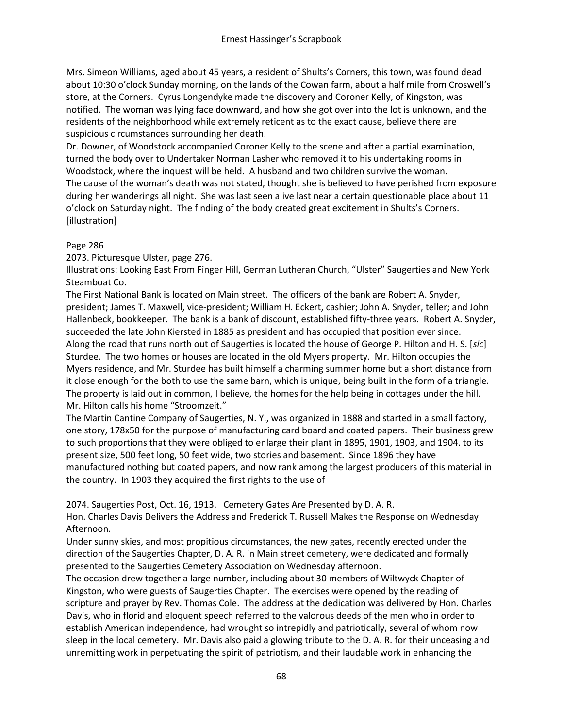Mrs. Simeon Williams, aged about 45 years, a resident of Shults's Corners, this town, was found dead about 10:30 o'clock Sunday morning, on the lands of the Cowan farm, about a half mile from Croswell's store, at the Corners. Cyrus Longendyke made the discovery and Coroner Kelly, of Kingston, was notified. The woman was lying face downward, and how she got over into the lot is unknown, and the residents of the neighborhood while extremely reticent as to the exact cause, believe there are suspicious circumstances surrounding her death.

Dr. Downer, of Woodstock accompanied Coroner Kelly to the scene and after a partial examination, turned the body over to Undertaker Norman Lasher who removed it to his undertaking rooms in Woodstock, where the inquest will be held. A husband and two children survive the woman. The cause of the woman's death was not stated, thought she is believed to have perished from exposure during her wanderings all night. She was last seen alive last near a certain questionable place about 11 o'clock on Saturday night. The finding of the body created great excitement in Shults's Corners. [illustration]

### Page 286

2073. Picturesque Ulster, page 276.

Illustrations: Looking East From Finger Hill, German Lutheran Church, "Ulster" Saugerties and New York Steamboat Co.

The First National Bank is located on Main street. The officers of the bank are Robert A. Snyder, president; James T. Maxwell, vice-president; William H. Eckert, cashier; John A. Snyder, teller; and John Hallenbeck, bookkeeper. The bank is a bank of discount, established fifty-three years. Robert A. Snyder, succeeded the late John Kiersted in 1885 as president and has occupied that position ever since. Along the road that runs north out of Saugerties is located the house of George P. Hilton and H. S. [*sic*] Sturdee. The two homes or houses are located in the old Myers property. Mr. Hilton occupies the Myers residence, and Mr. Sturdee has built himself a charming summer home but a short distance from it close enough for the both to use the same barn, which is unique, being built in the form of a triangle. The property is laid out in common, I believe, the homes for the help being in cottages under the hill. Mr. Hilton calls his home "Stroomzeit."

The Martin Cantine Company of Saugerties, N. Y., was organized in 1888 and started in a small factory, one story, 178x50 for the purpose of manufacturing card board and coated papers. Their business grew to such proportions that they were obliged to enlarge their plant in 1895, 1901, 1903, and 1904. to its present size, 500 feet long, 50 feet wide, two stories and basement. Since 1896 they have manufactured nothing but coated papers, and now rank among the largest producers of this material in the country. In 1903 they acquired the first rights to the use of

2074. Saugerties Post, Oct. 16, 1913. Cemetery Gates Are Presented by D. A. R.

Hon. Charles Davis Delivers the Address and Frederick T. Russell Makes the Response on Wednesday Afternoon.

Under sunny skies, and most propitious circumstances, the new gates, recently erected under the direction of the Saugerties Chapter, D. A. R. in Main street cemetery, were dedicated and formally presented to the Saugerties Cemetery Association on Wednesday afternoon.

The occasion drew together a large number, including about 30 members of Wiltwyck Chapter of Kingston, who were guests of Saugerties Chapter. The exercises were opened by the reading of scripture and prayer by Rev. Thomas Cole. The address at the dedication was delivered by Hon. Charles Davis, who in florid and eloquent speech referred to the valorous deeds of the men who in order to establish American independence, had wrought so intrepidly and patriotically, several of whom now sleep in the local cemetery. Mr. Davis also paid a glowing tribute to the D. A. R. for their unceasing and unremitting work in perpetuating the spirit of patriotism, and their laudable work in enhancing the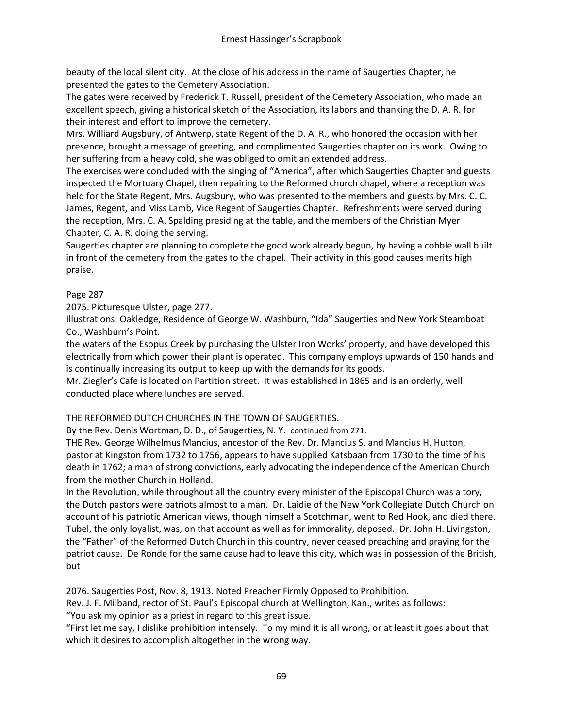beauty of the local silent city. At the close of his address in the name of Saugerties Chapter, he presented the gates to the Cemetery Association.

The gates were received by Frederick T. Russell, president of the Cemetery Association, who made an excellent speech, giving a historical sketch of the Association, its labors and thanking the D. A. R. for their interest and effort to improve the cemetery.

Mrs. Williard Augsbury, of Antwerp, state Regent of the D. A. R., who honored the occasion with her presence, brought a message of greeting, and complimented Saugerties chapter on its work. Owing to her suffering from a heavy cold, she was obliged to omit an extended address.

The exercises were concluded with the singing of "America", after which Saugerties Chapter and guests inspected the Mortuary Chapel, then repairing to the Reformed church chapel, where a reception was held for the State Regent, Mrs. Augsbury, who was presented to the members and guests by Mrs. C. C. James, Regent, and Miss Lamb, Vice Regent of Saugerties Chapter. Refreshments were served during the reception, Mrs. C. A. Spalding presiding at the table, and the members of the Christian Myer Chapter, C. A. R. doing the serving.

Saugerties chapter are planning to complete the good work already begun, by having a cobble wall built in front of the cemetery from the gates to the chapel. Their activity in this good causes merits high praise.

### Page 287

2075. Picturesque Ulster, page 277.

Illustrations: Oakledge, Residence of George W. Washburn, "Ida" Saugerties and New York Steamboat Co., Washburn's Point.

the waters of the Esopus Creek by purchasing the Ulster Iron Works' property, and have developed this electrically from which power their plant is operated. This company employs upwards of 150 hands and is continually increasing its output to keep up with the demands for its goods.

Mr. Ziegler's Cafe is located on Partition street. It was established in 1865 and is an orderly, well conducted place where lunches are served.

# THE REFORMED DUTCH CHURCHES IN THE TOWN OF SAUGERTIES.

By the Rev. Denis Wortman, D. D., of Saugerties, N. Y. continued from 271.

THE Rev. George Wilhelmus Mancius, ancestor of the Rev. Dr. Mancius S. and Mancius H. Hutton, pastor at Kingston from 1732 to 1756, appears to have supplied Katsbaan from 1730 to the time of his death in 1762; a man of strong convictions, early advocating the independence of the American Church from the mother Church in Holland.

In the Revolution, while throughout all the country every minister of the Episcopal Church was a tory, the Dutch pastors were patriots almost to a man. Dr. Laidie of the New York Collegiate Dutch Church on account of his patriotic American views, though himself a Scotchman, went to Red Hook, and died there. Tubel, the only loyalist, was, on that account as well as for immorality, deposed. Dr. John H. Livingston, the "Father" of the Reformed Dutch Church in this country, never ceased preaching and praying for the patriot cause. De Ronde for the same cause had to leave this city, which was in possession of the British, but

2076. Saugerties Post, Nov. 8, 1913. Noted Preacher Firmly Opposed to Prohibition.

Rev. J. F. Milband, rector of St. Paul's Episcopal church at Wellington, Kan., writes as follows:

"You ask my opinion as a priest in regard to this great issue.

"First let me say, I dislike prohibition intensely. To my mind it is all wrong, or at least it goes about that which it desires to accomplish altogether in the wrong way.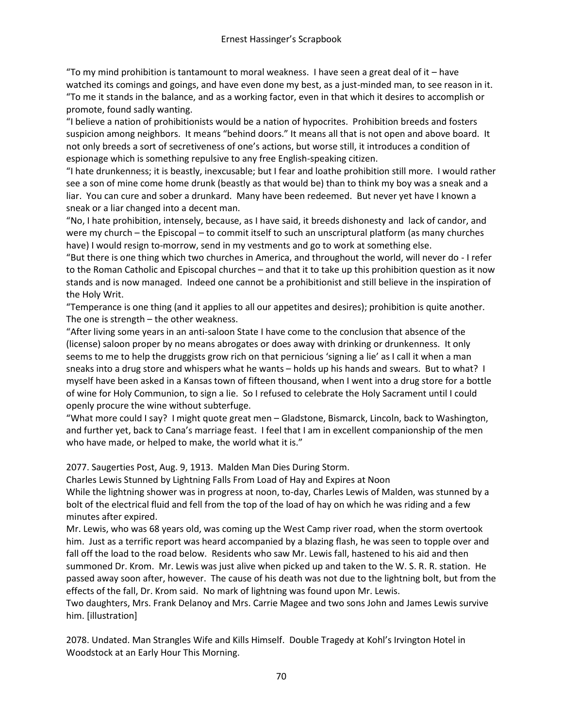"To my mind prohibition is tantamount to moral weakness. I have seen a great deal of it – have watched its comings and goings, and have even done my best, as a just-minded man, to see reason in it. "To me it stands in the balance, and as a working factor, even in that which it desires to accomplish or promote, found sadly wanting.

"I believe a nation of prohibitionists would be a nation of hypocrites. Prohibition breeds and fosters suspicion among neighbors. It means "behind doors." It means all that is not open and above board. It not only breeds a sort of secretiveness of one's actions, but worse still, it introduces a condition of espionage which is something repulsive to any free English-speaking citizen.

"I hate drunkenness; it is beastly, inexcusable; but I fear and loathe prohibition still more. I would rather see a son of mine come home drunk (beastly as that would be) than to think my boy was a sneak and a liar. You can cure and sober a drunkard. Many have been redeemed. But never yet have I known a sneak or a liar changed into a decent man.

"No, I hate prohibition, intensely, because, as I have said, it breeds dishonesty and lack of candor, and were my church – the Episcopal – to commit itself to such an unscriptural platform (as many churches have) I would resign to-morrow, send in my vestments and go to work at something else.

"But there is one thing which two churches in America, and throughout the world, will never do - I refer to the Roman Catholic and Episcopal churches – and that it to take up this prohibition question as it now stands and is now managed. Indeed one cannot be a prohibitionist and still believe in the inspiration of the Holy Writ.

"Temperance is one thing (and it applies to all our appetites and desires); prohibition is quite another. The one is strength – the other weakness.

"After living some years in an anti-saloon State I have come to the conclusion that absence of the (license) saloon proper by no means abrogates or does away with drinking or drunkenness. It only seems to me to help the druggists grow rich on that pernicious 'signing a lie' as I call it when a man sneaks into a drug store and whispers what he wants – holds up his hands and swears. But to what? I myself have been asked in a Kansas town of fifteen thousand, when I went into a drug store for a bottle of wine for Holy Communion, to sign a lie. So I refused to celebrate the Holy Sacrament until I could openly procure the wine without subterfuge.

"What more could I say? I might quote great men – Gladstone, Bismarck, Lincoln, back to Washington, and further yet, back to Cana's marriage feast. I feel that I am in excellent companionship of the men who have made, or helped to make, the world what it is."

2077. Saugerties Post, Aug. 9, 1913. Malden Man Dies During Storm.

Charles Lewis Stunned by Lightning Falls From Load of Hay and Expires at Noon

While the lightning shower was in progress at noon, to-day, Charles Lewis of Malden, was stunned by a bolt of the electrical fluid and fell from the top of the load of hay on which he was riding and a few minutes after expired.

Mr. Lewis, who was 68 years old, was coming up the West Camp river road, when the storm overtook him. Just as a terrific report was heard accompanied by a blazing flash, he was seen to topple over and fall off the load to the road below. Residents who saw Mr. Lewis fall, hastened to his aid and then summoned Dr. Krom. Mr. Lewis was just alive when picked up and taken to the W. S. R. R. station. He passed away soon after, however. The cause of his death was not due to the lightning bolt, but from the effects of the fall, Dr. Krom said. No mark of lightning was found upon Mr. Lewis.

Two daughters, Mrs. Frank Delanoy and Mrs. Carrie Magee and two sons John and James Lewis survive him. [illustration]

2078. Undated. Man Strangles Wife and Kills Himself. Double Tragedy at Kohl's Irvington Hotel in Woodstock at an Early Hour This Morning.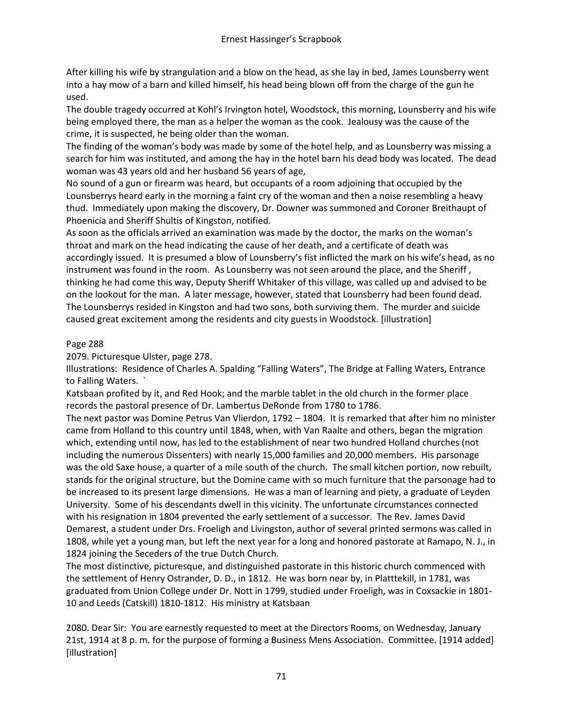After killing his wife by strangulation and a blow on the head, as she lay in bed, James Lounsberry went into a hay mow of a barn and killed himself, his head being blown off from the charge of the gun he used.

The double tragedy occurred at Kohl's Irvington hotel, Woodstock, this morning, Lounsberry and his wife being employed there, the man as a helper the woman as the cook. Jealousy was the cause of the crime, it is suspected, he being older than the woman.

The finding of the woman's body was made by some of the hotel help, and as Lounsberry was missing a search for him was instituted, and among the hay in the hotel barn his dead body was located. The dead woman was 43 years old and her husband 56 years of age,

No sound of a gun or firearm was heard, but occupants of a room adjoining that occupied by the Lounsberrys heard early in the morning a faint cry of the woman and then a noise resembling a heavy thud. Immediately upon making the discovery, Dr. Downer was summoned and Coroner Breithaupt of Phoenicia and Sheriff Shultis of Kingston, notified.

As soon as the officials arrived an examination was made by the doctor, the marks on the woman's throat and mark on the head indicating the cause of her death, and a certificate of death was accordingly issued. It is presumed a blow of Lounsberry's fist inflicted the mark on his wife's head, as no instrument was found in the room. As Lounsberry was not seen around the place, and the Sheriff , thinking he had come this way, Deputy Sheriff Whitaker of this village, was called up and advised to be on the lookout for the man. A later message, however, stated that Lounsberry had been found dead. The Lounsberrys resided in Kingston and had two sons, both surviving them. The murder and suicide caused great excitement among the residents and city guests in Woodstock. [illustration]

# Page 288

2079. Picturesque Ulster, page 278.

Illustrations: Residence of Charles A. Spalding "Falling Waters", The Bridge at Falling Waters, Entrance to Falling Waters. `

Katsbaan profited by it, and Red Hook; and the marble tablet in the old church in the former place records the pastoral presence of Dr. Lambertus DeRonde from 1780 to 1786.

The next pastor was Domine Petrus Van Vlierdon, 1792 – 1804. It is remarked that after him no minister came from Holland to this country until 1848, when, with Van Raalte and others, began the migration which, extending until now, has led to the establishment of near two hundred Holland churches (not including the numerous Dissenters) with nearly 15,000 families and 20,000 members. His parsonage was the old Saxe house, a quarter of a mile south of the church. The small kitchen portion, now rebuilt, stands for the original structure, but the Domine came with so much furniture that the parsonage had to be increased to its present large dimensions. He was a man of learning and piety, a graduate of Leyden University. Some of his descendants dwell in this vicinity. The unfortunate circumstances connected with his resignation in 1804 prevented the early settlement of a successor. The Rev. James David Demarest, a student under Drs. Froeligh and Livingston, author of several printed sermons was called in 1808, while yet a young man, but left the next year for a long and honored pastorate at Ramapo, N. J., in 1824 joining the Seceders of the true Dutch Church.

The most distinctive, picturesque, and distinguished pastorate in this historic church commenced with the settlement of Henry Ostrander, D. D., in 1812. He was born near by, in Platttekill, in 1781, was graduated from Union College under Dr. Nott in 1799, studied under Froeligh, was in Coxsackie in 1801- 10 and Leeds (Catskill) 1810-1812. His ministry at Katsbaan

2080. Dear Sir: You are earnestly requested to meet at the Directors Rooms, on Wednesday, January 21st, 1914 at 8 p. m. for the purpose of forming a Business Mens Association. Committee. [1914 added] [illustration]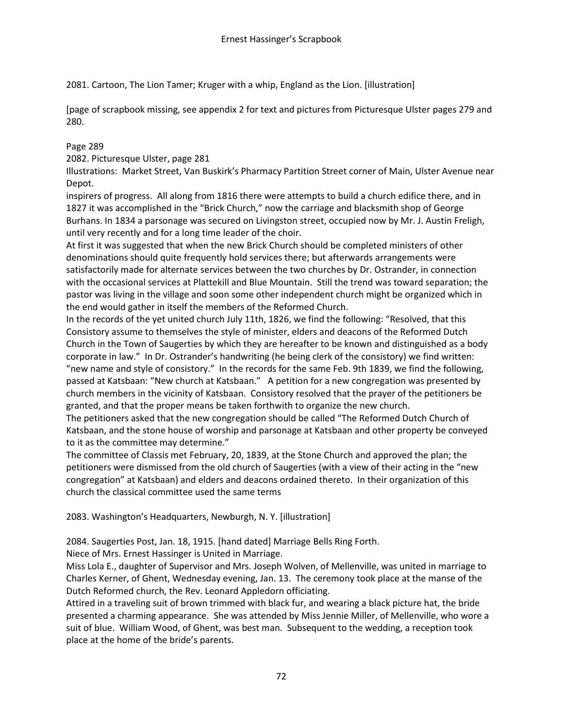2081. Cartoon, The Lion Tamer; Kruger with a whip, England as the Lion. [illustration]

[page of scrapbook missing, see appendix 2 for text and pictures from Picturesque Ulster pages 279 and 280.

# Page 289

2082. Picturesque Ulster, page 281

Illustrations: Market Street, Van Buskirk's Pharmacy Partition Street corner of Main, Ulster Avenue near Depot.

inspirers of progress. All along from 1816 there were attempts to build a church edifice there, and in 1827 it was accomplished in the "Brick Church," now the carriage and blacksmith shop of George Burhans. In 1834 a parsonage was secured on Livingston street, occupied now by Mr. J. Austin Freligh, until very recently and for a long time leader of the choir.

At first it was suggested that when the new Brick Church should be completed ministers of other denominations should quite frequently hold services there; but afterwards arrangements were satisfactorily made for alternate services between the two churches by Dr. Ostrander, in connection with the occasional services at Plattekill and Blue Mountain. Still the trend was toward separation; the pastor was living in the village and soon some other independent church might be organized which in the end would gather in itself the members of the Reformed Church.

In the records of the yet united church July 11th, 1826, we find the following: "Resolved, that this Consistory assume to themselves the style of minister, elders and deacons of the Reformed Dutch Church in the Town of Saugerties by which they are hereafter to be known and distinguished as a body corporate in law." In Dr. Ostrander's handwriting (he being clerk of the consistory) we find written: "new name and style of consistory." In the records for the same Feb. 9th 1839, we find the following, passed at Katsbaan: "New church at Katsbaan." A petition for a new congregation was presented by church members in the vicinity of Katsbaan. Consistory resolved that the prayer of the petitioners be granted, and that the proper means be taken forthwith to organize the new church.

The petitioners asked that the new congregation should be called "The Reformed Dutch Church of Katsbaan, and the stone house of worship and parsonage at Katsbaan and other property be conveyed to it as the committee may determine."

The committee of Classis met February, 20, 1839, at the Stone Church and approved the plan; the petitioners were dismissed from the old church of Saugerties (with a view of their acting in the "new congregation" at Katsbaan) and elders and deacons ordained thereto. In their organization of this church the classical committee used the same terms

2083. Washington's Headquarters, Newburgh, N. Y. [illustration]

2084. Saugerties Post, Jan. 18, 1915. [hand dated] Marriage Bells Ring Forth.

Niece of Mrs. Ernest Hassinger is United in Marriage.

Miss Lola E., daughter of Supervisor and Mrs. Joseph Wolven, of Mellenville, was united in marriage to Charles Kerner, of Ghent, Wednesday evening, Jan. 13. The ceremony took place at the manse of the Dutch Reformed church, the Rev. Leonard Appledorn officiating.

Attired in a traveling suit of brown trimmed with black fur, and wearing a black picture hat, the bride presented a charming appearance. She was attended by Miss Jennie Miller, of Mellenville, who wore a suit of blue. William Wood, of Ghent, was best man. Subsequent to the wedding, a reception took place at the home of the bride's parents.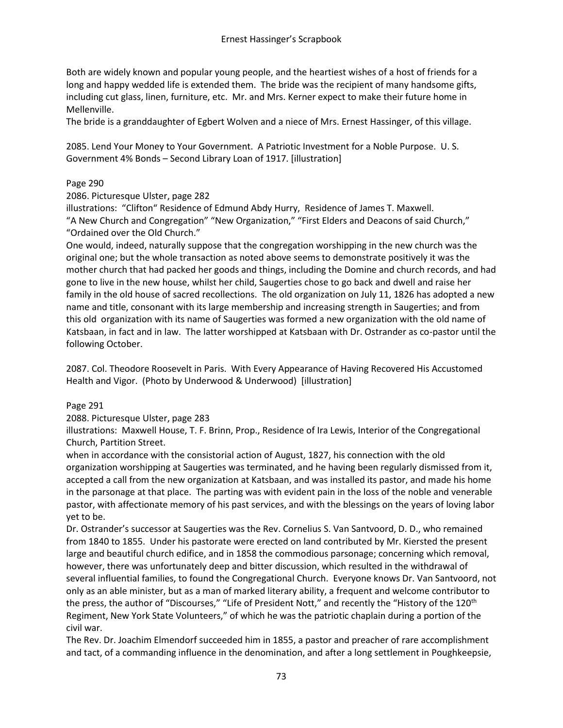Both are widely known and popular young people, and the heartiest wishes of a host of friends for a long and happy wedded life is extended them. The bride was the recipient of many handsome gifts, including cut glass, linen, furniture, etc. Mr. and Mrs. Kerner expect to make their future home in Mellenville.

The bride is a granddaughter of Egbert Wolven and a niece of Mrs. Ernest Hassinger, of this village.

2085. Lend Your Money to Your Government. A Patriotic Investment for a Noble Purpose. U. S. Government 4% Bonds – Second Library Loan of 1917. [illustration]

### Page 290

2086. Picturesque Ulster, page 282

illustrations: "Clifton" Residence of Edmund Abdy Hurry, Residence of James T. Maxwell. "A New Church and Congregation" "New Organization," "First Elders and Deacons of said Church," "Ordained over the Old Church."

One would, indeed, naturally suppose that the congregation worshipping in the new church was the original one; but the whole transaction as noted above seems to demonstrate positively it was the mother church that had packed her goods and things, including the Domine and church records, and had gone to live in the new house, whilst her child, Saugerties chose to go back and dwell and raise her family in the old house of sacred recollections. The old organization on July 11, 1826 has adopted a new name and title, consonant with its large membership and increasing strength in Saugerties; and from this old organization with its name of Saugerties was formed a new organization with the old name of Katsbaan, in fact and in law. The latter worshipped at Katsbaan with Dr. Ostrander as co-pastor until the following October.

2087. Col. Theodore Roosevelt in Paris. With Every Appearance of Having Recovered His Accustomed Health and Vigor. (Photo by Underwood & Underwood) [illustration]

#### Page 291

2088. Picturesque Ulster, page 283

illustrations: Maxwell House, T. F. Brinn, Prop., Residence of Ira Lewis, Interior of the Congregational Church, Partition Street.

when in accordance with the consistorial action of August, 1827, his connection with the old organization worshipping at Saugerties was terminated, and he having been regularly dismissed from it, accepted a call from the new organization at Katsbaan, and was installed its pastor, and made his home in the parsonage at that place. The parting was with evident pain in the loss of the noble and venerable pastor, with affectionate memory of his past services, and with the blessings on the years of loving labor yet to be.

Dr. Ostrander's successor at Saugerties was the Rev. Cornelius S. Van Santvoord, D. D., who remained from 1840 to 1855. Under his pastorate were erected on land contributed by Mr. Kiersted the present large and beautiful church edifice, and in 1858 the commodious parsonage; concerning which removal, however, there was unfortunately deep and bitter discussion, which resulted in the withdrawal of several influential families, to found the Congregational Church. Everyone knows Dr. Van Santvoord, not only as an able minister, but as a man of marked literary ability, a frequent and welcome contributor to the press, the author of "Discourses," "Life of President Nott," and recently the "History of the 120th Regiment, New York State Volunteers," of which he was the patriotic chaplain during a portion of the civil war.

The Rev. Dr. Joachim Elmendorf succeeded him in 1855, a pastor and preacher of rare accomplishment and tact, of a commanding influence in the denomination, and after a long settlement in Poughkeepsie,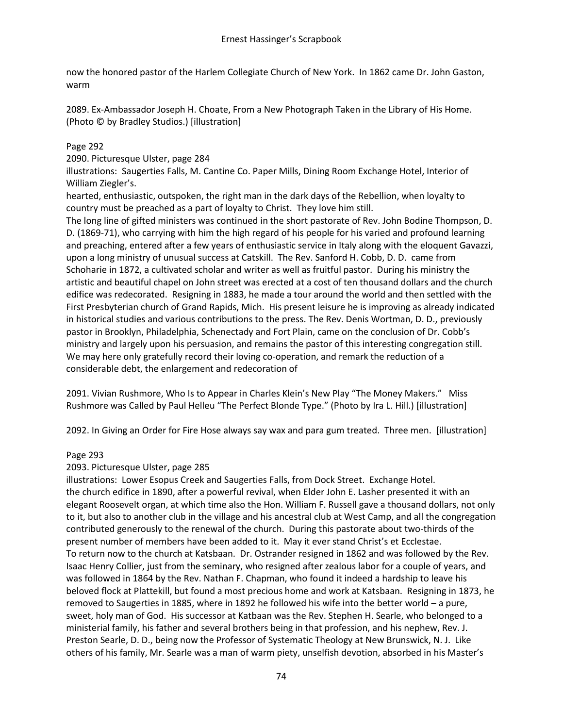now the honored pastor of the Harlem Collegiate Church of New York. In 1862 came Dr. John Gaston, warm

2089. Ex-Ambassador Joseph H. Choate, From a New Photograph Taken in the Library of His Home. (Photo © by Bradley Studios.) [illustration]

## Page 292

2090. Picturesque Ulster, page 284

illustrations: Saugerties Falls, M. Cantine Co. Paper Mills, Dining Room Exchange Hotel, Interior of William Ziegler's.

hearted, enthusiastic, outspoken, the right man in the dark days of the Rebellion, when loyalty to country must be preached as a part of loyalty to Christ. They love him still.

The long line of gifted ministers was continued in the short pastorate of Rev. John Bodine Thompson, D. D. (1869-71), who carrying with him the high regard of his people for his varied and profound learning and preaching, entered after a few years of enthusiastic service in Italy along with the eloquent Gavazzi, upon a long ministry of unusual success at Catskill. The Rev. Sanford H. Cobb, D. D. came from Schoharie in 1872, a cultivated scholar and writer as well as fruitful pastor. During his ministry the artistic and beautiful chapel on John street was erected at a cost of ten thousand dollars and the church edifice was redecorated. Resigning in 1883, he made a tour around the world and then settled with the First Presbyterian church of Grand Rapids, Mich. His present leisure he is improving as already indicated in historical studies and various contributions to the press. The Rev. Denis Wortman, D. D., previously pastor in Brooklyn, Philadelphia, Schenectady and Fort Plain, came on the conclusion of Dr. Cobb's ministry and largely upon his persuasion, and remains the pastor of this interesting congregation still. We may here only gratefully record their loving co-operation, and remark the reduction of a considerable debt, the enlargement and redecoration of

2091. Vivian Rushmore, Who Is to Appear in Charles Klein's New Play "The Money Makers." Miss Rushmore was Called by Paul Helleu "The Perfect Blonde Type." (Photo by Ira L. Hill.) [illustration]

2092. In Giving an Order for Fire Hose always say wax and para gum treated. Three men. [illustration]

#### Page 293

#### 2093. Picturesque Ulster, page 285

illustrations: Lower Esopus Creek and Saugerties Falls, from Dock Street. Exchange Hotel. the church edifice in 1890, after a powerful revival, when Elder John E. Lasher presented it with an elegant Roosevelt organ, at which time also the Hon. William F. Russell gave a thousand dollars, not only to it, but also to another club in the village and his ancestral club at West Camp, and all the congregation contributed generously to the renewal of the church. During this pastorate about two-thirds of the present number of members have been added to it. May it ever stand Christ's et Ecclestae. To return now to the church at Katsbaan. Dr. Ostrander resigned in 1862 and was followed by the Rev. Isaac Henry Collier, just from the seminary, who resigned after zealous labor for a couple of years, and was followed in 1864 by the Rev. Nathan F. Chapman, who found it indeed a hardship to leave his beloved flock at Plattekill, but found a most precious home and work at Katsbaan. Resigning in 1873, he removed to Saugerties in 1885, where in 1892 he followed his wife into the better world – a pure, sweet, holy man of God. His successor at Katbaan was the Rev. Stephen H. Searle, who belonged to a ministerial family, his father and several brothers being in that profession, and his nephew, Rev. J. Preston Searle, D. D., being now the Professor of Systematic Theology at New Brunswick, N. J. Like others of his family, Mr. Searle was a man of warm piety, unselfish devotion, absorbed in his Master's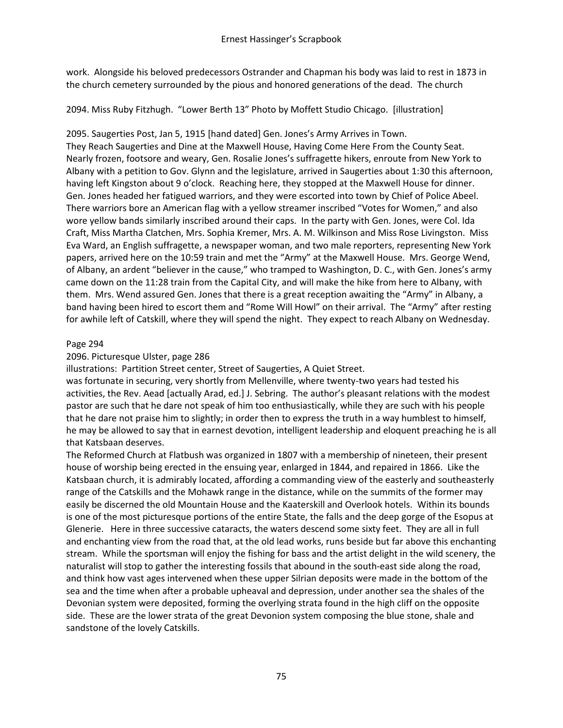work. Alongside his beloved predecessors Ostrander and Chapman his body was laid to rest in 1873 in the church cemetery surrounded by the pious and honored generations of the dead. The church

2094. Miss Ruby Fitzhugh. "Lower Berth 13" Photo by Moffett Studio Chicago. [illustration]

2095. Saugerties Post, Jan 5, 1915 [hand dated] Gen. Jones's Army Arrives in Town. They Reach Saugerties and Dine at the Maxwell House, Having Come Here From the County Seat. Nearly frozen, footsore and weary, Gen. Rosalie Jones's suffragette hikers, enroute from New York to Albany with a petition to Gov. Glynn and the legislature, arrived in Saugerties about 1:30 this afternoon, having left Kingston about 9 o'clock. Reaching here, they stopped at the Maxwell House for dinner. Gen. Jones headed her fatigued warriors, and they were escorted into town by Chief of Police Abeel. There warriors bore an American flag with a yellow streamer inscribed "Votes for Women," and also wore yellow bands similarly inscribed around their caps. In the party with Gen. Jones, were Col. Ida Craft, Miss Martha Clatchen, Mrs. Sophia Kremer, Mrs. A. M. Wilkinson and Miss Rose Livingston. Miss Eva Ward, an English suffragette, a newspaper woman, and two male reporters, representing New York papers, arrived here on the 10:59 train and met the "Army" at the Maxwell House. Mrs. George Wend, of Albany, an ardent "believer in the cause," who tramped to Washington, D. C., with Gen. Jones's army came down on the 11:28 train from the Capital City, and will make the hike from here to Albany, with them. Mrs. Wend assured Gen. Jones that there is a great reception awaiting the "Army" in Albany, a band having been hired to escort them and "Rome Will Howl" on their arrival. The "Army" after resting for awhile left of Catskill, where they will spend the night. They expect to reach Albany on Wednesday.

### Page 294

### 2096. Picturesque Ulster, page 286

illustrations: Partition Street center, Street of Saugerties, A Quiet Street.

was fortunate in securing, very shortly from Mellenville, where twenty-two years had tested his activities, the Rev. Aead [actually Arad, ed.] J. Sebring. The author's pleasant relations with the modest pastor are such that he dare not speak of him too enthusiastically, while they are such with his people that he dare not praise him to slightly; in order then to express the truth in a way humblest to himself, he may be allowed to say that in earnest devotion, intelligent leadership and eloquent preaching he is all that Katsbaan deserves.

The Reformed Church at Flatbush was organized in 1807 with a membership of nineteen, their present house of worship being erected in the ensuing year, enlarged in 1844, and repaired in 1866. Like the Katsbaan church, it is admirably located, affording a commanding view of the easterly and southeasterly range of the Catskills and the Mohawk range in the distance, while on the summits of the former may easily be discerned the old Mountain House and the Kaaterskill and Overlook hotels. Within its bounds is one of the most picturesque portions of the entire State, the falls and the deep gorge of the Esopus at Glenerie. Here in three successive cataracts, the waters descend some sixty feet. They are all in full and enchanting view from the road that, at the old lead works, runs beside but far above this enchanting stream. While the sportsman will enjoy the fishing for bass and the artist delight in the wild scenery, the naturalist will stop to gather the interesting fossils that abound in the south-east side along the road, and think how vast ages intervened when these upper Silrian deposits were made in the bottom of the sea and the time when after a probable upheaval and depression, under another sea the shales of the Devonian system were deposited, forming the overlying strata found in the high cliff on the opposite side. These are the lower strata of the great Devonion system composing the blue stone, shale and sandstone of the lovely Catskills.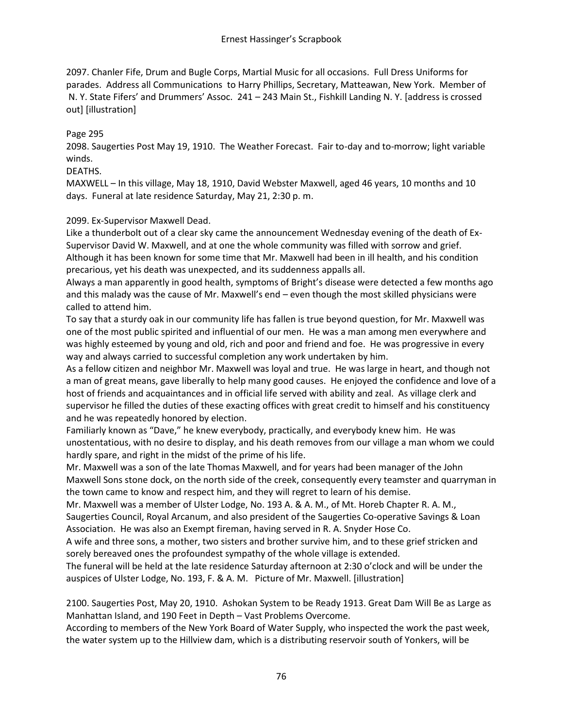2097. Chanler Fife, Drum and Bugle Corps, Martial Music for all occasions. Full Dress Uniforms for parades. Address all Communications to Harry Phillips, Secretary, Matteawan, New York. Member of N. Y. State Fifers' and Drummers' Assoc. 241 – 243 Main St., Fishkill Landing N. Y. [address is crossed out] [illustration]

### Page 295

2098. Saugerties Post May 19, 1910. The Weather Forecast. Fair to-day and to-morrow; light variable winds.

#### DEATHS.

MAXWELL – In this village, May 18, 1910, David Webster Maxwell, aged 46 years, 10 months and 10 days. Funeral at late residence Saturday, May 21, 2:30 p. m.

#### 2099. Ex-Supervisor Maxwell Dead.

Like a thunderbolt out of a clear sky came the announcement Wednesday evening of the death of Ex-Supervisor David W. Maxwell, and at one the whole community was filled with sorrow and grief. Although it has been known for some time that Mr. Maxwell had been in ill health, and his condition precarious, yet his death was unexpected, and its suddenness appalls all.

Always a man apparently in good health, symptoms of Bright's disease were detected a few months ago and this malady was the cause of Mr. Maxwell's end – even though the most skilled physicians were called to attend him.

To say that a sturdy oak in our community life has fallen is true beyond question, for Mr. Maxwell was one of the most public spirited and influential of our men. He was a man among men everywhere and was highly esteemed by young and old, rich and poor and friend and foe. He was progressive in every way and always carried to successful completion any work undertaken by him.

As a fellow citizen and neighbor Mr. Maxwell was loyal and true. He was large in heart, and though not a man of great means, gave liberally to help many good causes. He enjoyed the confidence and love of a host of friends and acquaintances and in official life served with ability and zeal. As village clerk and supervisor he filled the duties of these exacting offices with great credit to himself and his constituency and he was repeatedly honored by election.

Familiarly known as "Dave," he knew everybody, practically, and everybody knew him. He was unostentatious, with no desire to display, and his death removes from our village a man whom we could hardly spare, and right in the midst of the prime of his life.

Mr. Maxwell was a son of the late Thomas Maxwell, and for years had been manager of the John Maxwell Sons stone dock, on the north side of the creek, consequently every teamster and quarryman in the town came to know and respect him, and they will regret to learn of his demise.

Mr. Maxwell was a member of Ulster Lodge, No. 193 A. & A. M., of Mt. Horeb Chapter R. A. M., Saugerties Council, Royal Arcanum, and also president of the Saugerties Co-operative Savings & Loan Association. He was also an Exempt fireman, having served in R. A. Snyder Hose Co.

A wife and three sons, a mother, two sisters and brother survive him, and to these grief stricken and sorely bereaved ones the profoundest sympathy of the whole village is extended.

The funeral will be held at the late residence Saturday afternoon at 2:30 o'clock and will be under the auspices of Ulster Lodge, No. 193, F. & A. M. Picture of Mr. Maxwell. [illustration]

2100. Saugerties Post, May 20, 1910. Ashokan System to be Ready 1913. Great Dam Will Be as Large as Manhattan Island, and 190 Feet in Depth – Vast Problems Overcome.

According to members of the New York Board of Water Supply, who inspected the work the past week, the water system up to the Hillview dam, which is a distributing reservoir south of Yonkers, will be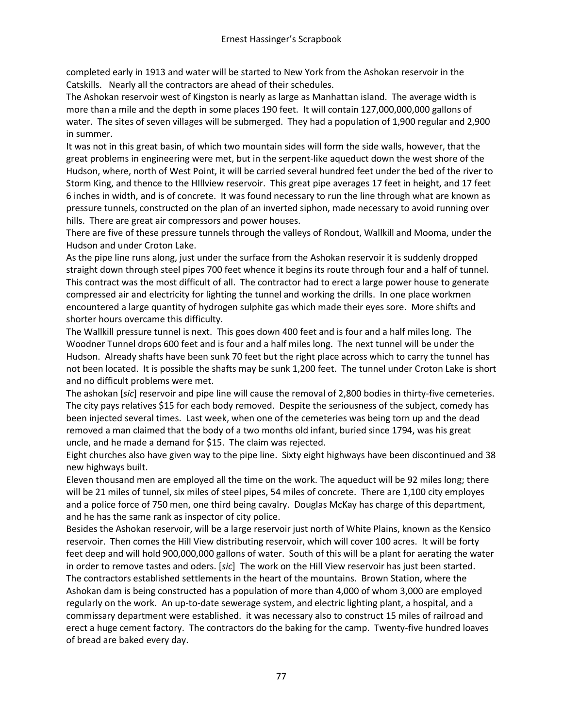completed early in 1913 and water will be started to New York from the Ashokan reservoir in the Catskills. Nearly all the contractors are ahead of their schedules.

The Ashokan reservoir west of Kingston is nearly as large as Manhattan island. The average width is more than a mile and the depth in some places 190 feet. It will contain 127,000,000,000 gallons of water. The sites of seven villages will be submerged. They had a population of 1,900 regular and 2,900 in summer.

It was not in this great basin, of which two mountain sides will form the side walls, however, that the great problems in engineering were met, but in the serpent-like aqueduct down the west shore of the Hudson, where, north of West Point, it will be carried several hundred feet under the bed of the river to Storm King, and thence to the HIllview reservoir. This great pipe averages 17 feet in height, and 17 feet 6 inches in width, and is of concrete. It was found necessary to run the line through what are known as pressure tunnels, constructed on the plan of an inverted siphon, made necessary to avoid running over hills. There are great air compressors and power houses.

There are five of these pressure tunnels through the valleys of Rondout, Wallkill and Mooma, under the Hudson and under Croton Lake.

As the pipe line runs along, just under the surface from the Ashokan reservoir it is suddenly dropped straight down through steel pipes 700 feet whence it begins its route through four and a half of tunnel. This contract was the most difficult of all. The contractor had to erect a large power house to generate compressed air and electricity for lighting the tunnel and working the drills. In one place workmen encountered a large quantity of hydrogen sulphite gas which made their eyes sore. More shifts and shorter hours overcame this difficulty.

The Wallkill pressure tunnel is next. This goes down 400 feet and is four and a half miles long. The Woodner Tunnel drops 600 feet and is four and a half miles long. The next tunnel will be under the Hudson. Already shafts have been sunk 70 feet but the right place across which to carry the tunnel has not been located. It is possible the shafts may be sunk 1,200 feet. The tunnel under Croton Lake is short and no difficult problems were met.

The ashokan [*sic*] reservoir and pipe line will cause the removal of 2,800 bodies in thirty-five cemeteries. The city pays relatives \$15 for each body removed. Despite the seriousness of the subject, comedy has been injected several times. Last week, when one of the cemeteries was being torn up and the dead removed a man claimed that the body of a two months old infant, buried since 1794, was his great uncle, and he made a demand for \$15. The claim was rejected.

Eight churches also have given way to the pipe line. Sixty eight highways have been discontinued and 38 new highways built.

Eleven thousand men are employed all the time on the work. The aqueduct will be 92 miles long; there will be 21 miles of tunnel, six miles of steel pipes, 54 miles of concrete. There are 1,100 city employes and a police force of 750 men, one third being cavalry. Douglas McKay has charge of this department, and he has the same rank as inspector of city police.

Besides the Ashokan reservoir, will be a large reservoir just north of White Plains, known as the Kensico reservoir. Then comes the Hill View distributing reservoir, which will cover 100 acres. It will be forty feet deep and will hold 900,000,000 gallons of water. South of this will be a plant for aerating the water in order to remove tastes and oders. [*sic*] The work on the Hill View reservoir has just been started. The contractors established settlements in the heart of the mountains. Brown Station, where the Ashokan dam is being constructed has a population of more than 4,000 of whom 3,000 are employed regularly on the work. An up-to-date sewerage system, and electric lighting plant, a hospital, and a commissary department were established. it was necessary also to construct 15 miles of railroad and erect a huge cement factory. The contractors do the baking for the camp. Twenty-five hundred loaves of bread are baked every day.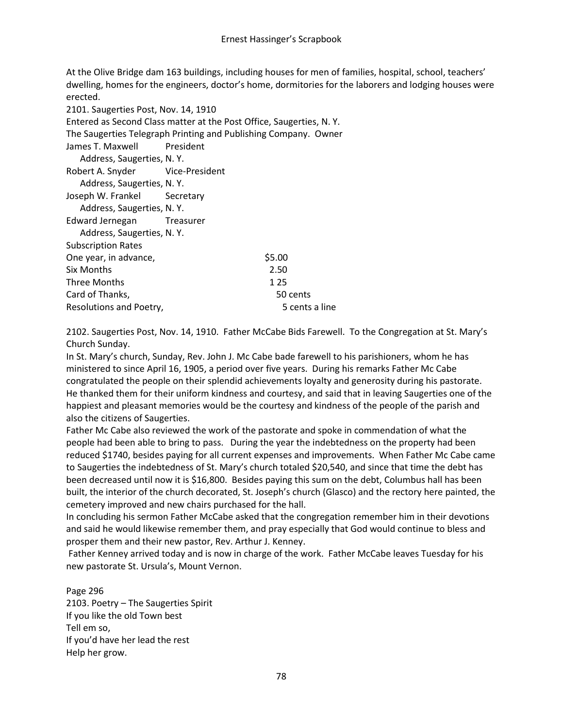At the Olive Bridge dam 163 buildings, including houses for men of families, hospital, school, teachers' dwelling, homes for the engineers, doctor's home, dormitories for the laborers and lodging houses were erected.

| 2101. Saugerties Post, Nov. 14, 1910                            |                                                                     |
|-----------------------------------------------------------------|---------------------------------------------------------------------|
|                                                                 | Entered as Second Class matter at the Post Office, Saugerties, N.Y. |
| The Saugerties Telegraph Printing and Publishing Company. Owner |                                                                     |
| James T. Maxwell President                                      |                                                                     |
| Address, Saugerties, N.Y.                                       |                                                                     |
| Robert A. Snyder Vice-President                                 |                                                                     |
| Address, Saugerties, N.Y.                                       |                                                                     |
| Joseph W. Frankel Secretary                                     |                                                                     |
| Address, Saugerties, N.Y.                                       |                                                                     |
| Edward Jernegan Treasurer                                       |                                                                     |
| Address, Saugerties, N.Y.                                       |                                                                     |
| <b>Subscription Rates</b>                                       |                                                                     |
| One year, in advance,                                           | \$5.00                                                              |
| Six Months                                                      | 2.50                                                                |
| <b>Three Months</b>                                             | 1 2 5                                                               |
| Card of Thanks,                                                 | 50 cents                                                            |
| Resolutions and Poetry,                                         | 5 cents a line                                                      |

2102. Saugerties Post, Nov. 14, 1910. Father McCabe Bids Farewell. To the Congregation at St. Mary's Church Sunday.

In St. Mary's church, Sunday, Rev. John J. Mc Cabe bade farewell to his parishioners, whom he has ministered to since April 16, 1905, a period over five years. During his remarks Father Mc Cabe congratulated the people on their splendid achievements loyalty and generosity during his pastorate. He thanked them for their uniform kindness and courtesy, and said that in leaving Saugerties one of the happiest and pleasant memories would be the courtesy and kindness of the people of the parish and also the citizens of Saugerties.

Father Mc Cabe also reviewed the work of the pastorate and spoke in commendation of what the people had been able to bring to pass. During the year the indebtedness on the property had been reduced \$1740, besides paying for all current expenses and improvements. When Father Mc Cabe came to Saugerties the indebtedness of St. Mary's church totaled \$20,540, and since that time the debt has been decreased until now it is \$16,800. Besides paying this sum on the debt, Columbus hall has been built, the interior of the church decorated, St. Joseph's church (Glasco) and the rectory here painted, the cemetery improved and new chairs purchased for the hall.

In concluding his sermon Father McCabe asked that the congregation remember him in their devotions and said he would likewise remember them, and pray especially that God would continue to bless and prosper them and their new pastor, Rev. Arthur J. Kenney.

Father Kenney arrived today and is now in charge of the work. Father McCabe leaves Tuesday for his new pastorate St. Ursula's, Mount Vernon.

Page 296 2103. Poetry – The Saugerties Spirit If you like the old Town best Tell em so, If you'd have her lead the rest Help her grow.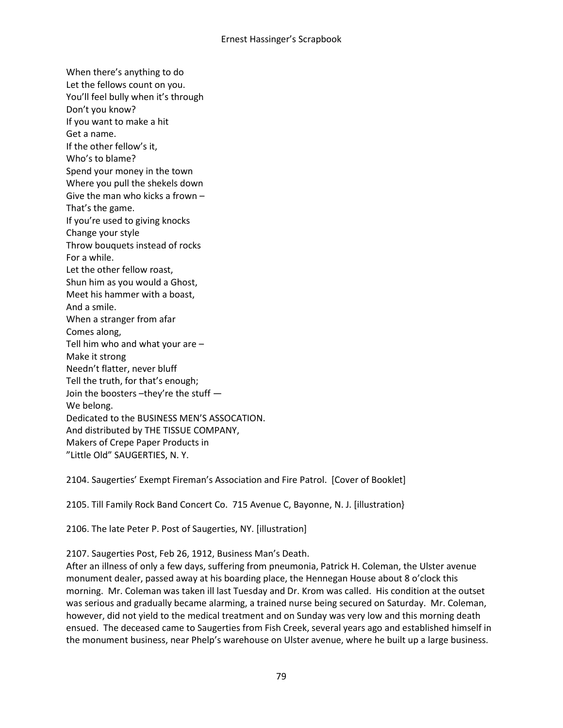When there's anything to do Let the fellows count on you. You'll feel bully when it's through Don't you know? If you want to make a hit Get a name. If the other fellow's it, Who's to blame? Spend your money in the town Where you pull the shekels down Give the man who kicks a frown – That's the game. If you're used to giving knocks Change your style Throw bouquets instead of rocks For a while. Let the other fellow roast, Shun him as you would a Ghost, Meet his hammer with a boast, And a smile. When a stranger from afar Comes along, Tell him who and what your are – Make it strong Needn't flatter, never bluff Tell the truth, for that's enough; Join the boosters –they're the stuff — We belong. Dedicated to the BUSINESS MEN'S ASSOCATION. And distributed by THE TISSUE COMPANY, Makers of Crepe Paper Products in "Little Old" SAUGERTIES, N. Y.

2104. Saugerties' Exempt Fireman's Association and Fire Patrol. [Cover of Booklet]

2105. Till Family Rock Band Concert Co. 715 Avenue C, Bayonne, N. J. [illustration}

2106. The late Peter P. Post of Saugerties, NY. [illustration]

2107. Saugerties Post, Feb 26, 1912, Business Man's Death.

After an illness of only a few days, suffering from pneumonia, Patrick H. Coleman, the Ulster avenue monument dealer, passed away at his boarding place, the Hennegan House about 8 o'clock this morning. Mr. Coleman was taken ill last Tuesday and Dr. Krom was called. His condition at the outset was serious and gradually became alarming, a trained nurse being secured on Saturday. Mr. Coleman, however, did not yield to the medical treatment and on Sunday was very low and this morning death ensued. The deceased came to Saugerties from Fish Creek, several years ago and established himself in the monument business, near Phelp's warehouse on Ulster avenue, where he built up a large business.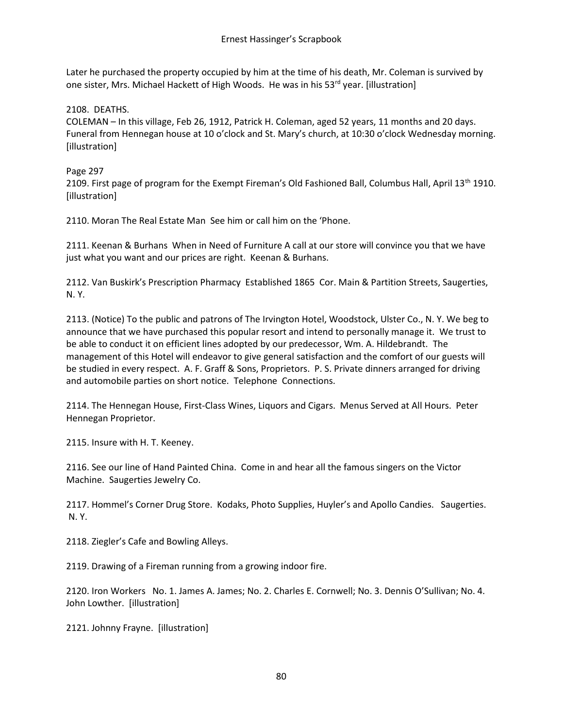Later he purchased the property occupied by him at the time of his death, Mr. Coleman is survived by one sister, Mrs. Michael Hackett of High Woods. He was in his 53<sup>rd</sup> year. [illustration]

2108. DEATHS.

COLEMAN – In this village, Feb 26, 1912, Patrick H. Coleman, aged 52 years, 11 months and 20 days. Funeral from Hennegan house at 10 o'clock and St. Mary's church, at 10:30 o'clock Wednesday morning. [illustration]

# Page 297

2109. First page of program for the Exempt Fireman's Old Fashioned Ball, Columbus Hall, April 13<sup>th</sup> 1910. [illustration]

2110. Moran The Real Estate Man See him or call him on the 'Phone.

2111. Keenan & Burhans When in Need of Furniture A call at our store will convince you that we have just what you want and our prices are right. Keenan & Burhans.

2112. Van Buskirk's Prescription Pharmacy Established 1865 Cor. Main & Partition Streets, Saugerties, N. Y.

2113. (Notice) To the public and patrons of The Irvington Hotel, Woodstock, Ulster Co., N. Y. We beg to announce that we have purchased this popular resort and intend to personally manage it. We trust to be able to conduct it on efficient lines adopted by our predecessor, Wm. A. Hildebrandt. The management of this Hotel will endeavor to give general satisfaction and the comfort of our guests will be studied in every respect. A. F. Graff & Sons, Proprietors. P. S. Private dinners arranged for driving and automobile parties on short notice. Telephone Connections.

2114. The Hennegan House, First-Class Wines, Liquors and Cigars. Menus Served at All Hours. Peter Hennegan Proprietor.

2115. Insure with H. T. Keeney.

2116. See our line of Hand Painted China. Come in and hear all the famous singers on the Victor Machine. Saugerties Jewelry Co.

2117. Hommel's Corner Drug Store. Kodaks, Photo Supplies, Huyler's and Apollo Candies. Saugerties. N. Y.

2118. Ziegler's Cafe and Bowling Alleys.

2119. Drawing of a Fireman running from a growing indoor fire.

2120. Iron Workers No. 1. James A. James; No. 2. Charles E. Cornwell; No. 3. Dennis O'Sullivan; No. 4. John Lowther. [illustration]

2121. Johnny Frayne. [illustration]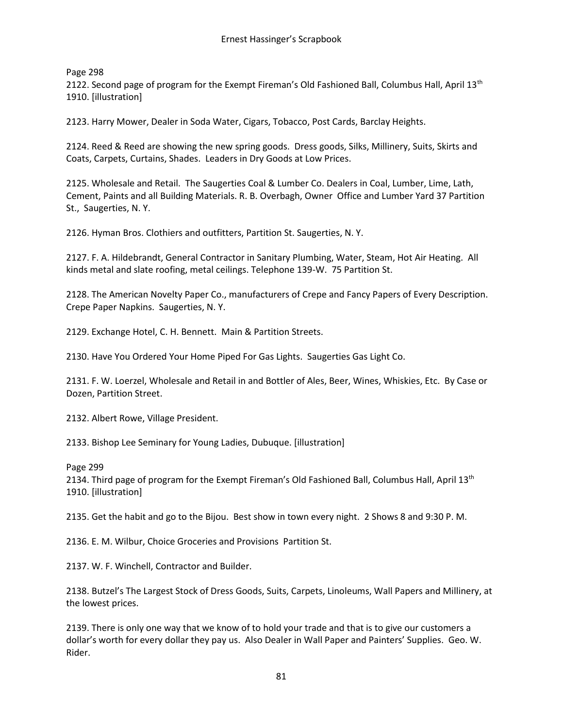Page 298

2122. Second page of program for the Exempt Fireman's Old Fashioned Ball, Columbus Hall, April 13<sup>th</sup> 1910. [illustration]

2123. Harry Mower, Dealer in Soda Water, Cigars, Tobacco, Post Cards, Barclay Heights.

2124. Reed & Reed are showing the new spring goods. Dress goods, Silks, Millinery, Suits, Skirts and Coats, Carpets, Curtains, Shades. Leaders in Dry Goods at Low Prices.

2125. Wholesale and Retail. The Saugerties Coal & Lumber Co. Dealers in Coal, Lumber, Lime, Lath, Cement, Paints and all Building Materials. R. B. Overbagh, Owner Office and Lumber Yard 37 Partition St., Saugerties, N. Y.

2126. Hyman Bros. Clothiers and outfitters, Partition St. Saugerties, N. Y.

2127. F. A. Hildebrandt, General Contractor in Sanitary Plumbing, Water, Steam, Hot Air Heating. All kinds metal and slate roofing, metal ceilings. Telephone 139-W. 75 Partition St.

2128. The American Novelty Paper Co., manufacturers of Crepe and Fancy Papers of Every Description. Crepe Paper Napkins. Saugerties, N. Y.

2129. Exchange Hotel, C. H. Bennett. Main & Partition Streets.

2130. Have You Ordered Your Home Piped For Gas Lights. Saugerties Gas Light Co.

2131. F. W. Loerzel, Wholesale and Retail in and Bottler of Ales, Beer, Wines, Whiskies, Etc. By Case or Dozen, Partition Street.

2132. Albert Rowe, Village President.

2133. Bishop Lee Seminary for Young Ladies, Dubuque. [illustration]

Page 299

2134. Third page of program for the Exempt Fireman's Old Fashioned Ball, Columbus Hall, April 13<sup>th</sup> 1910. [illustration]

2135. Get the habit and go to the Bijou. Best show in town every night. 2 Shows 8 and 9:30 P. M.

2136. E. M. Wilbur, Choice Groceries and Provisions Partition St.

2137. W. F. Winchell, Contractor and Builder.

2138. Butzel's The Largest Stock of Dress Goods, Suits, Carpets, Linoleums, Wall Papers and Millinery, at the lowest prices.

2139. There is only one way that we know of to hold your trade and that is to give our customers a dollar's worth for every dollar they pay us. Also Dealer in Wall Paper and Painters' Supplies. Geo. W. Rider.